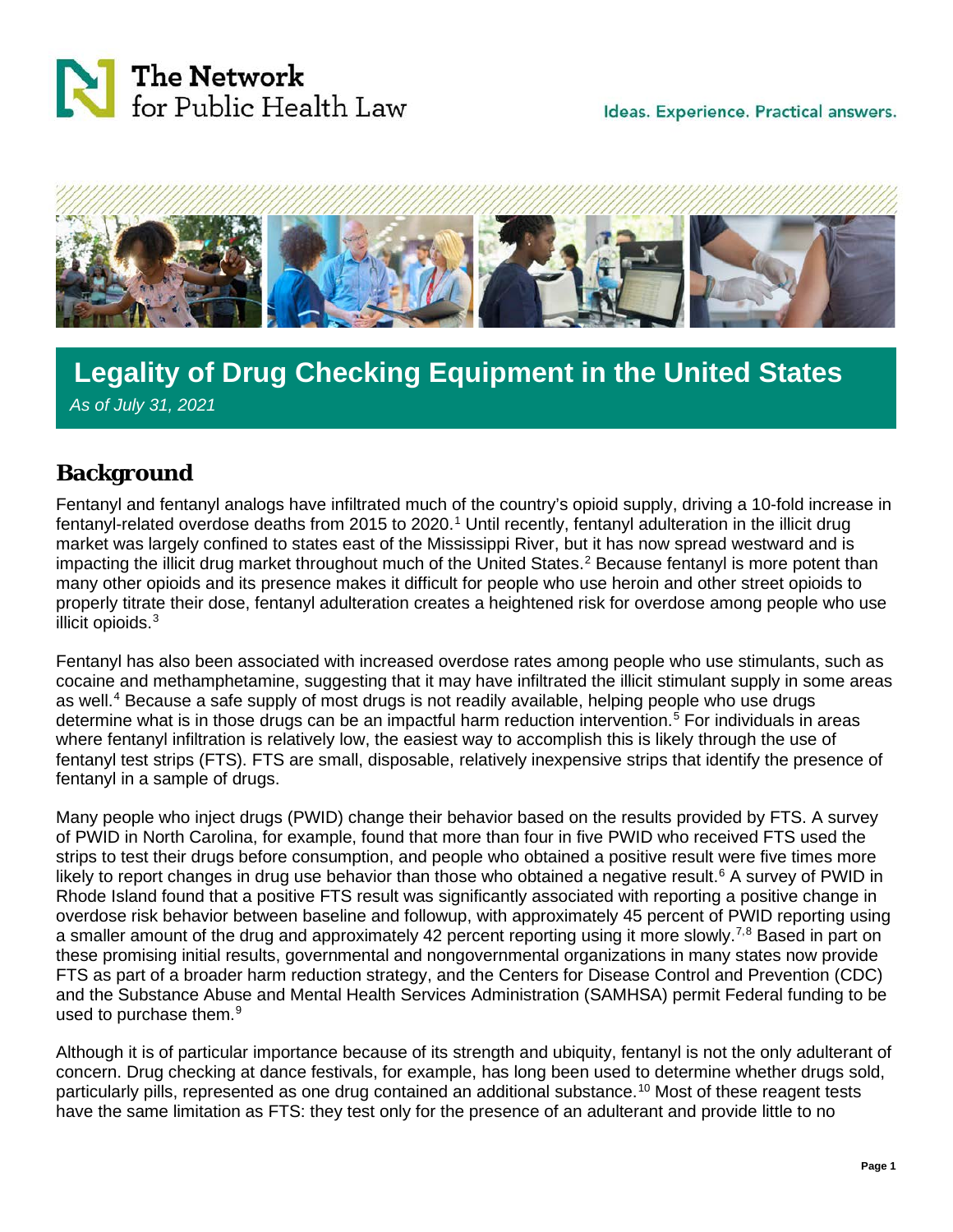



## j **Legality of Drug Checking Equipment in the United States** *As of July 31, 2021*

## **Background**

Fentanyl and fentanyl analogs have infiltrated much of the country's opioid supply, driving a 10-fold increase in fentanyl-related overdose deaths from 20[1](#page-11-0)5 to 2020.<sup>1</sup> Until recently, fentanyl adulteration in the illicit drug market was largely confined to states east of the Mississippi River, but it has now spread westward and is impacting the illicit drug market throughout much of the United States.<sup>[2](#page-11-1)</sup> Because fentanyl is more potent than many other opioids and its presence makes it difficult for people who use heroin and other street opioids to properly titrate their dose, fentanyl adulteration creates a heightened risk for overdose among people who use illicit opioids. [3](#page-11-2)

Fentanyl has also been associated with increased overdose rates among people who use stimulants, such as cocaine and methamphetamine, suggesting that it may have infiltrated the illicit stimulant supply in some areas as well.<sup>[4](#page-11-3)</sup> Because a safe supply of most drugs is not readily available, helping people who use drugs determine what is in those drugs can be an impactful harm reduction intervention.<sup>[5](#page-11-4)</sup> For individuals in areas where fentanyl infiltration is relatively low, the easiest way to accomplish this is likely through the use of fentanyl test strips (FTS). FTS are small, disposable, relatively inexpensive strips that identify the presence of fentanyl in a sample of drugs.

Many people who inject drugs (PWID) change their behavior based on the results provided by FTS. A survey of PWID in North Carolina, for example, found that more than four in five PWID who received FTS used the strips to test their drugs before consumption, and people who obtained a positive result were five times more likely to report changes in drug use behavior than those who obtained a negative result.<sup>[6](#page-11-5)</sup> A survey of PWID in Rhode Island found that a positive FTS result was significantly associated with reporting a positive change in overdose risk behavior between baseline and followup, with approximately 45 percent of PWID reporting using a smaller amount of the drug and approximately 42 percent reporting using it more slowly.<sup>[7,](#page-11-6)[8](#page-11-7)</sup> Based in part on these promising initial results, governmental and nongovernmental organizations in many states now provide FTS as part of a broader harm reduction strategy, and the Centers for Disease Control and Prevention (CDC) and the Substance Abuse and Mental Health Services Administration (SAMHSA) permit Federal funding to be used to purchase them. [9](#page-11-8)

Although it is of particular importance because of its strength and ubiquity, fentanyl is not the only adulterant of concern. Drug checking at dance festivals, for example, has long been used to determine whether drugs sold, particularly pills, represented as one drug contained an additional substance.<sup>[10](#page-11-9)</sup> Most of these reagent tests have the same limitation as FTS: they test only for the presence of an adulterant and provide little to no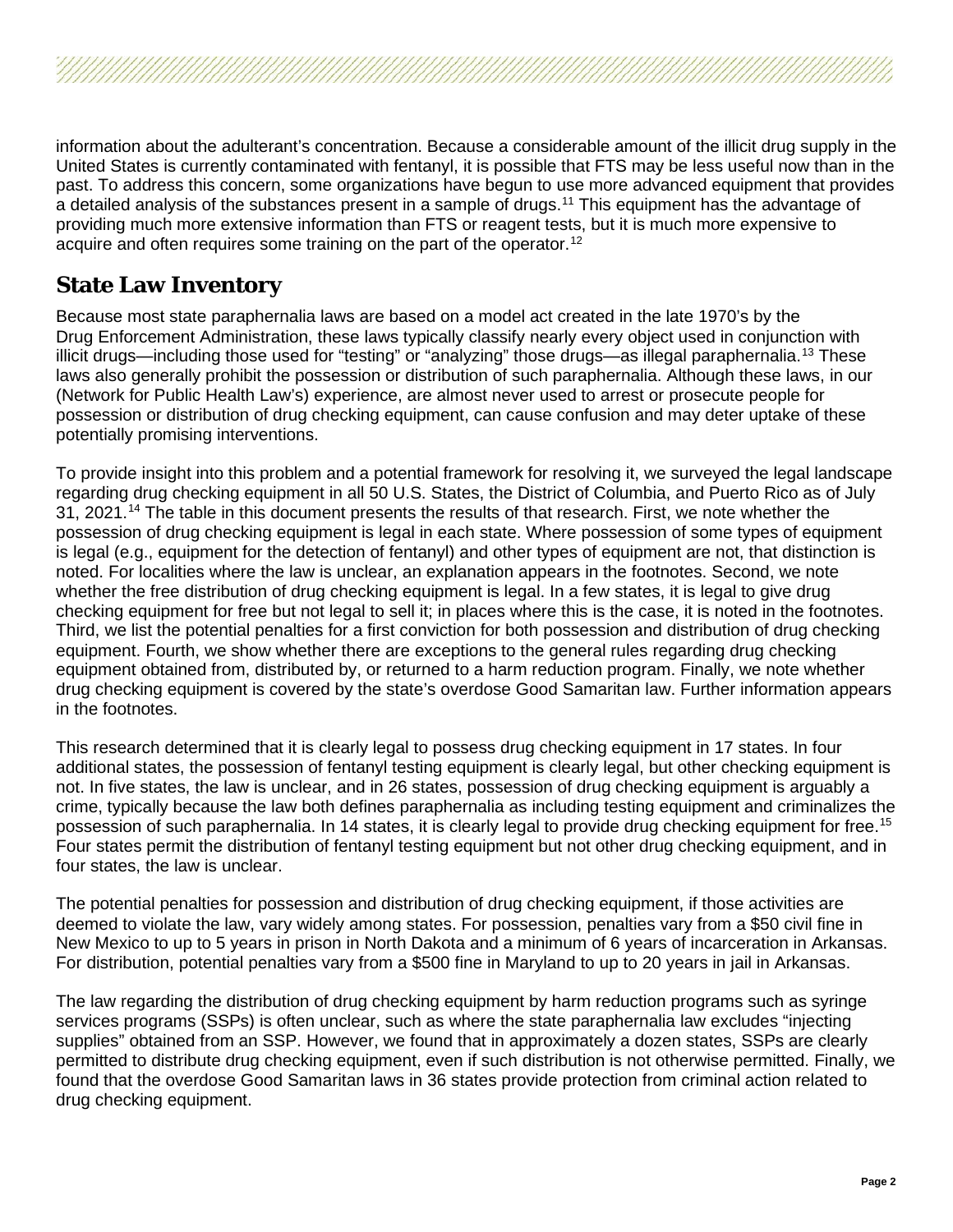information about the adulterant's concentration. Because a considerable amount of the illicit drug supply in the United States is currently contaminated with fentanyl, it is possible that FTS may be less useful now than in the past. To address this concern, some organizations have begun to use more advanced equipment that provides a detailed analysis of the substances present in a sample of drugs.<sup>[11](#page-11-10)</sup> This equipment has the advantage of providing much more extensive information than FTS or reagent tests, but it is much more expensive to acquire and often requires some training on the part of the operator.<sup>[12](#page-11-11)</sup>

## **State Law Inventory**

Because most state paraphernalia laws are based on a model act created in the late 1970's by the Drug Enforcement Administration, these laws typically classify nearly every object used in conjunction with illicit drugs—including those used for "testing" or "analyzing" those drugs—as illegal paraphernalia.<sup>[13](#page-11-12)</sup> These laws also generally prohibit the possession or distribution of such paraphernalia. Although these laws, in our (Network for Public Health Law's) experience, are almost never used to arrest or prosecute people for possession or distribution of drug checking equipment, can cause confusion and may deter uptake of these potentially promising interventions.

To provide insight into this problem and a potential framework for resolving it, we surveyed the legal landscape regarding drug checking equipment in all 50 U.S. States, the District of Columbia, and Puerto Rico as of July 31, 2021.<sup>[14](#page-11-13)</sup> The table in this document presents the results of that research. First, we note whether the possession of drug checking equipment is legal in each state. Where possession of some types of equipment is legal (e.g., equipment for the detection of fentanyl) and other types of equipment are not, that distinction is noted. For localities where the law is unclear, an explanation appears in the footnotes. Second, we note whether the free distribution of drug checking equipment is legal. In a few states, it is legal to give drug checking equipment for free but not legal to sell it; in places where this is the case, it is noted in the footnotes. Third, we list the potential penalties for a first conviction for both possession and distribution of drug checking equipment. Fourth, we show whether there are exceptions to the general rules regarding drug checking equipment obtained from, distributed by, or returned to a harm reduction program. Finally, we note whether drug checking equipment is covered by the state's overdose Good Samaritan law. Further information appears in the footnotes.

This research determined that it is clearly legal to possess drug checking equipment in 17 states. In four additional states, the possession of fentanyl testing equipment is clearly legal, but other checking equipment is not. In five states, the law is unclear, and in 26 states, possession of drug checking equipment is arguably a crime, typically because the law both defines paraphernalia as including testing equipment and criminalizes the possession of such paraphernalia. In 14 states, it is clearly legal to provide drug checking equipment for free.<sup>15</sup> Four states permit the distribution of fentanyl testing equipment but not other drug checking equipment, and in four states, the law is unclear.

The potential penalties for possession and distribution of drug checking equipment, if those activities are deemed to violate the law, vary widely among states. For possession, penalties vary from a \$50 civil fine in New Mexico to up to 5 years in prison in North Dakota and a minimum of 6 years of incarceration in Arkansas. For distribution, potential penalties vary from a \$500 fine in Maryland to up to 20 years in jail in Arkansas.

The law regarding the distribution of drug checking equipment by harm reduction programs such as syringe services programs (SSPs) is often unclear, such as where the state paraphernalia law excludes "injecting supplies" obtained from an SSP. However, we found that in approximately a dozen states, SSPs are clearly permitted to distribute drug checking equipment, even if such distribution is not otherwise permitted. Finally, we found that the overdose Good Samaritan laws in 36 states provide protection from criminal action related to drug checking equipment.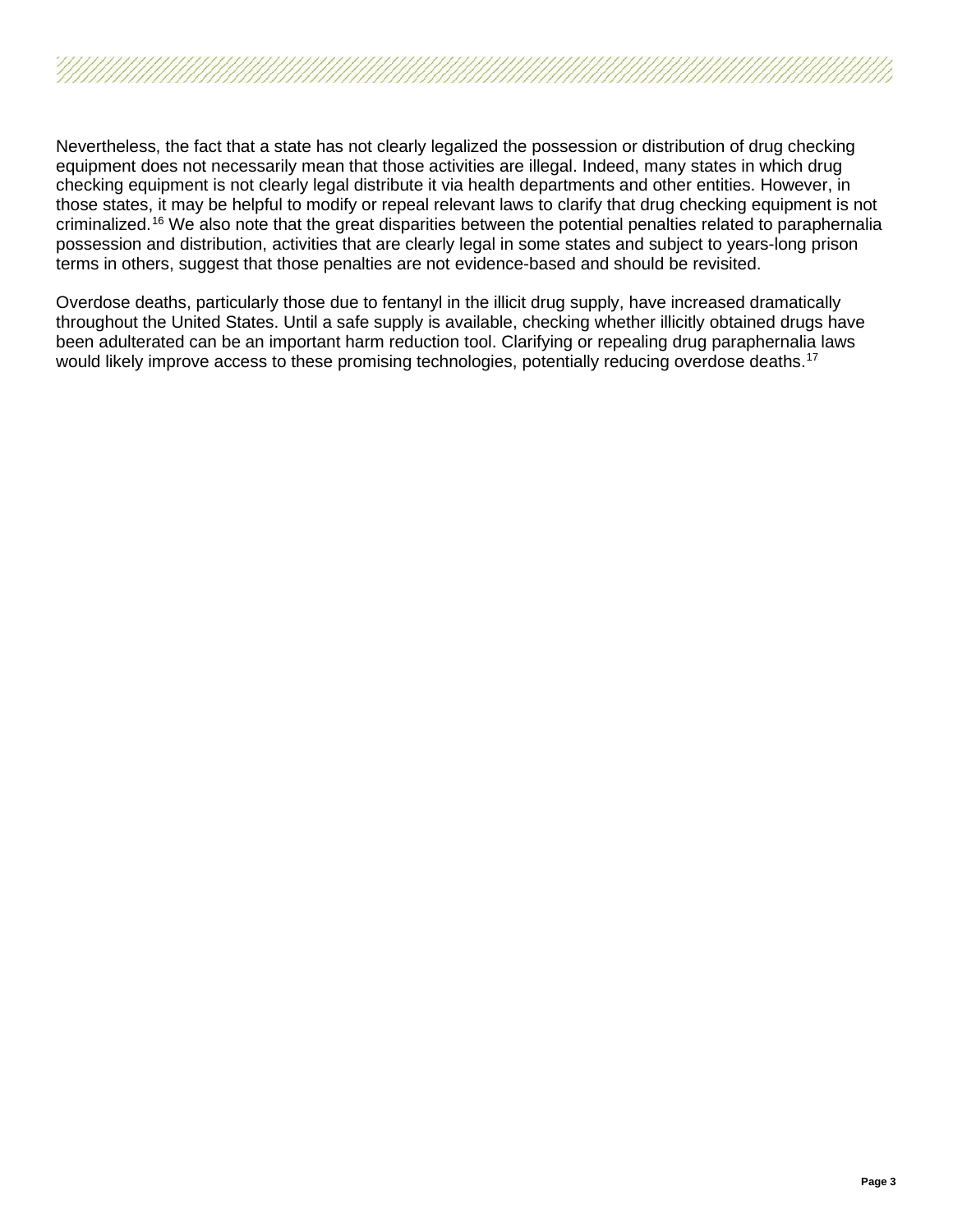

Nevertheless, the fact that a state has not clearly legalized the possession or distribution of drug checking equipment does not necessarily mean that those activities are illegal. Indeed, many states in which drug checking equipment is not clearly legal distribute it via health departments and other entities. However, in those states, it may be helpful to modify or repeal relevant laws to clarify that drug checking equipment is not criminalized.[16](#page-11-15) We also note that the great disparities between the potential penalties related to paraphernalia possession and distribution, activities that are clearly legal in some states and subject to years-long prison terms in others, suggest that those penalties are not evidence-based and should be revisited.

Overdose deaths, particularly those due to fentanyl in the illicit drug supply, have increased dramatically throughout the United States. Until a safe supply is available, checking whether illicitly obtained drugs have been adulterated can be an important harm reduction tool. Clarifying or repealing drug paraphernalia laws would likely improve access to these promising technologies, potentially reducing overdose deaths.<sup>17</sup>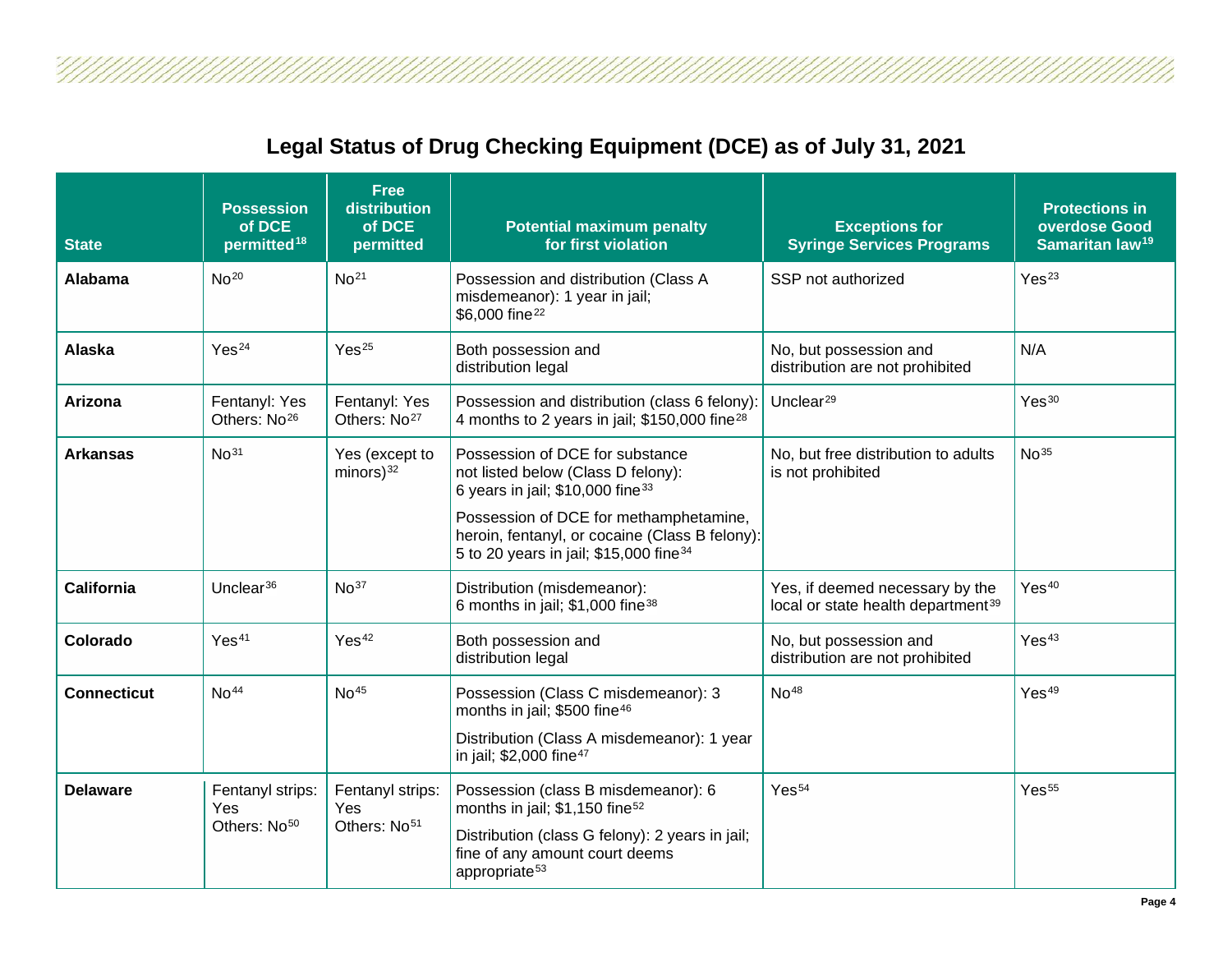

Ű,

| <b>State</b>       | <b>Possession</b><br>of DCE<br>permitted <sup>18</sup> | <b>Free</b><br>distribution<br>of DCE<br>permitted  | <b>Potential maximum penalty</b><br>for first violation                                                                                                                                                                                                                 | <b>Exceptions for</b><br><b>Syringe Services Programs</b>                         | <b>Protections in</b><br>overdose Good<br>Samaritan law <sup>19</sup> |
|--------------------|--------------------------------------------------------|-----------------------------------------------------|-------------------------------------------------------------------------------------------------------------------------------------------------------------------------------------------------------------------------------------------------------------------------|-----------------------------------------------------------------------------------|-----------------------------------------------------------------------|
| Alabama            | No <sup>20</sup>                                       | No <sup>21</sup>                                    | Possession and distribution (Class A<br>misdemeanor): 1 year in jail;<br>\$6,000 fine <sup>22</sup>                                                                                                                                                                     | SSP not authorized                                                                | Yes <sup>23</sup>                                                     |
| Alaska             | Yes <sup>24</sup>                                      | Yes <sup>25</sup>                                   | Both possession and<br>distribution legal                                                                                                                                                                                                                               | No, but possession and<br>distribution are not prohibited                         | N/A                                                                   |
| Arizona            | Fentanyl: Yes<br>Others: No <sup>26</sup>              | Fentanyl: Yes<br>Others: No <sup>27</sup>           | Possession and distribution (class 6 felony):<br>4 months to 2 years in jail; \$150,000 fine <sup>28</sup>                                                                                                                                                              | Unclear $^{29}$                                                                   | Yes <sup>30</sup>                                                     |
| <b>Arkansas</b>    | No <sup>31</sup>                                       | Yes (except to<br>$minors)$ <sup>32</sup>           | Possession of DCE for substance<br>not listed below (Class D felony):<br>6 years in jail; \$10,000 fine <sup>33</sup><br>Possession of DCE for methamphetamine,<br>heroin, fentanyl, or cocaine (Class B felony):<br>5 to 20 years in jail; \$15,000 fine <sup>34</sup> | No, but free distribution to adults<br>is not prohibited                          | No <sup>35</sup>                                                      |
| <b>California</b>  | Unclear $36$                                           | No <sup>37</sup>                                    | Distribution (misdemeanor):<br>6 months in jail; \$1,000 fine <sup>38</sup>                                                                                                                                                                                             | Yes, if deemed necessary by the<br>local or state health department <sup>39</sup> | Yes <sup>40</sup>                                                     |
| Colorado           | Yes <sup>41</sup>                                      | Yes <sup>42</sup>                                   | Both possession and<br>distribution legal                                                                                                                                                                                                                               | No, but possession and<br>distribution are not prohibited                         | Yes <sup>43</sup>                                                     |
| <b>Connecticut</b> | No <sup>44</sup>                                       | No <sup>45</sup>                                    | Possession (Class C misdemeanor): 3<br>months in jail; \$500 fine <sup>46</sup><br>Distribution (Class A misdemeanor): 1 year<br>in jail; \$2,000 fine <sup>47</sup>                                                                                                    | No <sup>48</sup>                                                                  | Yes <sup>49</sup>                                                     |
| <b>Delaware</b>    | Fentanyl strips:<br>Yes<br>Others: No <sup>50</sup>    | Fentanyl strips:<br>Yes<br>Others: No <sup>51</sup> | Possession (class B misdemeanor): 6<br>months in jail; \$1,150 fine <sup>52</sup><br>Distribution (class G felony): 2 years in jail;<br>fine of any amount court deems<br>appropriate <sup>53</sup>                                                                     | Yes <sup>54</sup>                                                                 | Yes <sup>55</sup>                                                     |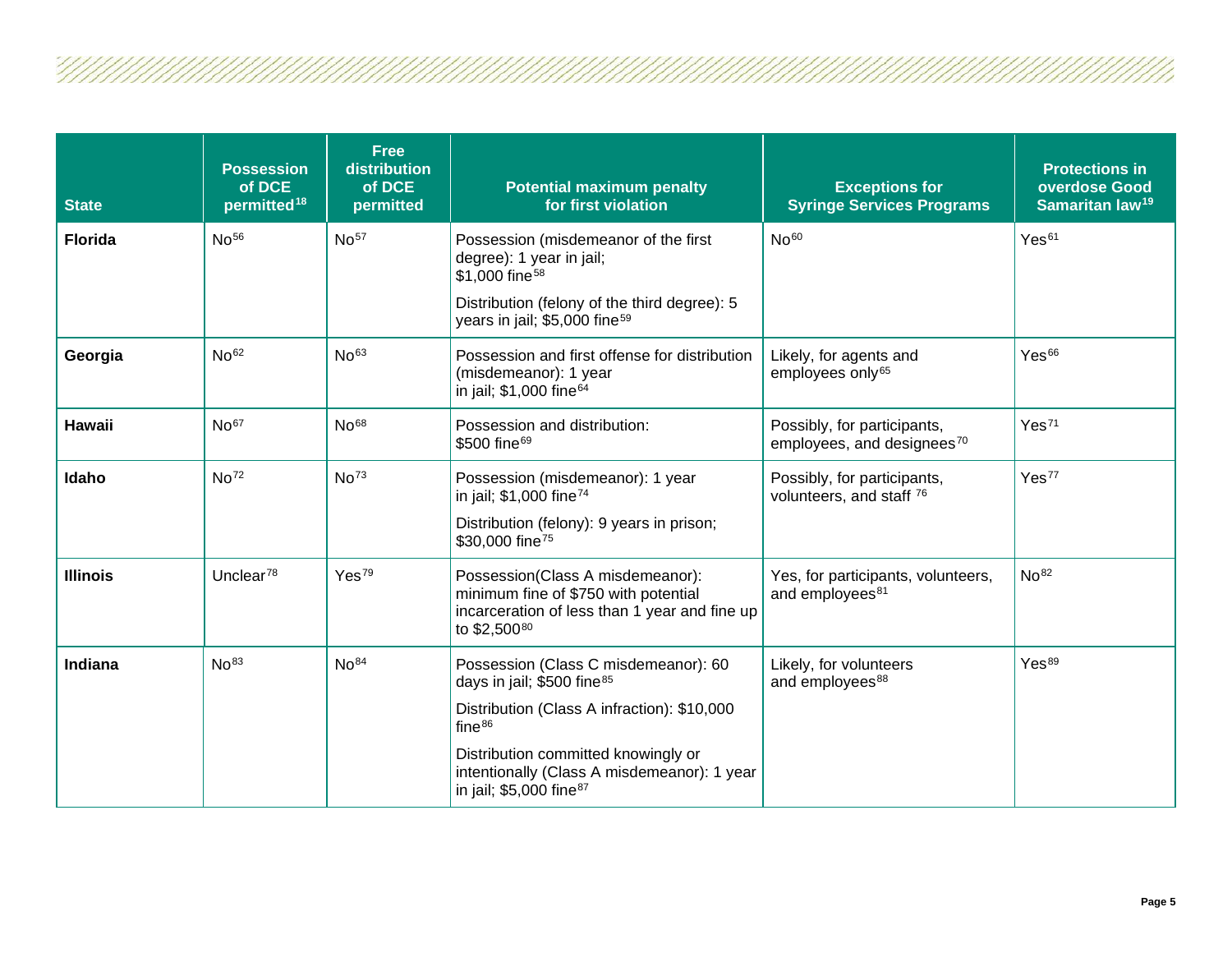U 17

| <b>State</b>    | <b>Possession</b><br>of DCE<br>permitted <sup>18</sup> | <b>Free</b><br>distribution<br>of DCE<br>permitted | <b>Potential maximum penalty</b><br>for first violation                                                                                                                                     | <b>Exceptions for</b><br><b>Syringe Services Programs</b>             | <b>Protections in</b><br>overdose Good<br>Samaritan law <sup>19</sup> |
|-----------------|--------------------------------------------------------|----------------------------------------------------|---------------------------------------------------------------------------------------------------------------------------------------------------------------------------------------------|-----------------------------------------------------------------------|-----------------------------------------------------------------------|
| <b>Florida</b>  | No <sup>56</sup>                                       | No <sup>57</sup>                                   | Possession (misdemeanor of the first<br>degree): 1 year in jail;<br>\$1,000 fine <sup>58</sup><br>Distribution (felony of the third degree): 5<br>years in jail; \$5,000 fine <sup>59</sup> | No <sup>60</sup>                                                      | Yes <sup>61</sup>                                                     |
| Georgia         | No <sup>62</sup>                                       | No <sup>63</sup>                                   | Possession and first offense for distribution                                                                                                                                               | Likely, for agents and                                                | Yes <sup>66</sup>                                                     |
|                 |                                                        |                                                    | (misdemeanor): 1 year<br>in jail; \$1,000 fine <sup>64</sup>                                                                                                                                | employees only <sup>65</sup>                                          |                                                                       |
| <b>Hawaii</b>   | No <sup>67</sup>                                       | No <sup>68</sup>                                   | Possession and distribution:<br>\$500 fine <sup>69</sup>                                                                                                                                    | Possibly, for participants,<br>employees, and designees <sup>70</sup> | Yes <sup>71</sup>                                                     |
| Idaho           | No <sup>72</sup>                                       | No <sup>73</sup>                                   | Possession (misdemeanor): 1 year<br>in jail; \$1,000 fine <sup>74</sup>                                                                                                                     | Possibly, for participants,<br>volunteers, and staff 76               | Yes <sup>77</sup>                                                     |
|                 |                                                        |                                                    | Distribution (felony): 9 years in prison;<br>\$30,000 fine <sup>75</sup>                                                                                                                    |                                                                       |                                                                       |
| <b>Illinois</b> | Unclear <sup>78</sup>                                  | Yes <sup>79</sup>                                  | Possession(Class A misdemeanor):<br>minimum fine of \$750 with potential<br>incarceration of less than 1 year and fine up<br>to \$2,50080                                                   | Yes, for participants, volunteers,<br>and employees <sup>81</sup>     | No <sup>82</sup>                                                      |
| Indiana         | No <sup>83</sup>                                       | No <sup>84</sup>                                   | Possession (Class C misdemeanor): 60<br>days in jail; \$500 fine <sup>85</sup>                                                                                                              | Likely, for volunteers<br>and employees <sup>88</sup>                 | Yes <sup>89</sup>                                                     |
|                 |                                                        |                                                    | Distribution (Class A infraction): \$10,000<br>fine <sup>86</sup>                                                                                                                           |                                                                       |                                                                       |
|                 |                                                        |                                                    | Distribution committed knowingly or<br>intentionally (Class A misdemeanor): 1 year<br>in jail; \$5,000 fine <sup>87</sup>                                                                   |                                                                       |                                                                       |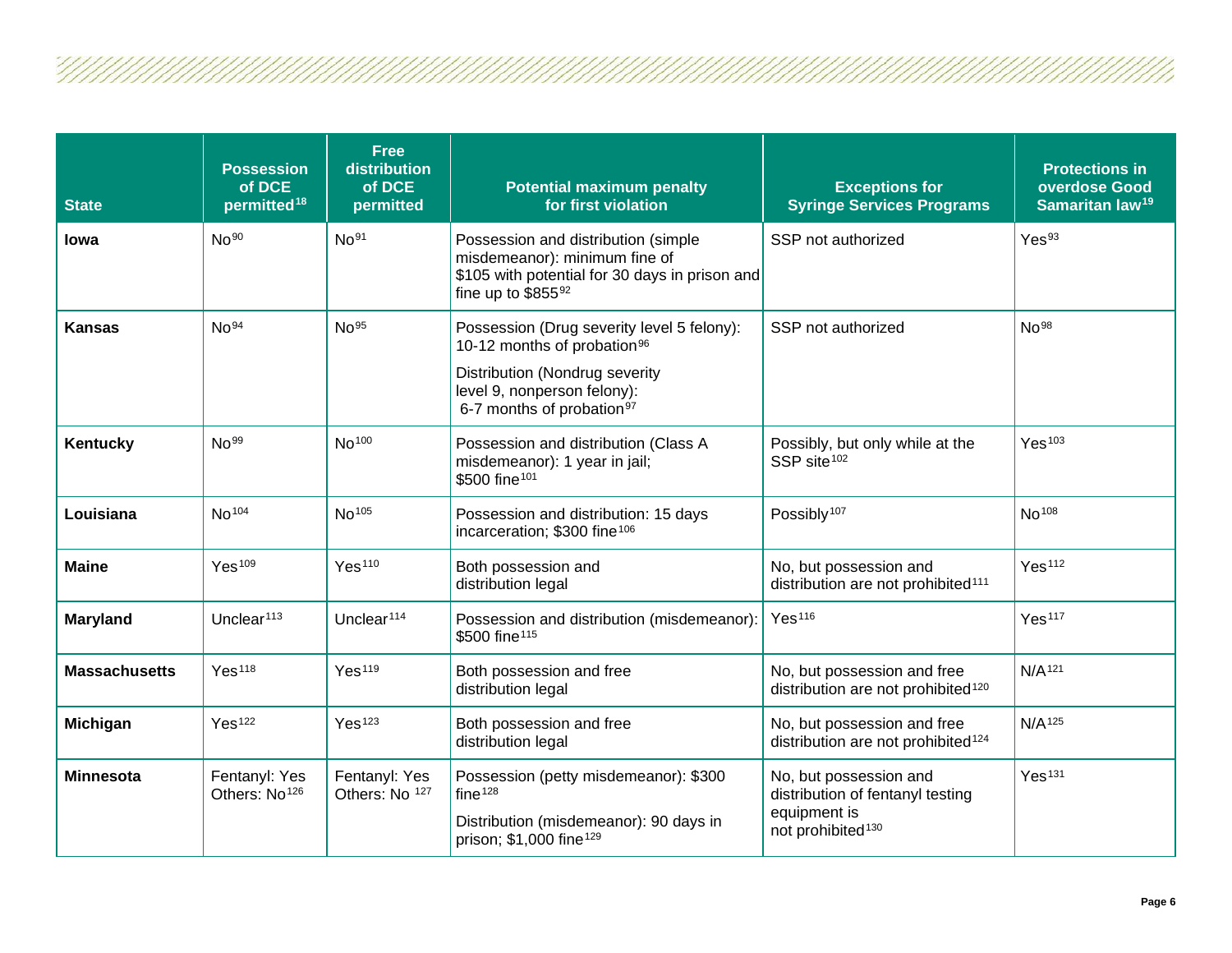| <b>State</b>         | <b>Possession</b><br>of DCE<br>permitted <sup>18</sup> | <b>Free</b><br>distribution<br>of DCE<br>permitted | <b>Potential maximum penalty</b><br>for first violation                                                                                                                                         | <b>Exceptions for</b><br><b>Syringe Services Programs</b>                                                   | <b>Protections in</b><br>overdose Good<br>Samaritan law <sup>19</sup> |
|----------------------|--------------------------------------------------------|----------------------------------------------------|-------------------------------------------------------------------------------------------------------------------------------------------------------------------------------------------------|-------------------------------------------------------------------------------------------------------------|-----------------------------------------------------------------------|
| lowa                 | No <sup>90</sup>                                       | No <sup>91</sup>                                   | Possession and distribution (simple<br>misdemeanor): minimum fine of<br>\$105 with potential for 30 days in prison and<br>fine up to $$855^{92}$                                                | SSP not authorized                                                                                          | Yes <sup>93</sup>                                                     |
| <b>Kansas</b>        | No <sup>94</sup>                                       | No <sup>95</sup>                                   | Possession (Drug severity level 5 felony):<br>10-12 months of probation <sup>96</sup><br>Distribution (Nondrug severity<br>level 9, nonperson felony):<br>6-7 months of probation <sup>97</sup> | SSP not authorized                                                                                          | No <sup>98</sup>                                                      |
| Kentucky             | No <sup>99</sup>                                       | No <sup>100</sup>                                  | Possession and distribution (Class A<br>misdemeanor): 1 year in jail;<br>\$500 fine <sup>101</sup>                                                                                              | Possibly, but only while at the<br>SSP site <sup>102</sup>                                                  | Yes <sup>103</sup>                                                    |
| Louisiana            | No <sup>104</sup>                                      | No <sup>105</sup>                                  | Possession and distribution: 15 days<br>incarceration; \$300 fine <sup>106</sup>                                                                                                                | Possibly <sup>107</sup>                                                                                     | No <sup>108</sup>                                                     |
| <b>Maine</b>         | Yes <sup>109</sup>                                     | Yes <sup>110</sup>                                 | Both possession and<br>distribution legal                                                                                                                                                       | No, but possession and<br>distribution are not prohibited <sup>111</sup>                                    | Yes <sup>112</sup>                                                    |
| Maryland             | Unclear <sup>113</sup>                                 | Unclear <sup>114</sup>                             | Possession and distribution (misdemeanor):<br>\$500 fine <sup>115</sup>                                                                                                                         | Yes <sup>116</sup>                                                                                          | Yes <sup>117</sup>                                                    |
| <b>Massachusetts</b> | Yes <sup>118</sup>                                     | Yes <sup>119</sup>                                 | Both possession and free<br>distribution legal                                                                                                                                                  | No, but possession and free<br>distribution are not prohibited <sup>120</sup>                               | N/A <sup>121</sup>                                                    |
| Michigan             | Yes <sup>122</sup>                                     | Yes <sup>123</sup>                                 | Both possession and free<br>distribution legal                                                                                                                                                  | No, but possession and free<br>distribution are not prohibited <sup>124</sup>                               | N/A <sup>125</sup>                                                    |
| <b>Minnesota</b>     | Fentanyl: Yes<br>Others: No <sup>126</sup>             | Fentanyl: Yes<br>Others: No 127                    | Possession (petty misdemeanor): \$300<br>fine <sup>128</sup><br>Distribution (misdemeanor): 90 days in<br>prison; \$1,000 fine <sup>129</sup>                                                   | No, but possession and<br>distribution of fentanyl testing<br>equipment is<br>not prohibited <sup>130</sup> | Yes <sup>131</sup>                                                    |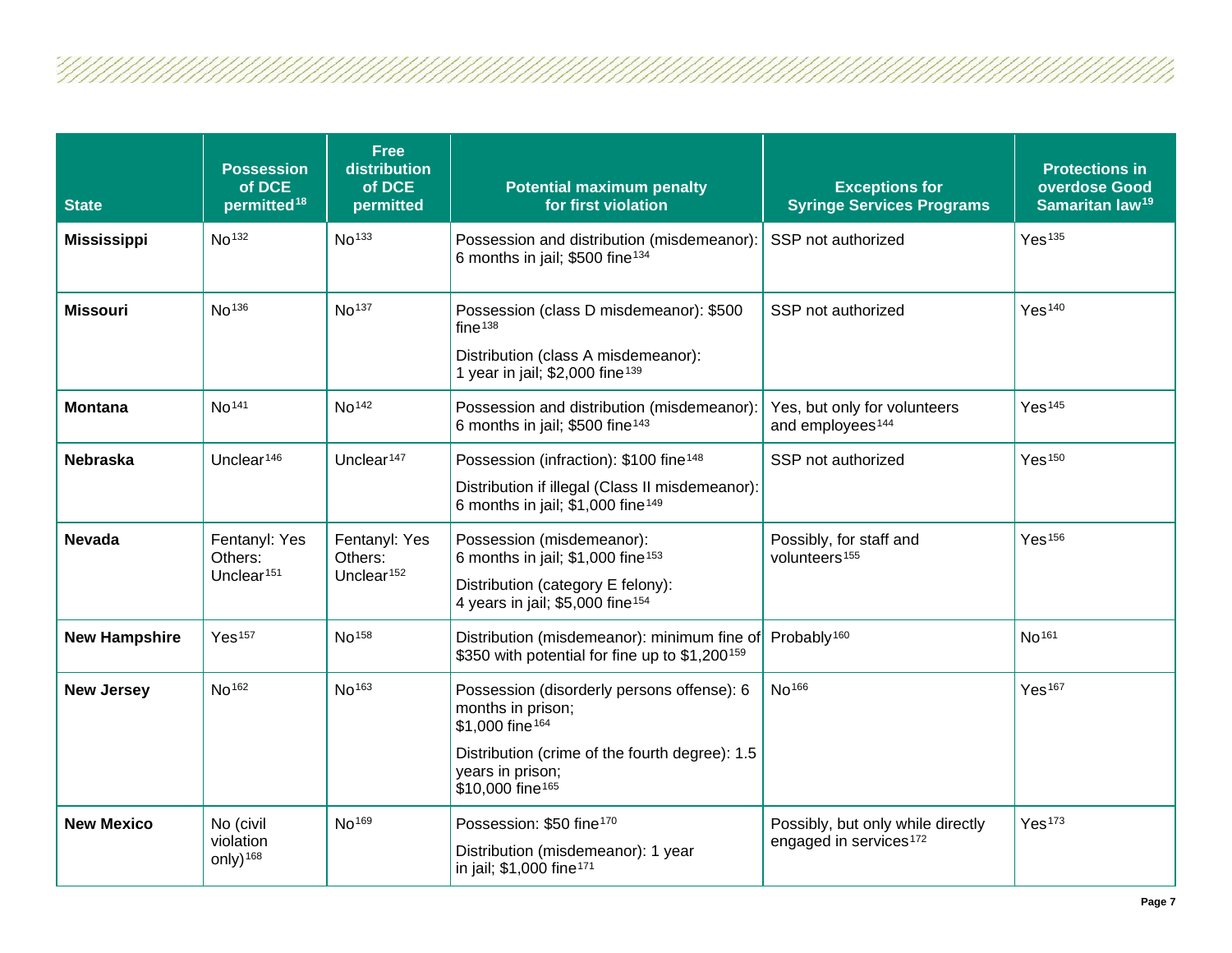| <b>State</b>         | <b>Possession</b><br>of DCE<br>permitted <sup>18</sup> | <b>Free</b><br>distribution<br>of DCE<br>permitted | <b>Potential maximum penalty</b><br>for first violation                                                                                                                                              | <b>Exceptions for</b><br><b>Syringe Services Programs</b>               | <b>Protections in</b><br>overdose Good<br>Samaritan law <sup>19</sup> |
|----------------------|--------------------------------------------------------|----------------------------------------------------|------------------------------------------------------------------------------------------------------------------------------------------------------------------------------------------------------|-------------------------------------------------------------------------|-----------------------------------------------------------------------|
| <b>Mississippi</b>   | No <sup>132</sup>                                      | No <sup>133</sup>                                  | Possession and distribution (misdemeanor):<br>6 months in jail; \$500 fine <sup>134</sup>                                                                                                            | SSP not authorized                                                      | Yes <sup>135</sup>                                                    |
| <b>Missouri</b>      | No <sup>136</sup>                                      | No <sup>137</sup>                                  | Possession (class D misdemeanor): \$500<br>fine <sup>138</sup><br>Distribution (class A misdemeanor):<br>1 year in jail; \$2,000 fine <sup>139</sup>                                                 | SSP not authorized                                                      | Yes <sup>140</sup>                                                    |
| <b>Montana</b>       | No <sup>141</sup>                                      | No <sup>142</sup>                                  | Possession and distribution (misdemeanor):<br>6 months in jail; \$500 fine <sup>143</sup>                                                                                                            | Yes, but only for volunteers<br>and employees <sup>144</sup>            | Yes <sup>145</sup>                                                    |
| <b>Nebraska</b>      | Unclear <sup>146</sup>                                 | Unclear <sup>147</sup>                             | Possession (infraction): \$100 fine <sup>148</sup><br>Distribution if illegal (Class II misdemeanor):<br>6 months in jail; \$1,000 fine <sup>149</sup>                                               | SSP not authorized                                                      | Yes <sup>150</sup>                                                    |
| <b>Nevada</b>        | Fentanyl: Yes<br>Others:<br>Unclear <sup>151</sup>     | Fentanyl: Yes<br>Others:<br>Unclear <sup>152</sup> | Possession (misdemeanor):<br>6 months in jail; \$1,000 fine <sup>153</sup><br>Distribution (category E felony):<br>4 years in jail; \$5,000 fine <sup>154</sup>                                      | Possibly, for staff and<br>volunteers <sup>155</sup>                    | Yes <sup>156</sup>                                                    |
| <b>New Hampshire</b> | Yes <sup>157</sup>                                     | No <sup>158</sup>                                  | Distribution (misdemeanor): minimum fine of<br>\$350 with potential for fine up to \$1,200 <sup>159</sup>                                                                                            | Probably <sup>160</sup>                                                 | No <sup>161</sup>                                                     |
| <b>New Jersey</b>    | No <sup>162</sup>                                      | No <sup>163</sup>                                  | Possession (disorderly persons offense): 6<br>months in prison;<br>\$1,000 fine <sup>164</sup><br>Distribution (crime of the fourth degree): 1.5<br>years in prison;<br>\$10,000 fine <sup>165</sup> | No <sup>166</sup>                                                       | Yes <sup>167</sup>                                                    |
| <b>New Mexico</b>    | No (civil<br>violation<br>only) $168$                  | No <sup>169</sup>                                  | Possession: \$50 fine <sup>170</sup><br>Distribution (misdemeanor): 1 year<br>in jail; \$1,000 fine <sup>171</sup>                                                                                   | Possibly, but only while directly<br>engaged in services <sup>172</sup> | Yes <sup>173</sup>                                                    |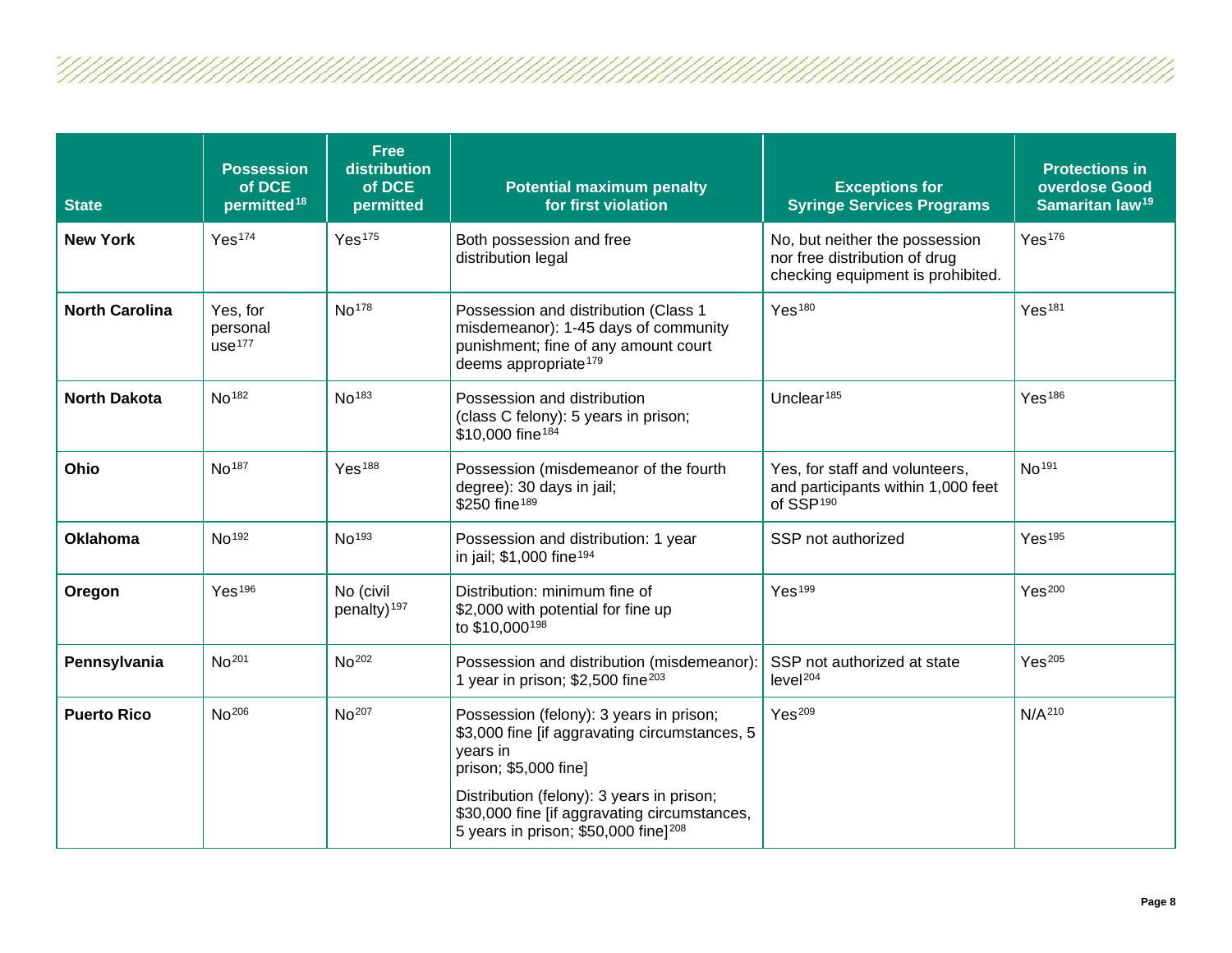| <b>State</b>          | <b>Possession</b><br>of DCE<br>permitted <sup>18</sup> | <b>Free</b><br>distribution<br>of DCE<br>permitted | <b>Potential maximum penalty</b><br>for first violation                                                                                                                    | <b>Exceptions for</b><br><b>Syringe Services Programs</b>                                            | <b>Protections in</b><br>overdose Good<br>Samaritan law <sup>19</sup> |
|-----------------------|--------------------------------------------------------|----------------------------------------------------|----------------------------------------------------------------------------------------------------------------------------------------------------------------------------|------------------------------------------------------------------------------------------------------|-----------------------------------------------------------------------|
| <b>New York</b>       | Yes <sup>174</sup>                                     | Yes <sup>175</sup>                                 | Both possession and free<br>distribution legal                                                                                                                             | No, but neither the possession<br>nor free distribution of drug<br>checking equipment is prohibited. | Yes <sup>176</sup>                                                    |
| <b>North Carolina</b> | Yes, for<br>personal<br>use <sup>177</sup>             | No <sup>178</sup>                                  | Possession and distribution (Class 1<br>misdemeanor): 1-45 days of community<br>punishment; fine of any amount court<br>deems appropriate <sup>179</sup>                   | Yes <sup>180</sup>                                                                                   | Yes <sup>181</sup>                                                    |
| <b>North Dakota</b>   | No <sup>182</sup>                                      | No <sup>183</sup>                                  | Possession and distribution<br>(class C felony): 5 years in prison;<br>\$10,000 fine <sup>184</sup>                                                                        | Unclear <sup>185</sup>                                                                               | Yes <sup>186</sup>                                                    |
| Ohio                  | No <sup>187</sup>                                      | Yes <sup>188</sup>                                 | Possession (misdemeanor of the fourth<br>degree): 30 days in jail;<br>\$250 fine <sup>189</sup>                                                                            | Yes, for staff and volunteers,<br>and participants within 1,000 feet<br>of SSP <sup>190</sup>        | No <sup>191</sup>                                                     |
| <b>Oklahoma</b>       | No <sup>192</sup>                                      | No <sup>193</sup>                                  | Possession and distribution: 1 year<br>in jail; \$1,000 fine <sup>194</sup>                                                                                                | SSP not authorized                                                                                   | Yes <sup>195</sup>                                                    |
| Oregon                | Yes <sup>196</sup>                                     | No (civil<br>penalty) <sup>197</sup>               | Distribution: minimum fine of<br>\$2,000 with potential for fine up<br>to \$10,000 <sup>198</sup>                                                                          | Yes <sup>199</sup>                                                                                   | Yes <sup>200</sup>                                                    |
| Pennsylvania          | No <sup>201</sup>                                      | No <sup>202</sup>                                  | Possession and distribution (misdemeanor):<br>1 year in prison; \$2,500 fine <sup>203</sup>                                                                                | SSP not authorized at state<br>level <sup>204</sup>                                                  | Yes <sup>205</sup>                                                    |
| <b>Puerto Rico</b>    | No <sup>206</sup>                                      | No <sup>207</sup>                                  | Possession (felony): 3 years in prison;<br>\$3,000 fine [if aggravating circumstances, 5<br>years in<br>prison; \$5,000 fine]<br>Distribution (felony): 3 years in prison; | Yes <sup>209</sup>                                                                                   | N/A <sup>210</sup>                                                    |
|                       |                                                        |                                                    | \$30,000 fine [if aggravating circumstances,<br>5 years in prison; \$50,000 fine] <sup>208</sup>                                                                           |                                                                                                      |                                                                       |

U 17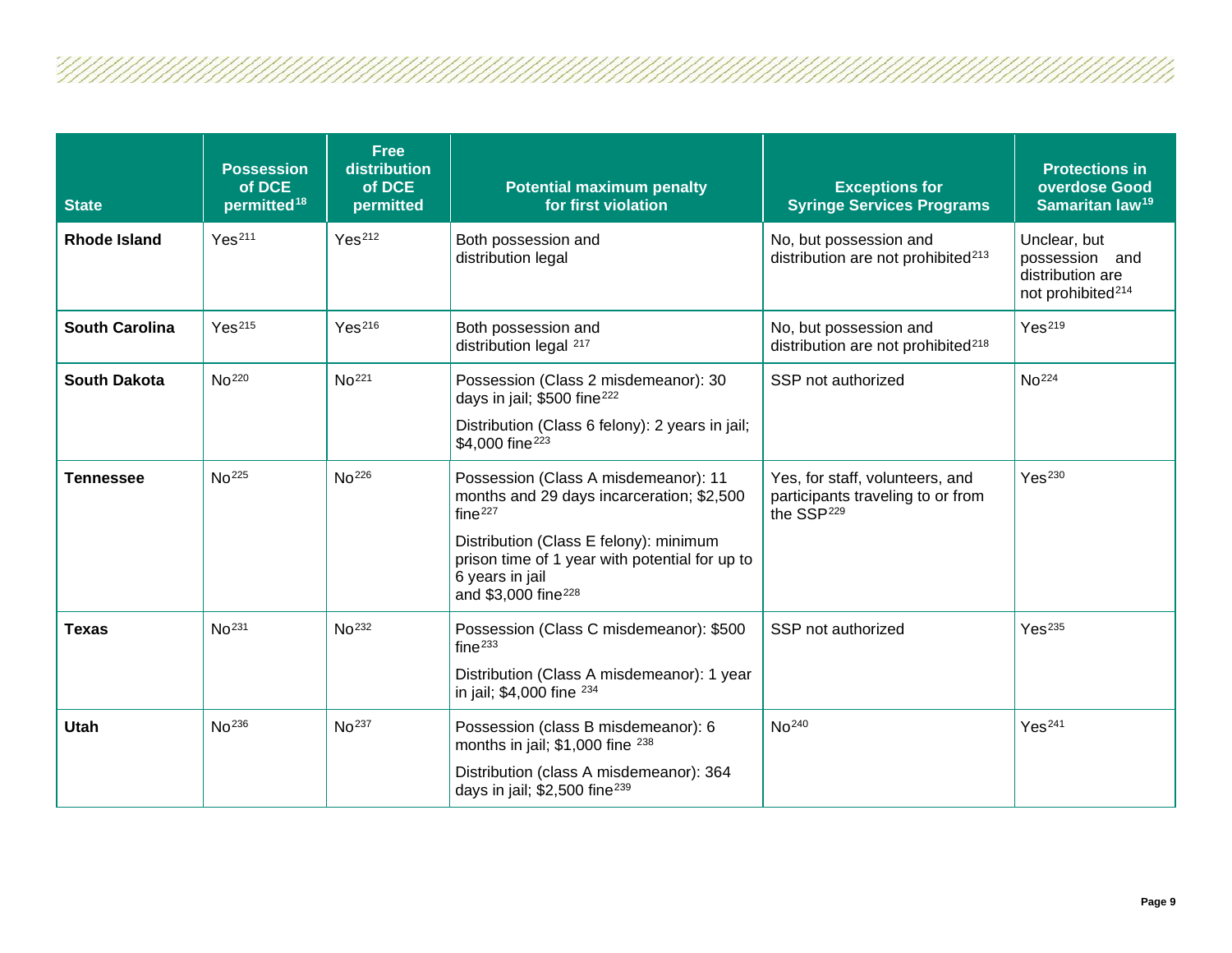| <b>State</b>          | <b>Possession</b><br>of DCE<br>permitted <sup>18</sup> | <b>Free</b><br>distribution<br>of DCE<br>permitted | <b>Potential maximum penalty</b><br>for first violation                                                                                                                                                                                                    | <b>Exceptions for</b><br><b>Syringe Services Programs</b>                                      | <b>Protections in</b><br>overdose Good<br>Samaritan law <sup>19</sup>               |
|-----------------------|--------------------------------------------------------|----------------------------------------------------|------------------------------------------------------------------------------------------------------------------------------------------------------------------------------------------------------------------------------------------------------------|------------------------------------------------------------------------------------------------|-------------------------------------------------------------------------------------|
| <b>Rhode Island</b>   | Yes <sup>211</sup>                                     | Yes <sup>212</sup>                                 | Both possession and<br>distribution legal                                                                                                                                                                                                                  | No, but possession and<br>distribution are not prohibited <sup>213</sup>                       | Unclear, but<br>possession and<br>distribution are<br>not prohibited <sup>214</sup> |
| <b>South Carolina</b> | Yes <sup>215</sup>                                     | Yes <sup>216</sup>                                 | Both possession and<br>distribution legal <sup>217</sup>                                                                                                                                                                                                   | No, but possession and<br>distribution are not prohibited <sup>218</sup>                       | Yes <sup>219</sup>                                                                  |
| <b>South Dakota</b>   | No <sup>220</sup>                                      | No <sup>221</sup>                                  | Possession (Class 2 misdemeanor): 30<br>days in jail; \$500 fine <sup>222</sup><br>Distribution (Class 6 felony): 2 years in jail;<br>\$4,000 fine <sup>223</sup>                                                                                          | SSP not authorized                                                                             | No <sup>224</sup>                                                                   |
| <b>Tennessee</b>      | No <sup>225</sup>                                      | No <sup>226</sup>                                  | Possession (Class A misdemeanor): 11<br>months and 29 days incarceration; \$2,500<br>fine <sup>227</sup><br>Distribution (Class E felony): minimum<br>prison time of 1 year with potential for up to<br>6 years in jail<br>and \$3,000 fine <sup>228</sup> | Yes, for staff, volunteers, and<br>participants traveling to or from<br>the SSP <sup>229</sup> | Yes <sup>230</sup>                                                                  |
| <b>Texas</b>          | No <sup>231</sup>                                      | No <sup>232</sup>                                  | Possession (Class C misdemeanor): \$500<br>fine <sup>233</sup><br>Distribution (Class A misdemeanor): 1 year<br>in jail; \$4,000 fine 234                                                                                                                  | SSP not authorized                                                                             | Yes <sup>235</sup>                                                                  |
| <b>Utah</b>           | No <sup>236</sup>                                      | No <sup>237</sup>                                  | Possession (class B misdemeanor): 6<br>months in jail; \$1,000 fine 238<br>Distribution (class A misdemeanor): 364<br>days in jail; $$2,500$ fine <sup>239</sup>                                                                                           | No <sup>240</sup>                                                                              | Yes <sup>241</sup>                                                                  |

U///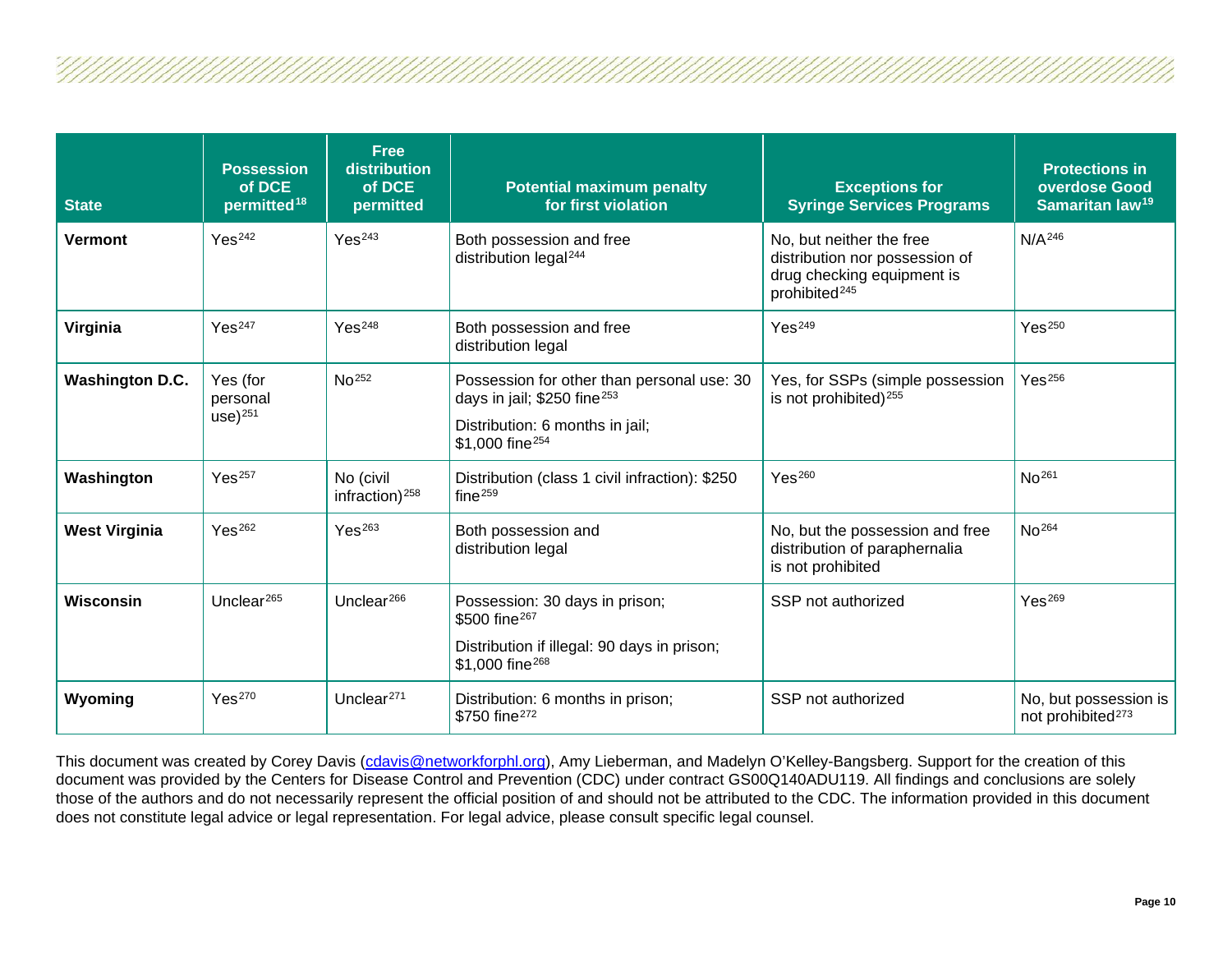| <b>State</b>           | <b>Possession</b><br>of DCE<br>permitted <sup>18</sup> | <b>Free</b><br>distribution<br>of DCE<br>permitted | <b>Potential maximum penalty</b><br>for first violation                                                                                                  | <b>Exceptions for</b><br><b>Syringe Services Programs</b>                                                             | <b>Protections in</b><br>overdose Good<br>Samaritan law <sup>19</sup> |
|------------------------|--------------------------------------------------------|----------------------------------------------------|----------------------------------------------------------------------------------------------------------------------------------------------------------|-----------------------------------------------------------------------------------------------------------------------|-----------------------------------------------------------------------|
| <b>Vermont</b>         | Yes <sup>242</sup>                                     | Yes <sup>243</sup>                                 | Both possession and free<br>distribution legal <sup>244</sup>                                                                                            | No, but neither the free<br>distribution nor possession of<br>drug checking equipment is<br>prohibited <sup>245</sup> | N/A <sup>246</sup>                                                    |
| Virginia               | Yes <sup>247</sup>                                     | Yes <sup>248</sup>                                 | Both possession and free<br>distribution legal                                                                                                           | Yes <sup>249</sup>                                                                                                    | Yes <sup>250</sup>                                                    |
| <b>Washington D.C.</b> | Yes (for<br>personal<br>$use)$ <sup>251</sup>          | No <sup>252</sup>                                  | Possession for other than personal use: 30<br>days in jail; $$250$ fine <sup>253</sup><br>Distribution: 6 months in jail;<br>\$1,000 fine <sup>254</sup> | Yes, for SSPs (simple possession<br>is not prohibited) <sup>255</sup>                                                 | Yes <sup>256</sup>                                                    |
| Washington             | Yes <sup>257</sup>                                     | No (civil<br>infraction) <sup>258</sup>            | Distribution (class 1 civil infraction): \$250<br>fine $259$                                                                                             | Yes <sup>260</sup>                                                                                                    | No <sup>261</sup>                                                     |
| <b>West Virginia</b>   | Yes <sup>262</sup>                                     | Yes <sup>263</sup>                                 | Both possession and<br>distribution legal                                                                                                                | No, but the possession and free<br>distribution of paraphernalia<br>is not prohibited                                 | No <sup>264</sup>                                                     |
| Wisconsin              | Unclear $265$                                          | Unclear $266$                                      | Possession: 30 days in prison;<br>\$500 fine <sup>267</sup><br>Distribution if illegal: 90 days in prison;<br>\$1,000 fine <sup>268</sup>                | SSP not authorized                                                                                                    | Yes <sup>269</sup>                                                    |
| Wyoming                | Yes <sup>270</sup>                                     | Unclear $271$                                      | Distribution: 6 months in prison;<br>\$750 fine <sup>272</sup>                                                                                           | SSP not authorized                                                                                                    | No, but possession is<br>not prohibited <sup>273</sup>                |

This document was created by Corey Davis (<u>cdavis@networkforphl.org</u>), Amy Lieberman, and Madelyn O'Kelley-Bangsberg. Support for the creation of this document was provided by the Centers for Disease Control and Prevention (CDC) under contract GS00Q140ADU119. All findings and conclusions are solely those of the authors and do not necessarily represent the official position of and should not be attributed to the CDC. The information provided in this document does not constitute legal advice or legal representation. For legal advice, please consult specific legal counsel.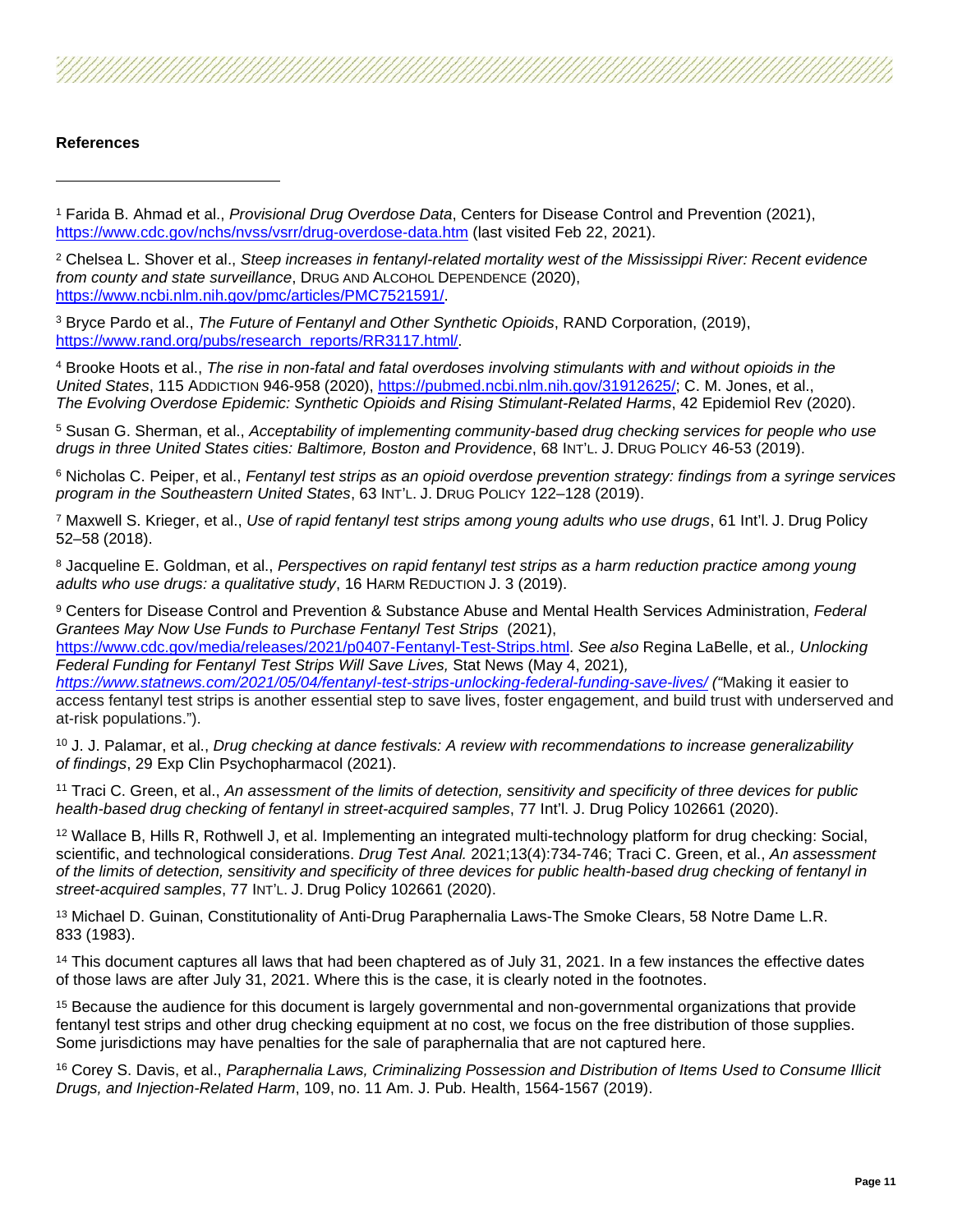

<sup>1</sup> Farida B. Ahmad et al., *Provisional Drug Overdose Data*, Centers for Disease Control and Prevention (2021), <https://www.cdc.gov/nchs/nvss/vsrr/drug-overdose-data.htm> (last visited Feb 22, 2021).

<sup>2</sup> Chelsea L. Shover et al., *Steep increases in fentanyl-related mortality west of the Mississippi River: Recent evidence from county and state surveillance*, DRUG AND ALCOHOL DEPENDENCE (2020), [https://www.ncbi.nlm.nih.gov/pmc/articles/PMC7521591/.](https://www.ncbi.nlm.nih.gov/pmc/articles/PMC7521591/)

<sup>3</sup> Bryce Pardo et al., *The Future of Fentanyl and Other Synthetic Opioids*, RAND Corporation, (2019), [https://www.rand.org/pubs/research\\_reports/RR3117.html/.](https://www.rand.org/pubs/research_reports/RR3117.html/)

<sup>4</sup> Brooke Hoots et al., *The rise in non-fatal and fatal overdoses involving stimulants with and without opioids in the United States*, 115 ADDICTION 946-958 (2020), [https://pubmed.ncbi.nlm.nih.gov/31912625/;](https://pubmed.ncbi.nlm.nih.gov/31912625/) C. M. Jones, et al., *The Evolving Overdose Epidemic: Synthetic Opioids and Rising Stimulant-Related Harms*, 42 Epidemiol Rev (2020).

<sup>5</sup> Susan G. Sherman, et al., *Acceptability of implementing community-based drug checking services for people who use drugs in three United States cities: Baltimore, Boston and Providence*, 68 INT'L. J. DRUG POLICY 46-53 (2019).

<sup>6</sup> Nicholas C. Peiper, et al., *Fentanyl test strips as an opioid overdose prevention strategy: findings from a syringe services program in the Southeastern United States*, 63 INT'L. J. DRUG POLICY 122–128 (2019).

<sup>7</sup> Maxwell S. Krieger, et al., *Use of rapid fentanyl test strips among young adults who use drugs*, 61 Int'l. J. Drug Policy 52–58 (2018).

<sup>8</sup> Jacqueline E. Goldman, et al., *Perspectives on rapid fentanyl test strips as a harm reduction practice among young adults who use drugs: a qualitative study*, 16 HARM REDUCTION J. 3 (2019).

<sup>9</sup> Centers for Disease Control and Prevention & Substance Abuse and Mental Health Services Administration, *Federal Grantees May Now Use Funds to Purchase Fentanyl Test Strips* (2021), [https://www.cdc.gov/media/releases/2021/p0407-Fentanyl-Test-Strips.html.](https://www.cdc.gov/media/releases/2021/p0407-Fentanyl-Test-Strips.html) *See also* Regina LaBelle, et al*., Unlocking* 

*Federal Funding for Fentanyl Test Strips Will Save Lives,* Stat News (May 4, 2021)*, <https://www.statnews.com/2021/05/04/fentanyl-test-strips-unlocking-federal-funding-save-lives/> ("*Making it easier to access fentanyl test strips is another essential step to save lives, foster engagement, and build trust with underserved and at-risk populations.").

<sup>10</sup> J. J. Palamar, et al., *Drug checking at dance festivals: A review with recommendations to increase generalizability of findings*, 29 Exp Clin Psychopharmacol (2021).

<sup>11</sup> Traci C. Green, et al., *An assessment of the limits of detection, sensitivity and specificity of three devices for public health-based drug checking of fentanyl in street-acquired samples*, 77 Int'l. J. Drug Policy 102661 (2020).

<sup>12</sup> Wallace B, Hills R, Rothwell J, et al. Implementing an integrated multi-technology platform for drug checking: Social, scientific, and technological considerations. *Drug Test Anal.* 2021;13(4):734-746; Traci C. Green, et al., *An assessment of the limits of detection, sensitivity and specificity of three devices for public health-based drug checking of fentanyl in street-acquired samples*, 77 INT'L. J. Drug Policy 102661 (2020).

<sup>13</sup> Michael D. Guinan, Constitutionality of Anti-Drug Paraphernalia Laws-The Smoke Clears, 58 Notre Dame L.R. 833 (1983).

<sup>14</sup> This document captures all laws that had been chaptered as of July 31, 2021. In a few instances the effective dates of those laws are after July 31, 2021. Where this is the case, it is clearly noted in the footnotes.

<sup>15</sup> Because the audience for this document is largely governmental and non-governmental organizations that provide fentanyl test strips and other drug checking equipment at no cost, we focus on the free distribution of those supplies. Some jurisdictions may have penalties for the sale of paraphernalia that are not captured here.

<sup>16</sup> Corey S. Davis, et al., *Paraphernalia Laws, Criminalizing Possession and Distribution of Items Used to Consume Illicit Drugs, and Injection-Related Harm*, 109, no. 11 Am. J. Pub. Health, 1564-1567 (2019).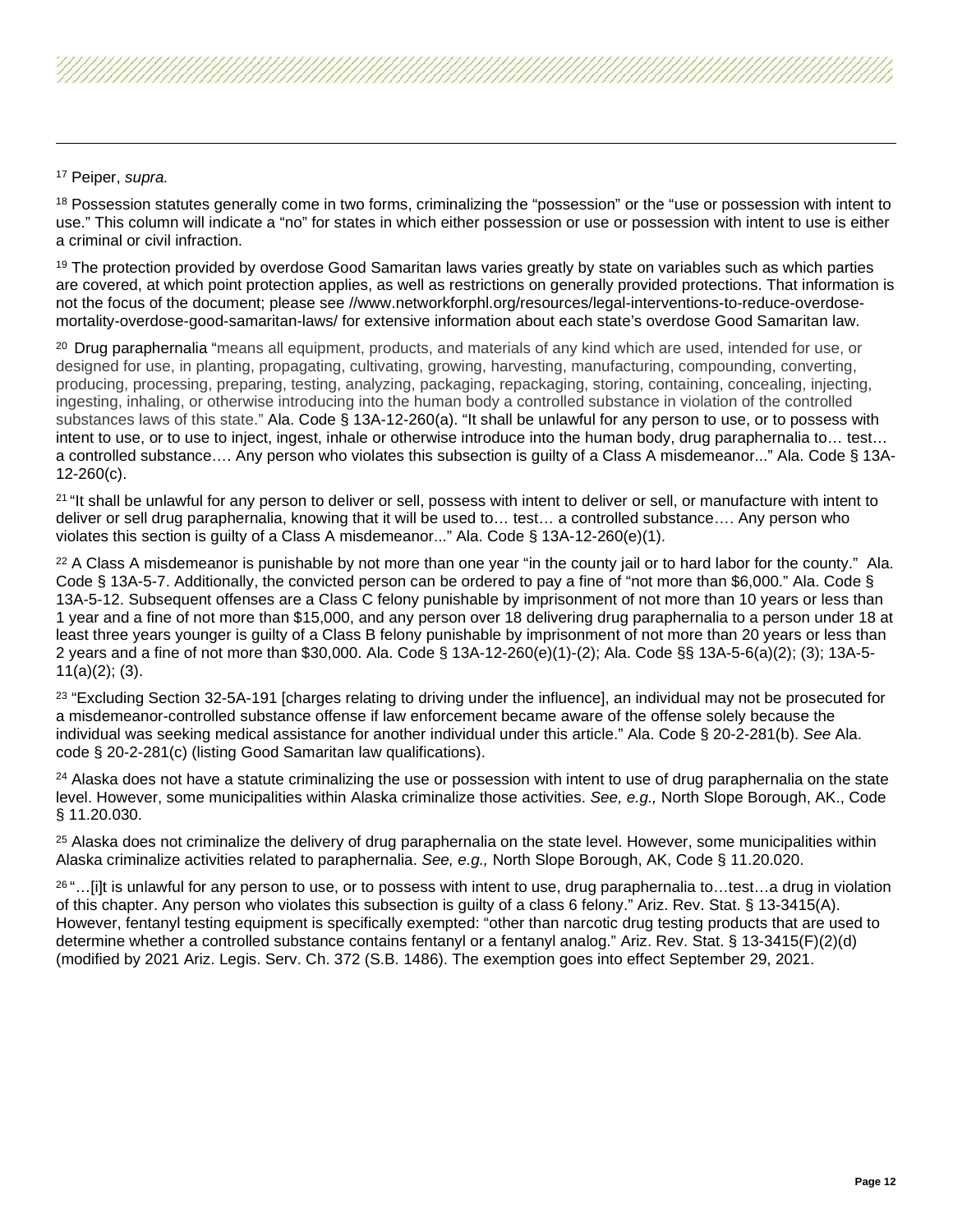## <sup>17</sup> Peiper, *supra.*

<span id="page-11-0"></span><sup>18</sup> Possession statutes generally come in two forms, criminalizing the "possession" or the "use or possession with intent to use." This column will indicate a "no" for states in which either possession or use or possession with intent to use is either a criminal or civil infraction.

<span id="page-11-1"></span><sup>19</sup> The protection provided by overdose Good Samaritan laws varies greatly by state on variables such as which parties are covered, at which point protection applies, as well as restrictions on generally provided protections. That information is not the focus of the document; please see //www.networkforphl.org/resources/legal-interventions-to-reduce-overdosemortality-overdose-good-samaritan-laws/ for extensive information about each state's overdose Good Samaritan law.

<span id="page-11-3"></span><span id="page-11-2"></span><sup>20</sup> Drug paraphernalia "means all equipment, products, and materials of any kind which are used, intended for use, or designed for use, in planting, propagating, cultivating, growing, harvesting, manufacturing, compounding, converting, producing, processing, preparing, testing, analyzing, packaging, repackaging, storing, containing, concealing, injecting, ingesting, inhaling, or otherwise introducing into the human body a controlled substance in violation of the controlled substances laws of this state." Ala. Code § 13A-12-260(a). "It shall be unlawful for any person to use, or to possess with intent to use, or to use to inject, ingest, inhale or otherwise introduce into the human body, drug paraphernalia to… test… a controlled substance…. Any person who violates this subsection is guilty of a Class A misdemeanor..." Ala. Code § 13A-12-260(c).

<span id="page-11-6"></span><span id="page-11-5"></span><span id="page-11-4"></span><sup>21</sup> "It shall be unlawful for any person to deliver or sell, possess with intent to deliver or sell, or manufacture with intent to deliver or sell drug paraphernalia, knowing that it will be used to… test… a controlled substance…. Any person who violates this section is guilty of a Class A misdemeanor..." Ala. Code § 13A-12-260(e)(1).

<span id="page-11-8"></span><span id="page-11-7"></span><sup>22</sup> A Class A misdemeanor is punishable by not more than one year "in the county jail or to hard labor for the county." Ala. Code § 13A-5-7. Additionally, the convicted person can be ordered to pay a fine of "not more than \$6,000." Ala. Code § 13A-5-12. Subsequent offenses are a Class C felony punishable by imprisonment of not more than 10 years or less than 1 year and a fine of not more than \$15,000, and any person over 18 delivering drug paraphernalia to a person under 18 at least three years younger is guilty of a Class B felony punishable by imprisonment of not more than 20 years or less than 2 years and a fine of not more than \$30,000. Ala. Code § 13A-12-260(e)(1)-(2); Ala. Code §§ 13A-5-6(a)(2); (3); 13A-5- 11(a)(2); (3).

<sup>23</sup> "Excluding Section 32-5A-191 [charges relating to driving under the influence], an individual may not be prosecuted for a misdemeanor-controlled substance offense if law enforcement became aware of the offense solely because the individual was seeking medical assistance for another individual under this article." Ala. Code § 20-2-281(b). *See* Ala. code § 20-2-281(c) (listing Good Samaritan law qualifications).

<span id="page-11-10"></span><span id="page-11-9"></span><sup>24</sup> Alaska does not have a statute criminalizing the use or possession with intent to use of drug paraphernalia on the state level. However, some municipalities within Alaska criminalize those activities. *See, e.g.,* North Slope Borough, AK., Code § 11.20.030.

<span id="page-11-11"></span><sup>25</sup> Alaska does not criminalize the delivery of drug paraphernalia on the state level. However, some municipalities within Alaska criminalize activities related to paraphernalia. *See, e.g.,* North Slope Borough, AK, Code § 11.20.020.

<span id="page-11-15"></span><span id="page-11-14"></span><span id="page-11-13"></span><span id="page-11-12"></span> $26$  "... [i]t is unlawful for any person to use, or to possess with intent to use, drug paraphernalia to...test...a drug in violation of this chapter. Any person who violates this subsection is guilty of a class 6 felony." Ariz. Rev. Stat. § 13-3415(A). However, fentanyl testing equipment is specifically exempted: "other than narcotic drug testing products that are used to determine whether a controlled substance contains fentanyl or a fentanyl analog." Ariz. Rev. Stat. § 13-3415(F)(2)(d) (modified by 2021 Ariz. Legis. Serv. Ch. 372 (S.B. 1486). The exemption goes into effect September 29, 2021.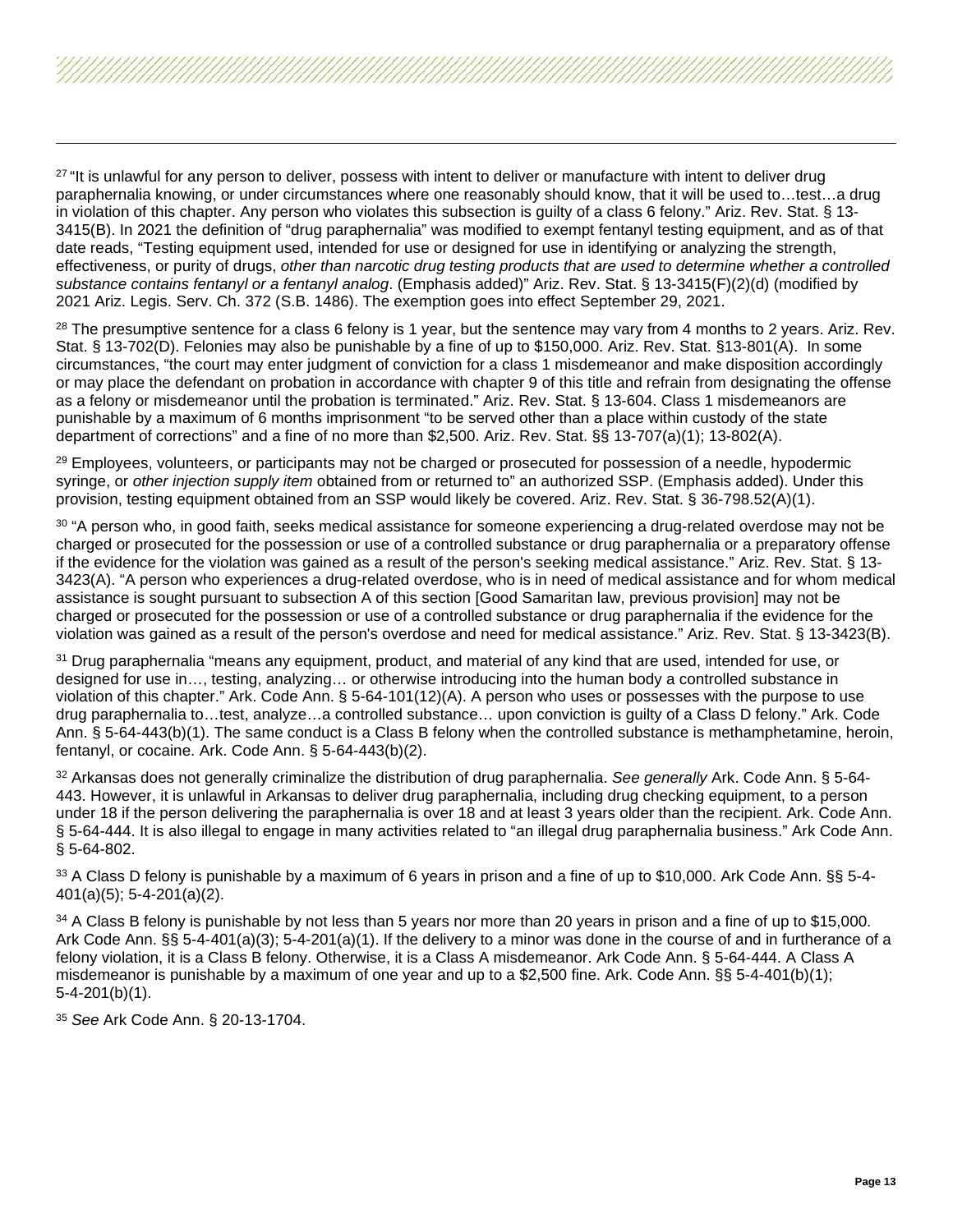<span id="page-12-10"></span><span id="page-12-9"></span><span id="page-12-8"></span><span id="page-12-7"></span><span id="page-12-6"></span><span id="page-12-5"></span><span id="page-12-4"></span><span id="page-12-3"></span><span id="page-12-2"></span><span id="page-12-1"></span><span id="page-12-0"></span><sup>27</sup> "It is unlawful for any person to deliver, possess with intent to deliver or manufacture with intent to deliver drug paraphernalia knowing, or under circumstances where one reasonably should know, that it will be used to…test…a drug in violation of this chapter. Any person who violates this subsection is guilty of a class 6 felony." Ariz. Rev. Stat. § 13- 3415(B). In 2021 the definition of "drug paraphernalia" was modified to exempt fentanyl testing equipment, and as of that date reads, "Testing equipment used, intended for use or designed for use in identifying or analyzing the strength, effectiveness, or purity of drugs, *other than narcotic drug testing products that are used to determine whether a controlled substance contains fentanyl or a fentanyl analog*. (Emphasis added)" Ariz. Rev. Stat. § 13-3415(F)(2)(d) (modified by 2021 Ariz. Legis. Serv. Ch. 372 (S.B. 1486). The exemption goes into effect September 29, 2021.

 $28$  The presumptive sentence for a class 6 felony is 1 year, but the sentence may vary from 4 months to 2 years. Ariz. Rev. Stat. § 13-702(D). Felonies may also be punishable by a fine of up to \$150,000. Ariz. Rev. Stat. §13-801(A). In some circumstances, "the court may enter judgment of conviction for a class 1 misdemeanor and make disposition accordingly or may place the defendant on probation in accordance with chapter 9 of this title and refrain from designating the offense as a felony or misdemeanor until the probation is terminated." Ariz. Rev. Stat. § 13-604. Class 1 misdemeanors are punishable by a maximum of 6 months imprisonment "to be served other than a place within custody of the state department of corrections" and a fine of no more than \$2,500. Ariz. Rev. Stat. §§ 13-707(a)(1); 13-802(A).

<sup>29</sup> Employees, volunteers, or participants may not be charged or prosecuted for possession of a needle, hypodermic syringe, or *other injection supply item* obtained from or returned to" an authorized SSP. (Emphasis added). Under this provision, testing equipment obtained from an SSP would likely be covered. Ariz. Rev. Stat. § 36-798.52(A)(1).

<sup>30</sup> "A person who, in good faith, seeks medical assistance for someone experiencing a drug-related overdose may not be charged or prosecuted for the possession or use of a controlled substance or drug paraphernalia or a preparatory offense if the evidence for the violation was gained as a result of the person's seeking medical assistance." Ariz. Rev. Stat. § 13- 3423(A). "A person who experiences a drug-related overdose, who is in need of medical assistance and for whom medical assistance is sought pursuant to subsection A of this section [Good Samaritan law, previous provision] may not be charged or prosecuted for the possession or use of a controlled substance or drug paraphernalia if the evidence for the violation was gained as a result of the person's overdose and need for medical assistance." Ariz. Rev. Stat. § 13-3423(B).

<sup>31</sup> Drug paraphernalia "means any equipment, product, and material of any kind that are used, intended for use, or designed for use in…, testing, analyzing… or otherwise introducing into the human body a controlled substance in violation of this chapter." Ark. Code Ann. § 5-64-101(12)(A). A person who uses or possesses with the purpose to use drug paraphernalia to…test, analyze…a controlled substance… upon conviction is guilty of a Class D felony." Ark. Code Ann. § 5-64-443(b)(1). The same conduct is a Class B felony when the controlled substance is methamphetamine, heroin, fentanyl, or cocaine. Ark. Code Ann. § 5-64-443(b)(2).

<sup>32</sup> Arkansas does not generally criminalize the distribution of drug paraphernalia. *See generally* Ark. Code Ann. § 5-64- 443. However, it is unlawful in Arkansas to deliver drug paraphernalia, including drug checking equipment, to a person under 18 if the person delivering the paraphernalia is over 18 and at least 3 years older than the recipient. Ark. Code Ann. § 5-64-444. It is also illegal to engage in many activities related to "an illegal drug paraphernalia business." Ark Code Ann. § 5-64-802.

<sup>33</sup> A Class D felony is punishable by a maximum of 6 years in prison and a fine of up to \$10,000. Ark Code Ann. §§ 5-4- 401(a)(5); 5-4-201(a)(2).

<sup>34</sup> A Class B felony is punishable by not less than 5 years nor more than 20 years in prison and a fine of up to \$15,000. Ark Code Ann. §§ 5-4-401(a)(3); 5-4-201(a)(1). If the delivery to a minor was done in the course of and in furtherance of a felony violation, it is a Class B felony. Otherwise, it is a Class A misdemeanor. Ark Code Ann. § 5-64-444. A Class A misdemeanor is punishable by a maximum of one year and up to a \$2,500 fine. Ark. Code Ann. §§ 5-4-401(b)(1); 5-4-201(b)(1).

<sup>35</sup> *See* Ark Code Ann. § 20-13-1704.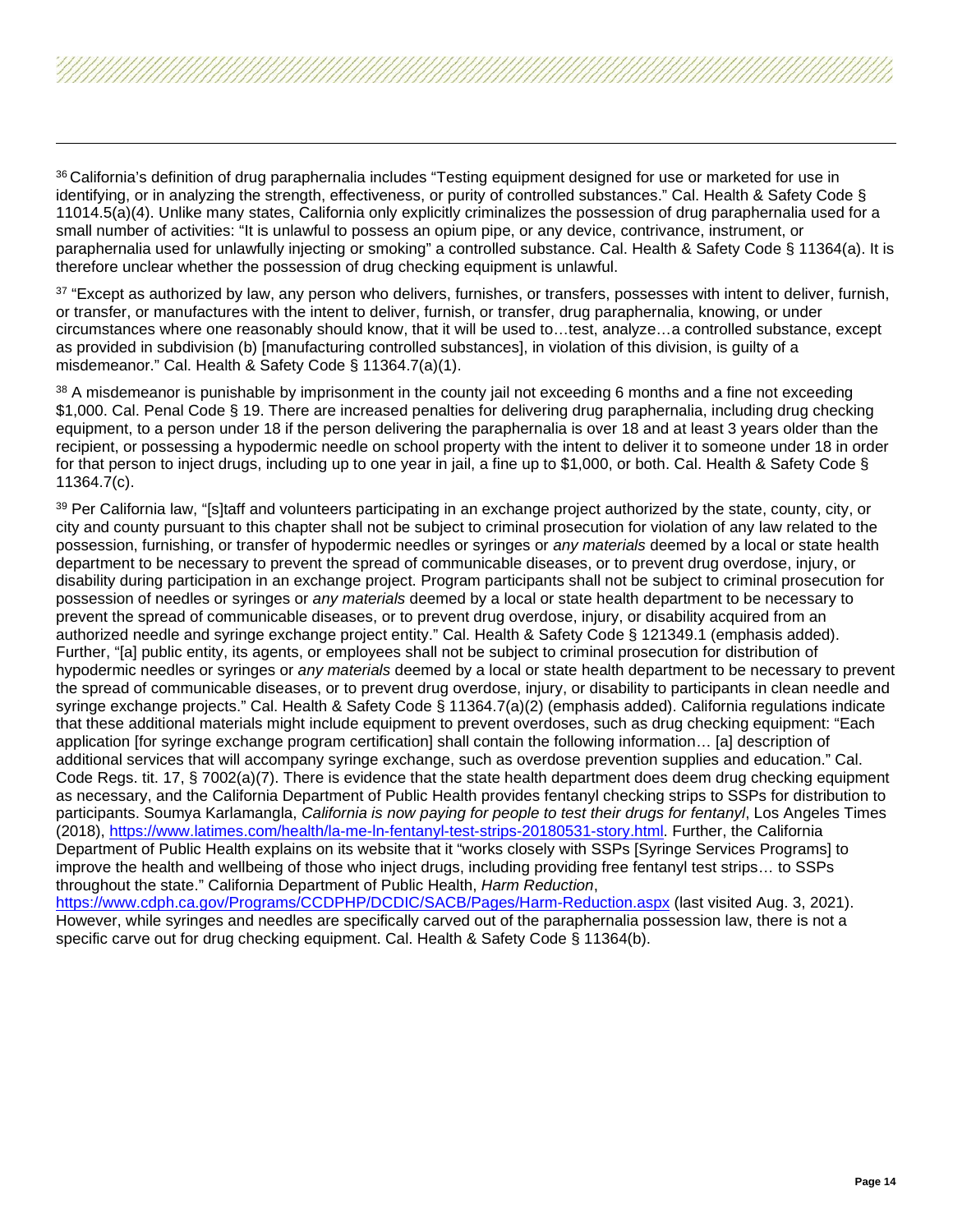<span id="page-13-7"></span><span id="page-13-6"></span><span id="page-13-5"></span><span id="page-13-4"></span><span id="page-13-3"></span><span id="page-13-2"></span><span id="page-13-1"></span><span id="page-13-0"></span>

37 "Except as authorized by law, any person who delivers, furnishes, or transfers, possesses with intent to deliver, furnish, or transfer, or manufactures with the intent to deliver, furnish, or transfer, drug paraphernalia, knowing, or under circumstances where one reasonably should know, that it will be used to…test, analyze…a controlled substance, except as provided in subdivision (b) [manufacturing controlled substances], in violation of this division, is guilty of a misdemeanor." Cal. Health & Safety Code § 11364.7(a)(1).

38 A misdemeanor is punishable by imprisonment in the county jail not exceeding 6 months and a fine not exceeding \$1,000. Cal. Penal Code § 19. There are increased penalties for delivering drug paraphernalia, including drug checking equipment, to a person under 18 if the person delivering the paraphernalia is over 18 and at least 3 years older than the recipient, or possessing a hypodermic needle on school property with the intent to deliver it to someone under 18 in order for that person to inject drugs, including up to one year in jail, a fine up to \$1,000, or both. Cal. Health & Safety Code § 11364.7(c).

<sup>39</sup> Per California law, "[s]taff and volunteers participating in an exchange project authorized by the state, county, city, or city and county pursuant to this chapter shall not be subject to criminal prosecution for violation of any law related to the possession, furnishing, or transfer of hypodermic needles or syringes or *any materials* deemed by a local or state health department to be necessary to prevent the spread of communicable diseases, or to prevent drug overdose, injury, or disability during participation in an exchange project. Program participants shall not be subject to criminal prosecution for possession of needles or syringes or *any materials* deemed by a local or state health department to be necessary to prevent the spread of communicable diseases, or to prevent drug overdose, injury, or disability acquired from an authorized needle and syringe exchange project entity." Cal. Health & Safety Code § 121349.1 (emphasis added). Further, "[a] public entity, its agents, or employees shall not be subject to criminal prosecution for distribution of hypodermic needles or syringes or *any materials* deemed by a local or state health department to be necessary to prevent the spread of communicable diseases, or to prevent drug overdose, injury, or disability to participants in clean needle and syringe exchange projects." Cal. Health & Safety Code § 11364.7(a)(2) (emphasis added). California regulations indicate that these additional materials might include equipment to prevent overdoses, such as drug checking equipment: "Each application [for syringe exchange program certification] shall contain the following information… [a] description of additional services that will accompany syringe exchange, such as overdose prevention supplies and education." Cal. Code Regs. tit. 17, § 7002(a)(7). There is evidence that the state health department does deem drug checking equipment as necessary, and the California Department of Public Health provides fentanyl checking strips to SSPs for distribution to participants. Soumya Karlamangla, *California is now paying for people to test their drugs for fentanyl*, Los Angeles Times (2018), [https://www.latimes.com/health/la-me-ln-fentanyl-test-strips-20180531-story.html.](https://www.latimes.com/health/la-me-ln-fentanyl-test-strips-20180531-story.html) Further, the California Department of Public Health explains on its website that it "works closely with SSPs [Syringe Services Programs] to improve the health and wellbeing of those who inject drugs, including providing free fentanyl test strips… to SSPs throughout the state." California Department of Public Health, *Harm Reduction*, <https://www.cdph.ca.gov/Programs/CCDPHP/DCDIC/SACB/Pages/Harm-Reduction.aspx> (last visited Aug. 3, 2021). However, while syringes and needles are specifically carved out of the paraphernalia possession law, there is not a

specific carve out for drug checking equipment. Cal. Health & Safety Code § 11364(b).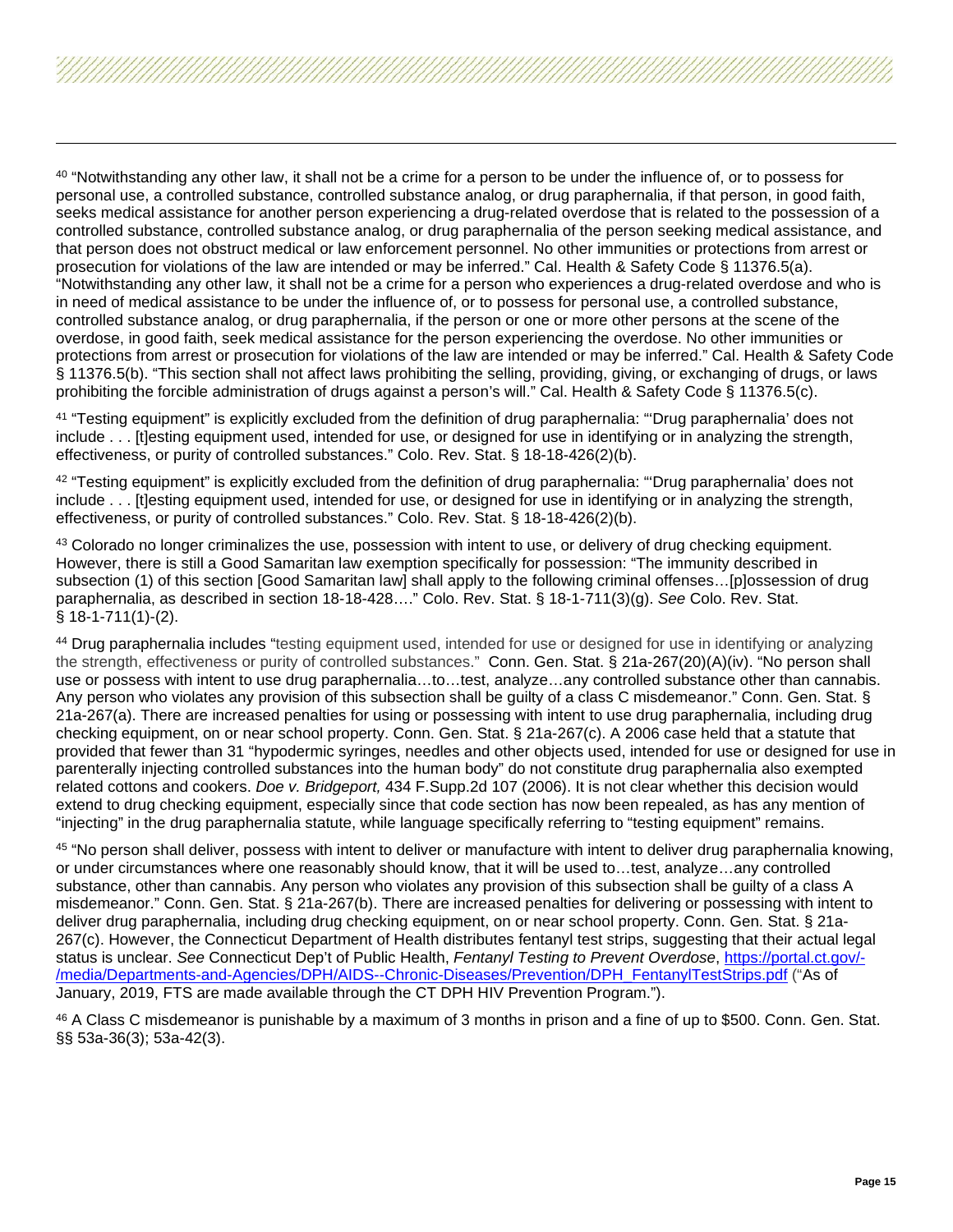<span id="page-14-3"></span><span id="page-14-2"></span><span id="page-14-1"></span><span id="page-14-0"></span>40 "Notwithstanding any other law, it shall not be a crime for a person to be under the influence of, or to possess for personal use, a controlled substance, controlled substance analog, or drug paraphernalia, if that person, in good faith, seeks medical assistance for another person experiencing a drug-related overdose that is related to the possession of a controlled substance, controlled substance analog, or drug paraphernalia of the person seeking medical assistance, and that person does not obstruct medical or law enforcement personnel. No other immunities or protections from arrest or prosecution for violations of the law are intended or may be inferred." Cal. Health & Safety Code § 11376.5(a). "Notwithstanding any other law, it shall not be a crime for a person who experiences a drug-related overdose and who is in need of medical assistance to be under the influence of, or to possess for personal use, a controlled substance, controlled substance analog, or drug paraphernalia, if the person or one or more other persons at the scene of the overdose, in good faith, seek medical assistance for the person experiencing the overdose. No other immunities or protections from arrest or prosecution for violations of the law are intended or may be inferred." Cal. Health & Safety Code § 11376.5(b). "This section shall not affect laws prohibiting the selling, providing, giving, or exchanging of drugs, or laws prohibiting the forcible administration of drugs against a person's will." Cal. Health & Safety Code § 11376.5(c).

<sup>41</sup> "Testing equipment" is explicitly excluded from the definition of drug paraphernalia: "'Drug paraphernalia' does not include . . . [t]esting equipment used, intended for use, or designed for use in identifying or in analyzing the strength, effectiveness, or purity of controlled substances." Colo. Rev. Stat. § 18-18-426(2)(b).

 $42$  "Testing equipment" is explicitly excluded from the definition of drug paraphernalia: ""Drug paraphernalia' does not include . . . [t]esting equipment used, intended for use, or designed for use in identifying or in analyzing the strength, effectiveness, or purity of controlled substances." Colo. Rev. Stat. § 18-18-426(2)(b).

43 Colorado no longer criminalizes the use, possession with intent to use, or delivery of drug checking equipment. However, there is still a Good Samaritan law exemption specifically for possession: "The immunity described in subsection (1) of this section [Good Samaritan law] shall apply to the following criminal offenses...[p]ossession of drug paraphernalia, as described in section 18-18-428…." Colo. Rev. Stat. § 18-1-711(3)(g). *See* Colo. Rev. Stat. § 18-1-711(1)-(2).

<sup>44</sup> Drug paraphernalia includes "testing equipment used, intended for use or designed for use in identifying or analyzing the strength, effectiveness or purity of controlled substances." Conn. Gen. Stat. § 21a-267(20)(A)(iv). "No person shall use or possess with intent to use drug paraphernalia…to…test, analyze…any controlled substance other than cannabis. Any person who violates any provision of this subsection shall be guilty of a class C misdemeanor." Conn. Gen. Stat. § 21a-267(a). There are increased penalties for using or possessing with intent to use drug paraphernalia, including drug checking equipment, on or near school property. Conn. Gen. Stat. § 21a-267(c). A 2006 case held that a statute that provided that fewer than 31 "hypodermic syringes, needles and other objects used, intended for use or designed for use in parenterally injecting controlled substances into the human body" do not constitute drug paraphernalia also exempted related cottons and cookers. *Doe v. Bridgeport,* 434 F.Supp.2d 107 (2006). It is not clear whether this decision would extend to drug checking equipment, especially since that code section has now been repealed, as has any mention of "injecting" in the drug paraphernalia statute, while language specifically referring to "testing equipment" remains.

<sup>45</sup> "No person shall deliver, possess with intent to deliver or manufacture with intent to deliver drug paraphernalia knowing, or under circumstances where one reasonably should know, that it will be used to…test, analyze…any controlled substance, other than cannabis. Any person who violates any provision of this subsection shall be guilty of a class A misdemeanor." Conn. Gen. Stat. § 21a-267(b). There are increased penalties for delivering or possessing with intent to deliver drug paraphernalia, including drug checking equipment, on or near school property. Conn. Gen. Stat. § 21a-267(c). However, the Connecticut Department of Health distributes fentanyl test strips, suggesting that their actual legal status is unclear. *See* Connecticut Dep't of Public Health, *Fentanyl Testing to Prevent Overdose*, [https://portal.ct.gov/-](https://portal.ct.gov/-/media/Departments-and-Agencies/DPH/AIDS--Chronic-Diseases/Prevention/DPH_FentanylTestStrips.pdf) [/media/Departments-and-Agencies/DPH/AIDS--Chronic-Diseases/Prevention/DPH\\_FentanylTestStrips.pdf](https://portal.ct.gov/-/media/Departments-and-Agencies/DPH/AIDS--Chronic-Diseases/Prevention/DPH_FentanylTestStrips.pdf) ("As of January, 2019, FTS are made available through the CT DPH HIV Prevention Program.").

<sup>46</sup> A Class C misdemeanor is punishable by a maximum of 3 months in prison and a fine of up to \$500. Conn. Gen. Stat. §§ 53a-36(3); 53a-42(3).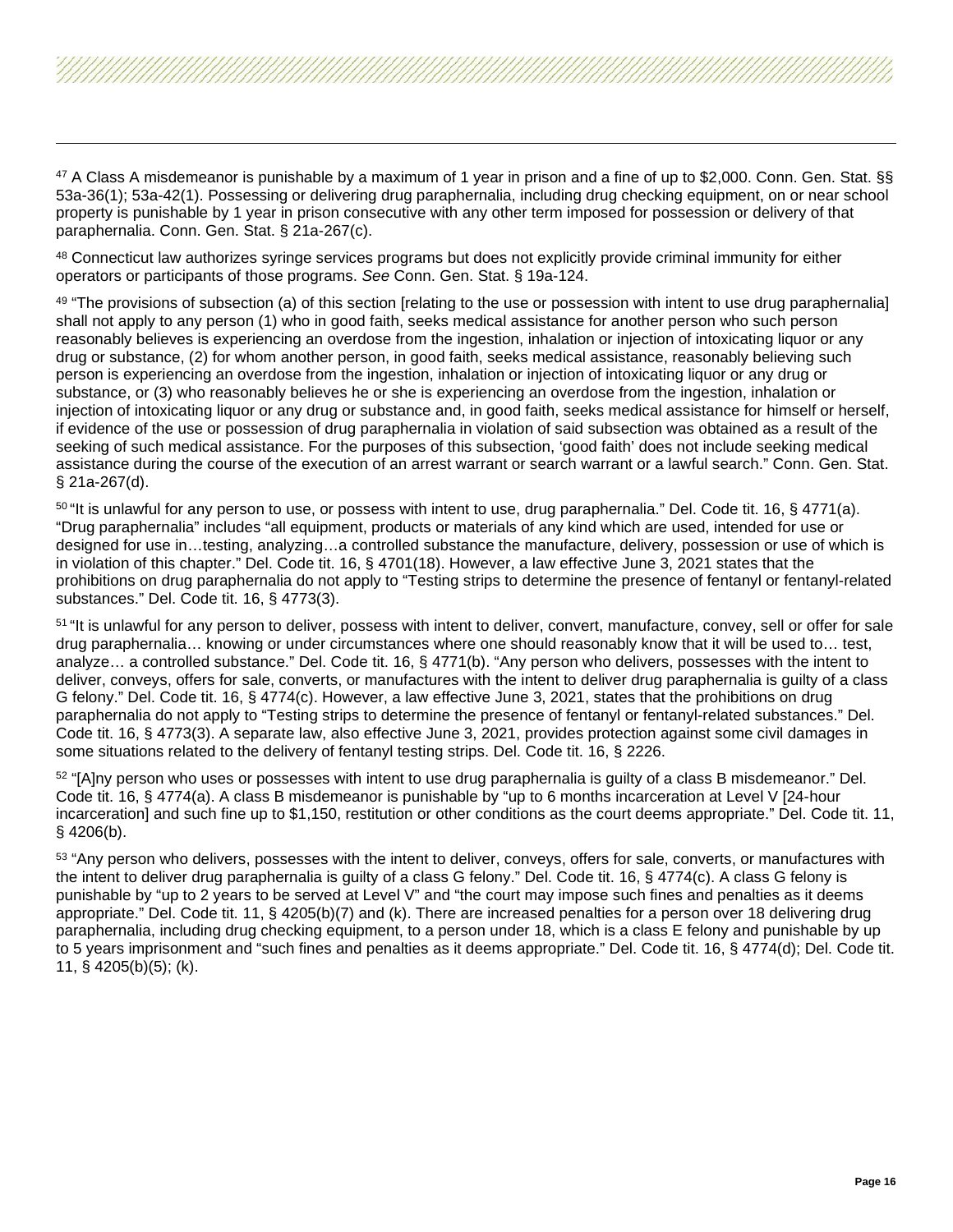<span id="page-15-6"></span><span id="page-15-5"></span><span id="page-15-4"></span><span id="page-15-3"></span><span id="page-15-2"></span><span id="page-15-1"></span><span id="page-15-0"></span><sup>47</sup> A Class A misdemeanor is punishable by a maximum of 1 year in prison and a fine of up to \$2,000. Conn. Gen. Stat. §§ 53a-36(1); 53a-42(1). Possessing or delivering drug paraphernalia, including drug checking equipment, on or near school property is punishable by 1 year in prison consecutive with any other term imposed for possession or delivery of that paraphernalia. Conn. Gen. Stat. § 21a-267(c).

48 Connecticut law authorizes syringe services programs but does not explicitly provide criminal immunity for either operators or participants of those programs. *See* Conn. Gen. Stat. § 19a-124.

<sup>49</sup> "The provisions of subsection (a) of this section [relating to the use or possession with intent to use drug paraphernalia] shall not apply to any person (1) who in good faith, seeks medical assistance for another person who such person reasonably believes is experiencing an overdose from the ingestion, inhalation or injection of intoxicating liquor or any drug or substance, (2) for whom another person, in good faith, seeks medical assistance, reasonably believing such person is experiencing an overdose from the ingestion, inhalation or injection of intoxicating liquor or any drug or substance, or (3) who reasonably believes he or she is experiencing an overdose from the ingestion, inhalation or injection of intoxicating liquor or any drug or substance and, in good faith, seeks medical assistance for himself or herself, if evidence of the use or possession of drug paraphernalia in violation of said subsection was obtained as a result of the seeking of such medical assistance. For the purposes of this subsection, 'good faith' does not include seeking medical assistance during the course of the execution of an arrest warrant or search warrant or a lawful search." Conn. Gen. Stat. § 21a-267(d).

 $50$  "It is unlawful for any person to use, or possess with intent to use, drug paraphernalia." Del. Code tit. 16,  $\frac{6}{171}$ "Drug paraphernalia" includes "all equipment, products or materials of any kind which are used, intended for use or designed for use in…testing, analyzing…a controlled substance the manufacture, delivery, possession or use of which is in violation of this chapter." Del. Code tit. 16, § 4701(18). However, a law effective June 3, 2021 states that the prohibitions on drug paraphernalia do not apply to "Testing strips to determine the presence of fentanyl or fentanyl-related substances." Del. Code tit. 16, § 4773(3).

<sup>51</sup> "It is unlawful for any person to deliver, possess with intent to deliver, convert, manufacture, convey, sell or offer for sale drug paraphernalia… knowing or under circumstances where one should reasonably know that it will be used to… test, analyze... a controlled substance." Del. Code tit. 16, § 4771(b). "Any person who delivers, possesses with the intent to deliver, conveys, offers for sale, converts, or manufactures with the intent to deliver drug paraphernalia is guilty of a class G felony." Del. Code tit. 16, § 4774(c). However, a law effective June 3, 2021, states that the prohibitions on drug paraphernalia do not apply to "Testing strips to determine the presence of fentanyl or fentanyl-related substances." Del. Code tit. 16, § 4773(3). A separate law, also effective June 3, 2021, provides protection against some civil damages in some situations related to the delivery of fentanyl testing strips. Del. Code tit. 16, § 2226.

52 "[A]ny person who uses or possesses with intent to use drug paraphernalia is guilty of a class B misdemeanor." Del. Code tit. 16, § 4774(a). A class B misdemeanor is punishable by "up to 6 months incarceration at Level V [24-hour incarceration] and such fine up to \$1,150, restitution or other conditions as the court deems appropriate." Del. Code tit. 11, § 4206(b).

<sup>53</sup> "Any person who delivers, possesses with the intent to deliver, conveys, offers for sale, converts, or manufactures with the intent to deliver drug paraphernalia is guilty of a class G felony." Del. Code tit. 16, § 4774(c). A class G felony is punishable by "up to 2 years to be served at Level V" and "the court may impose such fines and penalties as it deems appropriate." Del. Code tit. 11, § 4205(b)(7) and (k). There are increased penalties for a person over 18 delivering drug paraphernalia, including drug checking equipment, to a person under 18, which is a class E felony and punishable by up to 5 years imprisonment and "such fines and penalties as it deems appropriate." Del. Code tit. 16, § 4774(d); Del. Code tit. 11, § 4205(b)(5); (k).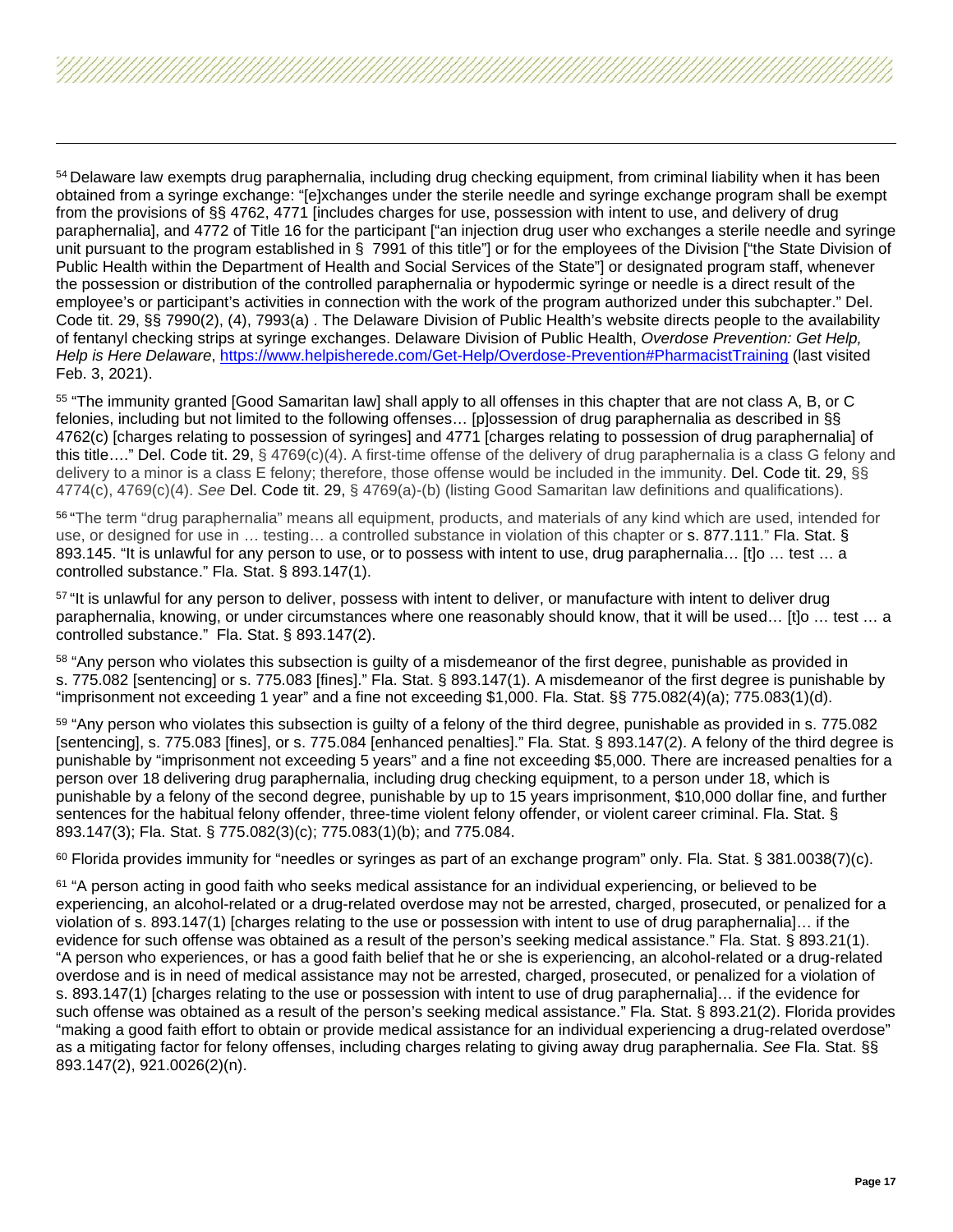<span id="page-16-6"></span><span id="page-16-5"></span><span id="page-16-4"></span><span id="page-16-3"></span><span id="page-16-2"></span><span id="page-16-1"></span><span id="page-16-0"></span><sup>54</sup> Delaware law exempts drug paraphernalia, including drug checking equipment, from criminal liability when it has been obtained from a syringe exchange: "[e]xchanges under the sterile needle and syringe exchange program shall be exempt from the provisions of §§ 4762, 4771 [includes charges for use, possession with intent to use, and delivery of drug paraphernalia], and 4772 of Title 16 for the participant ["an injection drug user who exchanges a sterile needle and syringe unit pursuant to the program established in § 7991 of this title"] or for the employees of the Division ["the State Division of Public Health within the Department of Health and Social Services of the State"] or designated program staff, whenever the possession or distribution of the controlled paraphernalia or hypodermic syringe or needle is a direct result of the employee's or participant's activities in connection with the work of the program authorized under this subchapter." Del. Code tit. 29, §§ 7990(2), (4), 7993(a) . The Delaware Division of Public Health's website directs people to the availability of fentanyl checking strips at syringe exchanges. Delaware Division of Public Health, *Overdose Prevention: Get Help, Help is Here Delaware*, [https://www.helpisherede.com/Get-Help/Overdose-Prevention#PharmacistTraining](https://www.helpisherede.com/Get-Help/Overdose-Prevention%23PharmacistTraining) (last visited Feb. 3, 2021).

<sup>55</sup> "The immunity granted [Good Samaritan law] shall apply to all offenses in this chapter that are not class A, B, or C felonies, including but not limited to the following offenses… [p]ossession of drug paraphernalia as described in §§ 4762(c) [charges relating to possession of syringes] and 4771 [charges relating to possession of drug paraphernalia] of this title…." Del. Code tit. 29, § 4769(c)(4). A first-time offense of the delivery of drug paraphernalia is a class G felony and delivery to a minor is a class E felony; therefore, those offense would be included in the immunity. Del. Code tit. 29, §§ 4774(c), 4769(c)(4). *See* Del. Code tit. 29, § 4769(a)-(b) (listing Good Samaritan law definitions and qualifications).

<sup>56</sup> "The term "drug paraphernalia" means all equipment, products, and materials of any kind which are used, intended for use, or designed for use in ... testing... a controlled substance in violation of this chapter or s. 877.111." Fla. Stat. § 893.145. "It is unlawful for any person to use, or to possess with intent to use, drug paraphernalia... [t]o ... test ... a controlled substance." Fla. Stat. § 893.147(1).

<sup>57</sup> "It is unlawful for any person to deliver, possess with intent to deliver, or manufacture with intent to deliver drug paraphernalia, knowing, or under circumstances where one reasonably should know, that it will be used… [t]o … test … a controlled substance." Fla. Stat. § 893.147(2).

58 "Any person who violates this subsection is guilty of a misdemeanor of the first degree, punishable as provided in s. 775.082 [sentencing] or s. 775.083 [fines]." Fla. Stat. § 893.147(1). A misdemeanor of the first degree is punishable by "imprisonment not exceeding 1 year" and a fine not exceeding \$1,000. Fla. Stat. §§ 775.082(4)(a); 775.083(1)(d).

<sup>59</sup> "Any person who violates this subsection is guilty of a felony of the third degree, punishable as provided in s. 775.082 [sentencing], s. 775.083 [fines], or s. 775.084 [enhanced penalties]." Fla. Stat. § 893.147(2). A felony of the third degree is punishable by "imprisonment not exceeding 5 years" and a fine not exceeding \$5,000. There are increased penalties for a person over 18 delivering drug paraphernalia, including drug checking equipment, to a person under 18, which is punishable by a felony of the second degree, punishable by up to 15 years imprisonment, \$10,000 dollar fine, and further sentences for the habitual felony offender, three-time violent felony offender, or violent career criminal. Fla. Stat. § 893.147(3); Fla. Stat. § 775.082(3)(c); 775.083(1)(b); and 775.084.

 $60$  Florida provides immunity for "needles or syringes as part of an exchange program" only. Fla. Stat. § 381.0038(7)(c).

<sup>61</sup> "A person acting in good faith who seeks medical assistance for an individual experiencing, or believed to be experiencing, an alcohol-related or a drug-related overdose may not be arrested, charged, prosecuted, or penalized for a violation of s. 893.147(1) [charges relating to the use or possession with intent to use of drug paraphernalia]… if the evidence for such offense was obtained as a result of the person's seeking medical assistance." Fla. Stat. § 893.21(1). "A person who experiences, or has a good faith belief that he or she is experiencing, an alcohol-related or a drug-related overdose and is in need of medical assistance may not be arrested, charged, prosecuted, or penalized for a violation of s. 893.147(1) [charges relating to the use or possession with intent to use of drug paraphernalia]… if the evidence for such offense was obtained as a result of the person's seeking medical assistance." Fla. Stat. § 893.21(2). Florida provides "making a good faith effort to obtain or provide medical assistance for an individual experiencing a drug-related overdose" as a mitigating factor for felony offenses, including charges relating to giving away drug paraphernalia. *See* Fla. Stat. §§ 893.147(2), 921.0026(2)(n).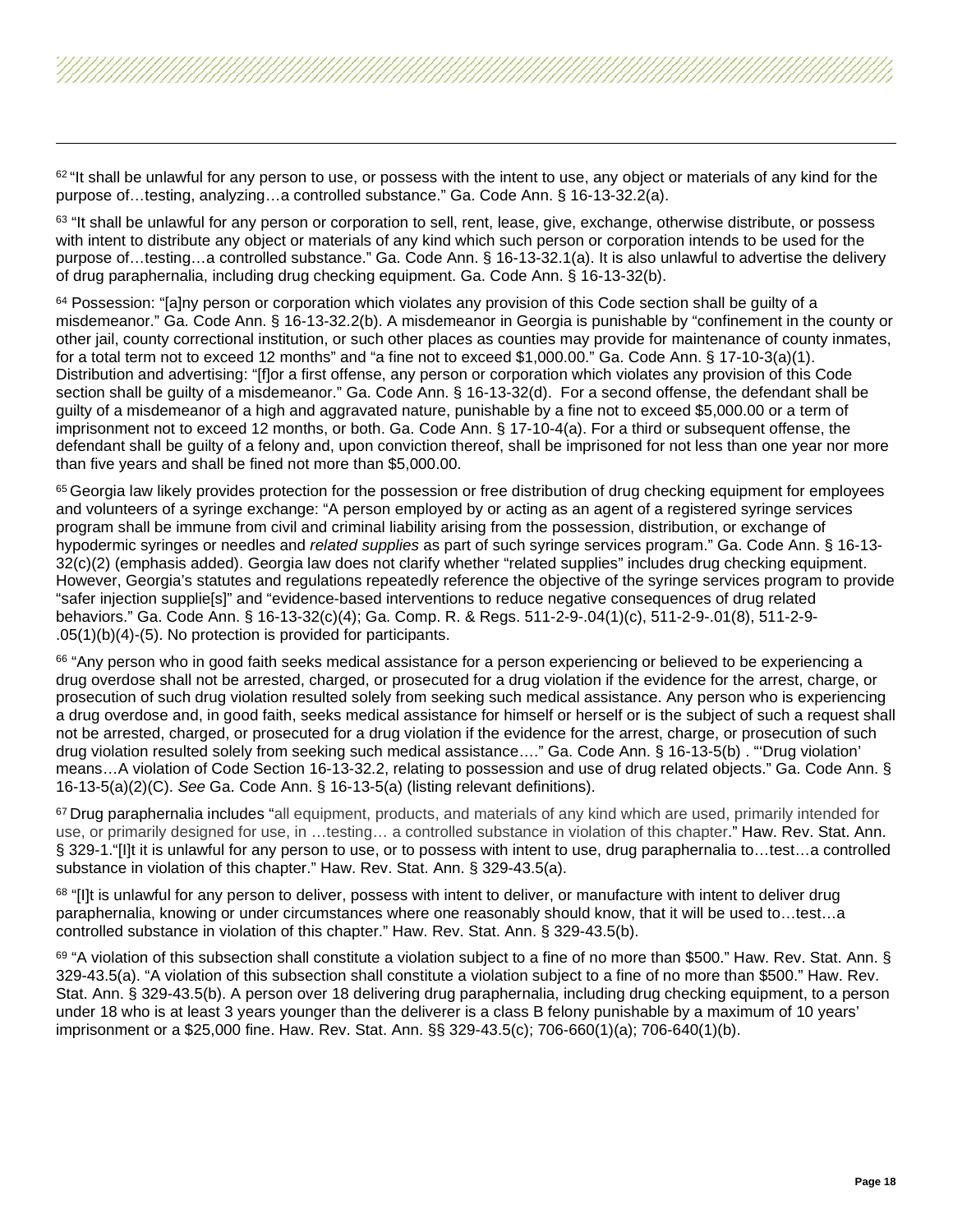<span id="page-17-7"></span><span id="page-17-6"></span><span id="page-17-5"></span><span id="page-17-4"></span><span id="page-17-3"></span><span id="page-17-2"></span><span id="page-17-1"></span><span id="page-17-0"></span> $62$  "It shall be unlawful for any person to use, or possess with the intent to use, any object or materials of any kind for the purpose of…testing, analyzing…a controlled substance." Ga. Code Ann. § 16-13-32.2(a).

63 "It shall be unlawful for any person or corporation to sell, rent, lease, give, exchange, otherwise distribute, or possess with intent to distribute any object or materials of any kind which such person or corporation intends to be used for the purpose of…testing…a controlled substance." Ga. Code Ann. § 16-13-32.1(a). It is also unlawful to advertise the delivery of drug paraphernalia, including drug checking equipment. Ga. Code Ann. § 16-13-32(b).

 $64$  Possession: "[a]ny person or corporation which violates any provision of this Code section shall be quilty of a misdemeanor." Ga. Code Ann. § 16-13-32.2(b). A misdemeanor in Georgia is punishable by "confinement in the county or other jail, county correctional institution, or such other places as counties may provide for maintenance of county inmates, for a total term not to exceed 12 months" and "a fine not to exceed \$1,000.00." Ga. Code Ann. § 17-10-3(a)(1). Distribution and advertising: "[f]or a first offense, any person or corporation which violates any provision of this Code section shall be guilty of a misdemeanor." Ga. Code Ann. § 16-13-32(d). For a second offense, the defendant shall be guilty of a misdemeanor of a high and aggravated nature, punishable by a fine not to exceed \$5,000.00 or a term of imprisonment not to exceed 12 months, or both. Ga. Code Ann. § 17-10-4(a). For a third or subsequent offense, the defendant shall be guilty of a felony and, upon conviction thereof, shall be imprisoned for not less than one year nor more than five years and shall be fined not more than \$5,000.00.

<sup>65</sup> Georgia law likely provides protection for the possession or free distribution of drug checking equipment for employees and volunteers of a syringe exchange: "A person employed by or acting as an agent of a registered syringe services program shall be immune from civil and criminal liability arising from the possession, distribution, or exchange of hypodermic syringes or needles and *related supplies* as part of such syringe services program." Ga. Code Ann. § 16-13- 32(c)(2) (emphasis added). Georgia law does not clarify whether "related supplies" includes drug checking equipment. However, Georgia's statutes and regulations repeatedly reference the objective of the syringe services program to provide "safer injection supplie[s]" and "evidence-based interventions to reduce negative consequences of drug related behaviors." Ga. Code Ann. § 16-13-32(c)(4); Ga. Comp. R. & Regs. 511-2-9-.04(1)(c), 511-2-9-.01(8), 511-2-9- .05(1)(b)(4)-(5). No protection is provided for participants.

66 "Any person who in good faith seeks medical assistance for a person experiencing or believed to be experiencing a drug overdose shall not be arrested, charged, or prosecuted for a drug violation if the evidence for the arrest, charge, or prosecution of such drug violation resulted solely from seeking such medical assistance. Any person who is experiencing a drug overdose and, in good faith, seeks medical assistance for himself or herself or is the subject of such a request shall not be arrested, charged, or prosecuted for a drug violation if the evidence for the arrest, charge, or prosecution of such drug violation resulted solely from seeking such medical assistance…." Ga. Code Ann. § 16-13-5(b) . "'Drug violation' means…A violation of Code Section 16-13-32.2, relating to possession and use of drug related objects." Ga. Code Ann. § 16-13-5(a)(2)(C). *See* Ga. Code Ann. § 16-13-5(a) (listing relevant definitions).

<sup>67</sup> Drug paraphernalia includes "all equipment, products, and materials of any kind which are used, primarily intended for use, or primarily designed for use, in …testing… a controlled substance in violation of this chapter." Haw. Rev. Stat. Ann. § 329-1."[I]t it is unlawful for any person to use, or to possess with intent to use, drug paraphernalia to…test…a controlled substance in violation of this chapter." Haw. Rev. Stat. Ann. § 329-43.5(a).

<sup>68</sup> "[I]t is unlawful for any person to deliver, possess with intent to deliver, or manufacture with intent to deliver drug paraphernalia, knowing or under circumstances where one reasonably should know, that it will be used to…test…a controlled substance in violation of this chapter." Haw. Rev. Stat. Ann. § 329-43.5(b).

69 "A violation of this subsection shall constitute a violation subject to a fine of no more than \$500." Haw. Rev. Stat. Ann. § 329-43.5(a). "A violation of this subsection shall constitute a violation subject to a fine of no more than \$500." Haw. Rev. Stat. Ann. § 329-43.5(b). A person over 18 delivering drug paraphernalia, including drug checking equipment, to a person under 18 who is at least 3 years younger than the deliverer is a class B felony punishable by a maximum of 10 years' imprisonment or a \$25,000 fine. Haw. Rev. Stat. Ann. §§ 329-43.5(c); 706-660(1)(a); 706-640(1)(b).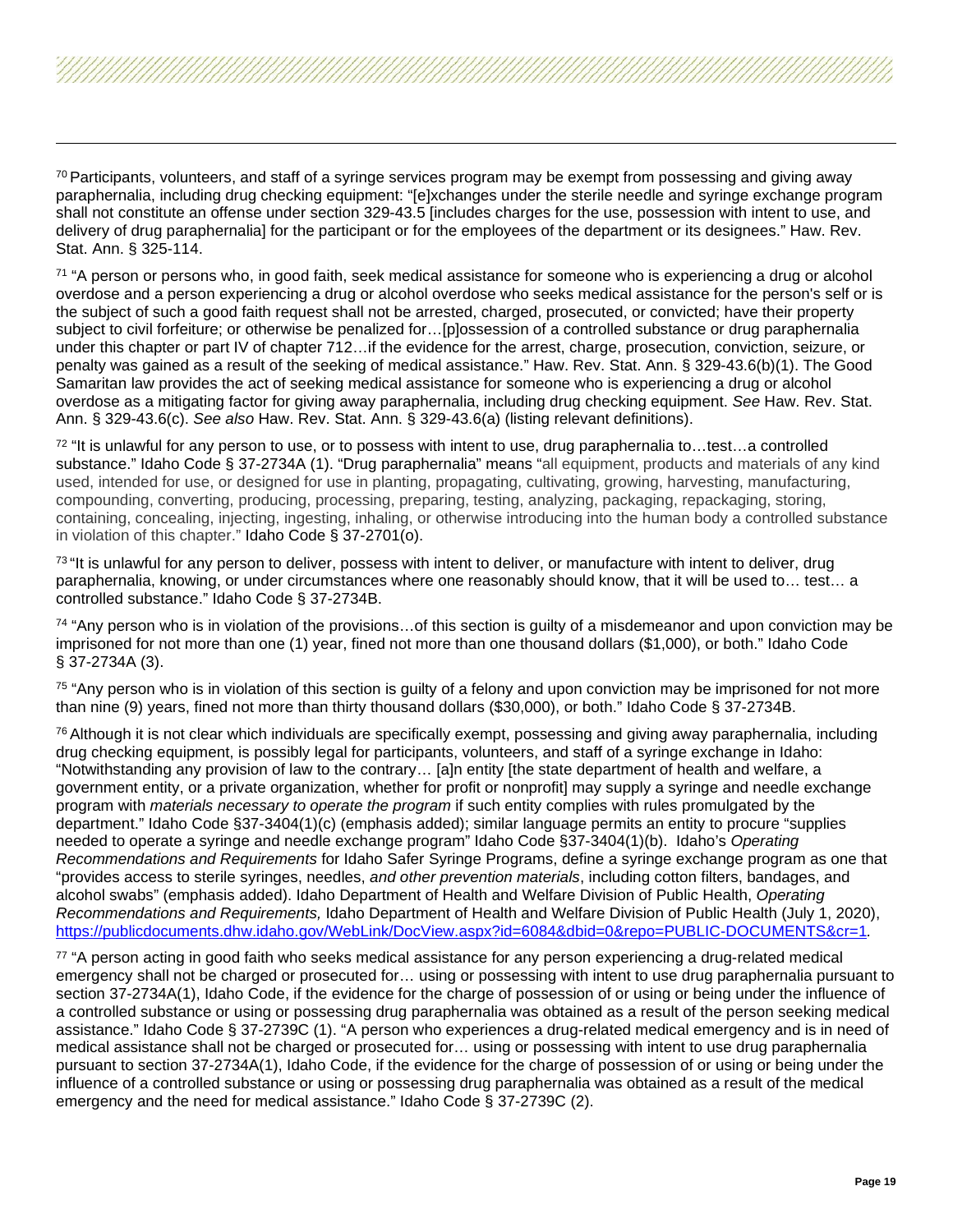<span id="page-18-7"></span><span id="page-18-6"></span><span id="page-18-5"></span><span id="page-18-4"></span><span id="page-18-3"></span><span id="page-18-2"></span><span id="page-18-1"></span><span id="page-18-0"></span> $70$  Participants, volunteers, and staff of a syringe services program may be exempt from possessing and giving away paraphernalia, including drug checking equipment: "[e]xchanges under the sterile needle and syringe exchange program shall not constitute an offense under section 329-43.5 [includes charges for the use, possession with intent to use, and delivery of drug paraphernalia] for the participant or for the employees of the department or its designees." Haw. Rev. Stat. Ann. § 325-114.

<sup>71</sup> "A person or persons who, in good faith, seek medical assistance for someone who is experiencing a drug or alcohol overdose and a person experiencing a drug or alcohol overdose who seeks medical assistance for the person's self or is the subject of such a good faith request shall not be arrested, charged, prosecuted, or convicted; have their property subject to civil forfeiture; or otherwise be penalized for…[p]ossession of a controlled substance or drug paraphernalia under this chapter or part IV of chapter 712…if the evidence for the arrest, charge, prosecution, conviction, seizure, or penalty was gained as a result of the seeking of medical assistance." Haw. Rev. Stat. Ann. § 329-43.6(b)(1). The Good Samaritan law provides the act of seeking medical assistance for someone who is experiencing a drug or alcohol overdose as a mitigating factor for giving away paraphernalia, including drug checking equipment. *See* Haw. Rev. Stat. Ann. § 329-43.6(c). *See also* Haw. Rev. Stat. Ann. § 329-43.6(a) (listing relevant definitions).

 $72$  "It is unlawful for any person to use, or to possess with intent to use, drug paraphernalia to...test...a controlled substance." Idaho Code § 37-2734A (1). "Drug paraphernalia" means "all equipment, products and materials of any kind used, intended for use, or designed for use in planting, propagating, cultivating, growing, harvesting, manufacturing, compounding, converting, producing, processing, preparing, testing, analyzing, packaging, repackaging, storing, containing, concealing, injecting, ingesting, inhaling, or otherwise introducing into the human body a controlled substance in violation of this chapter." Idaho Code § 37-2701(o).

<sup>73</sup> "It is unlawful for any person to deliver, possess with intent to deliver, or manufacture with intent to deliver, drug paraphernalia, knowing, or under circumstances where one reasonably should know, that it will be used to… test… a controlled substance." Idaho Code § 37-2734B.

 $74$  "Any person who is in violation of the provisions... of this section is quilty of a misdemeanor and upon conviction may be imprisoned for not more than one (1) year, fined not more than one thousand dollars (\$1,000), or both." Idaho Code § 37-2734A (3).

<sup>75</sup> "Any person who is in violation of this section is guilty of a felony and upon conviction may be imprisoned for not more than nine (9) years, fined not more than thirty thousand dollars (\$30,000), or both." Idaho Code § 37-2734B.

 $76$  Although it is not clear which individuals are specifically exempt, possessing and giving away paraphernalia, including drug checking equipment, is possibly legal for participants, volunteers, and staff of a syringe exchange in Idaho: "Notwithstanding any provision of law to the contrary… [a]n entity [the state department of health and welfare, a government entity, or a private organization, whether for profit or nonprofit] may supply a syringe and needle exchange program with *materials necessary to operate the program* if such entity complies with rules promulgated by the department." Idaho Code §37-3404(1)(c) (emphasis added); similar language permits an entity to procure "supplies needed to operate a syringe and needle exchange program" Idaho Code §37-3404(1)(b). Idaho's *Operating Recommendations and Requirements* for Idaho Safer Syringe Programs, define a syringe exchange program as one that "provides access to sterile syringes, needles, *and other prevention materials*, including cotton filters, bandages, and alcohol swabs" (emphasis added). Idaho Department of Health and Welfare Division of Public Health, *Operating Recommendations and Requirements,* Idaho Department of Health and Welfare Division of Public Health (July 1, 2020), <https://publicdocuments.dhw.idaho.gov/WebLink/DocView.aspx?id=6084&dbid=0&repo=PUBLIC-DOCUMENTS&cr=1>*.*

77 "A person acting in good faith who seeks medical assistance for any person experiencing a drug-related medical emergency shall not be charged or prosecuted for… using or possessing with intent to use drug paraphernalia pursuant to section 37-2734A(1), Idaho Code, if the evidence for the charge of possession of or using or being under the influence of a controlled substance or using or possessing drug paraphernalia was obtained as a result of the person seeking medical assistance." Idaho Code § 37-2739C (1). "A person who experiences a drug-related medical emergency and is in need of medical assistance shall not be charged or prosecuted for… using or possessing with intent to use drug paraphernalia pursuant to section 37-2734A(1), Idaho Code, if the evidence for the charge of possession of or using or being under the influence of a controlled substance or using or possessing drug paraphernalia was obtained as a result of the medical emergency and the need for medical assistance." Idaho Code § 37-2739C (2).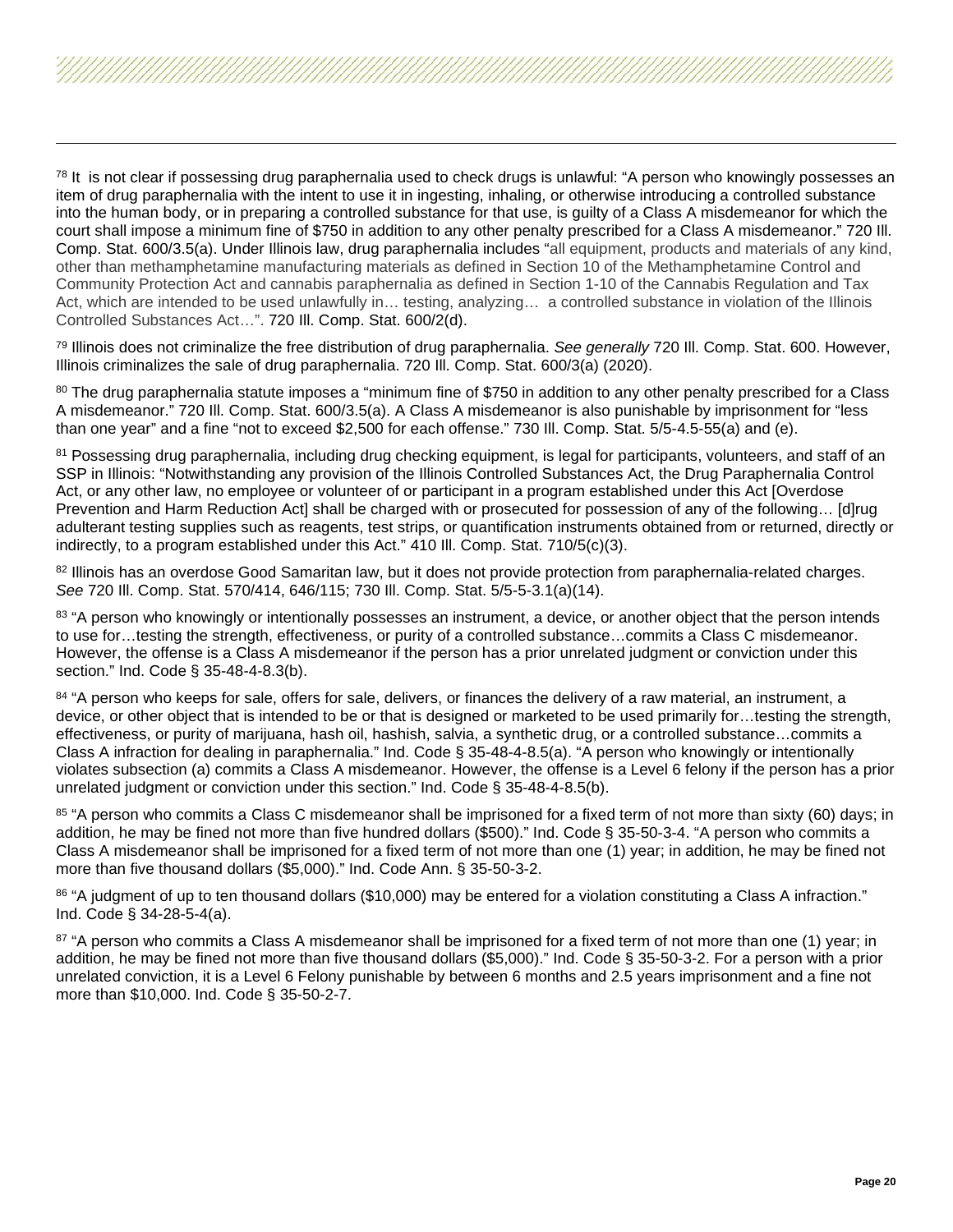<span id="page-19-7"></span><span id="page-19-6"></span><span id="page-19-5"></span><span id="page-19-4"></span><span id="page-19-3"></span><span id="page-19-2"></span><span id="page-19-1"></span><span id="page-19-0"></span> $78$  It is not clear if possessing drug paraphernalia used to check drugs is unlawful: "A person who knowingly possesses an item of drug paraphernalia with the intent to use it in ingesting, inhaling, or otherwise introducing a controlled substance into the human body, or in preparing a controlled substance for that use, is guilty of a Class A misdemeanor for which the court shall impose a minimum fine of \$750 in addition to any other penalty prescribed for a Class A misdemeanor." 720 Ill. Comp. Stat. 600/3.5(a). Under Illinois law, drug paraphernalia includes "all equipment, products and materials of any kind, other than methamphetamine manufacturing materials as defined in Section 10 of the Methamphetamine Control and Community Protection Act and cannabis paraphernalia as defined in Section 1-10 of the Cannabis Regulation and Tax Act, which are intended to be used unlawfully in… testing, analyzing… a controlled substance in violation of the Illinois Controlled Substances Act…". 720 Ill. Comp. Stat. 600/2(d).

<sup>79</sup> Illinois does not criminalize the free distribution of drug paraphernalia. *See generally* 720 Ill. Comp. Stat. 600. However, Illinois criminalizes the sale of drug paraphernalia. 720 Ill. Comp. Stat. 600/3(a) (2020).

80 The drug paraphernalia statute imposes a "minimum fine of \$750 in addition to any other penalty prescribed for a Class A misdemeanor." 720 Ill. Comp. Stat. 600/3.5(a). A Class A misdemeanor is also punishable by imprisonment for "less than one year" and a fine "not to exceed \$2,500 for each offense." 730 Ill. Comp. Stat. 5/5-4.5-55(a) and (e).

<sup>81</sup> Possessing drug paraphernalia, including drug checking equipment, is legal for participants, volunteers, and staff of an SSP in Illinois: "Notwithstanding any provision of the Illinois Controlled Substances Act, the Drug Paraphernalia Control Act, or any other law, no employee or volunteer of or participant in a program established under this Act [Overdose Prevention and Harm Reduction Act] shall be charged with or prosecuted for possession of any of the following… [d]rug adulterant testing supplies such as reagents, test strips, or quantification instruments obtained from or returned, directly or indirectly, to a program established under this Act." 410 Ill. Comp. Stat. 710/5(c)(3).

82 Illinois has an overdose Good Samaritan law, but it does not provide protection from paraphernalia-related charges. *See* 720 Ill. Comp. Stat. 570/414, 646/115; 730 Ill. Comp. Stat. 5/5-5-3.1(a)(14).

<sup>83</sup> "A person who knowingly or intentionally possesses an instrument, a device, or another object that the person intends to use for…testing the strength, effectiveness, or purity of a controlled substance…commits a Class C misdemeanor. However, the offense is a Class A misdemeanor if the person has a prior unrelated judgment or conviction under this section." Ind. Code § 35-48-4-8.3(b).

84 "A person who keeps for sale, offers for sale, delivers, or finances the delivery of a raw material, an instrument, a device, or other object that is intended to be or that is designed or marketed to be used primarily for…testing the strength, effectiveness, or purity of marijuana, hash oil, hashish, salvia, a synthetic drug, or a controlled substance…commits a Class A infraction for dealing in paraphernalia." Ind. Code § 35-48-4-8.5(a). "A person who knowingly or intentionally violates subsection (a) commits a Class A misdemeanor. However, the offense is a Level 6 felony if the person has a prior unrelated judgment or conviction under this section." Ind. Code § 35-48-4-8.5(b).

85 "A person who commits a Class C misdemeanor shall be imprisoned for a fixed term of not more than sixty (60) days; in addition, he may be fined not more than five hundred dollars (\$500)." Ind. Code § 35-50-3-4. "A person who commits a Class A misdemeanor shall be imprisoned for a fixed term of not more than one (1) year; in addition, he may be fined not more than five thousand dollars (\$5,000)." Ind. Code Ann. § 35-50-3-2.

<sup>86</sup> "A judgment of up to ten thousand dollars (\$10,000) may be entered for a violation constituting a Class A infraction." Ind. Code § 34-28-5-4(a).

87 "A person who commits a Class A misdemeanor shall be imprisoned for a fixed term of not more than one (1) year; in addition, he may be fined not more than five thousand dollars (\$5,000)." Ind. Code § 35-50-3-2. For a person with a prior unrelated conviction, it is a Level 6 Felony punishable by between 6 months and 2.5 years imprisonment and a fine not more than \$10,000. Ind. Code § 35-50-2-7.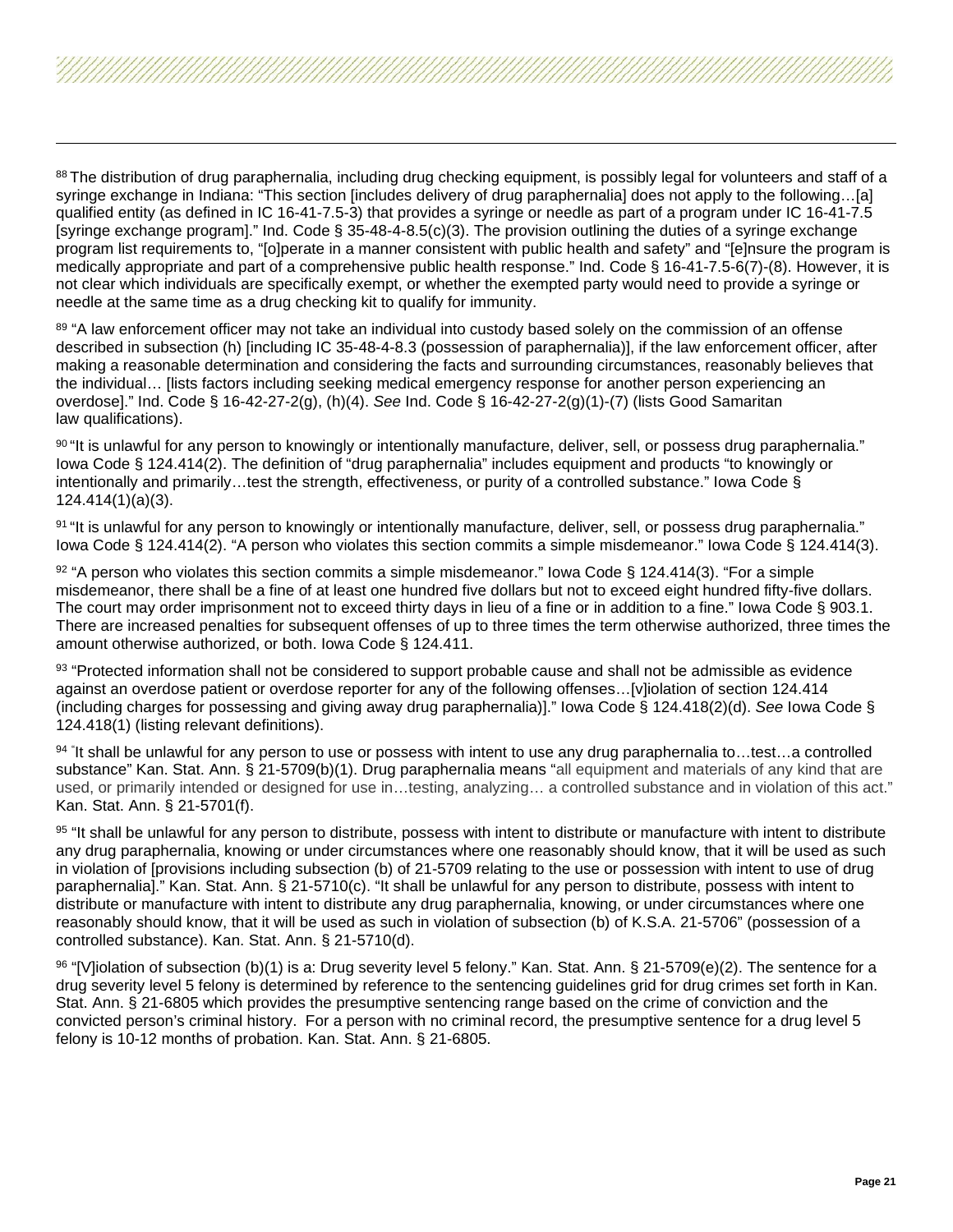<span id="page-20-9"></span><span id="page-20-8"></span><span id="page-20-7"></span><span id="page-20-6"></span><span id="page-20-5"></span><span id="page-20-4"></span><span id="page-20-3"></span><span id="page-20-2"></span><span id="page-20-1"></span><span id="page-20-0"></span>88 The distribution of drug paraphernalia, including drug checking equipment, is possibly legal for volunteers and staff of a syringe exchange in Indiana: "This section [includes delivery of drug paraphernalia] does not apply to the following…[a] qualified entity (as defined in IC 16-41-7.5-3) that provides a syringe or needle as part of a program under IC 16-41-7.5 [syringe exchange program]." Ind. Code § 35-48-4-8.5(c)(3). The provision outlining the duties of a syringe exchange program list requirements to, "[o]perate in a manner consistent with public health and safety" and "[e]nsure the program is medically appropriate and part of a comprehensive public health response." Ind. Code § 16-41-7.5-6(7)-(8). However, it is not clear which individuals are specifically exempt, or whether the exempted party would need to provide a syringe or needle at the same time as a drug checking kit to qualify for immunity.

89 "A law enforcement officer may not take an individual into custody based solely on the commission of an offense described in subsection (h) [including IC 35-48-4-8.3 (possession of paraphernalia)], if the law enforcement officer, after making a reasonable determination and considering the facts and surrounding circumstances, reasonably believes that the individual… [lists factors including seeking medical emergency response for another person experiencing an overdose]." Ind. Code § 16-42-27-2(g), (h)(4). *See* Ind. Code § 16-42-27-2(g)(1)-(7) (lists Good Samaritan law qualifications).

90 "It is unlawful for any person to knowingly or intentionally manufacture, deliver, sell, or possess drug paraphernalia." Iowa Code § 124.414(2). The definition of "drug paraphernalia" includes equipment and products "to knowingly or intentionally and primarily…test the strength, effectiveness, or purity of a controlled substance." Iowa Code § 124.414(1)(a)(3).

91 "It is unlawful for any person to knowingly or intentionally manufacture, deliver, sell, or possess drug paraphernalia." Iowa Code § 124.414(2). "A person who violates this section commits a simple misdemeanor." Iowa Code § 124.414(3).

 $92$  "A person who violates this section commits a simple misdemeanor." Iowa Code § 124.414(3). "For a simple misdemeanor, there shall be a fine of at least one hundred five dollars but not to exceed eight hundred fifty-five dollars. The court may order imprisonment not to exceed thirty days in lieu of a fine or in addition to a fine." Iowa Code § 903.1. There are increased penalties for subsequent offenses of up to three times the term otherwise authorized, three times the amount otherwise authorized, or both. Iowa Code § 124.411.

93 "Protected information shall not be considered to support probable cause and shall not be admissible as evidence against an overdose patient or overdose reporter for any of the following offenses…[v]iolation of section 124.414 (including charges for possessing and giving away drug paraphernalia)]." Iowa Code § 124.418(2)(d). *See* Iowa Code § 124.418(1) (listing relevant definitions).

94 " It shall be unlawful for any person to use or possess with intent to use any drug paraphernalia to…test…a controlled substance" Kan. Stat. Ann. § 21-5709(b)(1). Drug paraphernalia means "all equipment and materials of any kind that are used, or primarily intended or designed for use in…testing, analyzing… a controlled substance and in violation of this act." Kan. Stat. Ann. § 21-5701(f).

95 "It shall be unlawful for any person to distribute, possess with intent to distribute or manufacture with intent to distribute any drug paraphernalia, knowing or under circumstances where one reasonably should know, that it will be used as such in violation of [provisions including subsection (b) of 21-5709 relating to the use or possession with intent to use of drug paraphernalia]." Kan. Stat. Ann. § 21-5710(c). "It shall be unlawful for any person to distribute, possess with intent to distribute or manufacture with intent to distribute any drug paraphernalia, knowing, or under circumstances where one reasonably should know, that it will be used as such in violation of subsection (b) of K.S.A. 21-5706" (possession of a controlled substance). Kan. Stat. Ann. § 21-5710(d).

96 "[V]iolation of subsection (b)(1) is a: Drug severity level 5 felony." Kan. Stat. Ann. § 21-5709(e)(2). The sentence for a drug severity level 5 felony is determined by reference to the sentencing guidelines grid for drug crimes set forth in Kan. Stat. Ann. § 21-6805 which provides the presumptive sentencing range based on the crime of conviction and the convicted person's criminal history. For a person with no criminal record, the presumptive sentence for a drug level 5 felony is 10-12 months of probation. Kan. Stat. Ann. § 21-6805.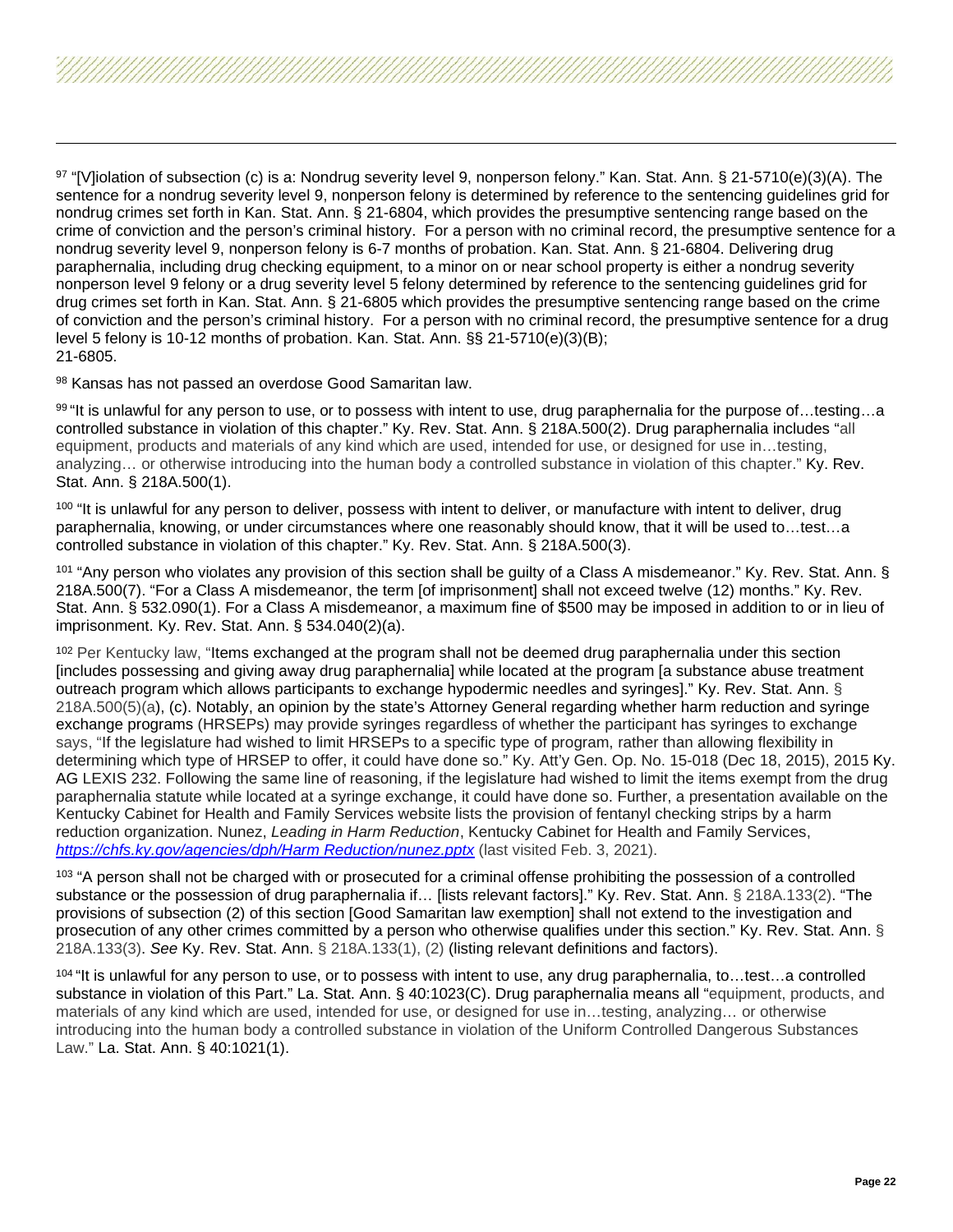<span id="page-21-8"></span><span id="page-21-7"></span><span id="page-21-6"></span><span id="page-21-5"></span><span id="page-21-4"></span><span id="page-21-3"></span><span id="page-21-2"></span><span id="page-21-1"></span><span id="page-21-0"></span> $97$  "[V]iolation of subsection (c) is a: Nondrug severity level 9, nonperson felony." Kan. Stat. Ann. § 21-5710(e)(3)(A). The sentence for a nondrug severity level 9, nonperson felony is determined by reference to the sentencing guidelines grid for nondrug crimes set forth in Kan. Stat. Ann. § 21-6804, which provides the presumptive sentencing range based on the crime of conviction and the person's criminal history. For a person with no criminal record, the presumptive sentence for a nondrug severity level 9, nonperson felony is 6-7 months of probation. Kan. Stat. Ann. § 21-6804. Delivering drug paraphernalia, including drug checking equipment, to a minor on or near school property is either a nondrug severity nonperson level 9 felony or a drug severity level 5 felony determined by reference to the sentencing guidelines grid for drug crimes set forth in Kan. Stat. Ann. § 21-6805 which provides the presumptive sentencing range based on the crime of conviction and the person's criminal history. For a person with no criminal record, the presumptive sentence for a drug level 5 felony is 10-12 months of probation. Kan. Stat. Ann. §§ 21-5710(e)(3)(B); 21-6805.

98 Kansas has not passed an overdose Good Samaritan law.

99 "It is unlawful for any person to use, or to possess with intent to use, drug paraphernalia for the purpose of…testing…a controlled substance in violation of this chapter." Ky. Rev. Stat. Ann. § 218A.500(2). Drug paraphernalia includes "all equipment, products and materials of any kind which are used, intended for use, or designed for use in…testing, analyzing… or otherwise introducing into the human body a controlled substance in violation of this chapter." Ky. Rev. Stat. Ann. § 218A.500(1).

<sup>100</sup> "It is unlawful for any person to deliver, possess with intent to deliver, or manufacture with intent to deliver, drug paraphernalia, knowing, or under circumstances where one reasonably should know, that it will be used to…test…a controlled substance in violation of this chapter." Ky. Rev. Stat. Ann. § 218A.500(3).

101 "Any person who violates any provision of this section shall be guilty of a Class A misdemeanor." Ky. Rev. Stat. Ann. § 218A.500(7). "For a Class A misdemeanor, the term [of imprisonment] shall not exceed twelve (12) months." Ky. Rev. Stat. Ann. § 532.090(1). For a Class A misdemeanor, a maximum fine of \$500 may be imposed in addition to or in lieu of imprisonment. Ky. Rev. Stat. Ann. § 534.040(2)(a).

<sup>102</sup> Per Kentucky law, "Items exchanged at the program shall not be deemed drug paraphernalia under this section [includes possessing and giving away drug paraphernalia] while located at the program [a substance abuse treatment outreach program which allows participants to exchange hypodermic needles and syringes]." Ky. Rev. Stat. Ann. § 218A.500(5)(a), (c). Notably, an opinion by the state's Attorney General regarding whether harm reduction and syringe exchange programs (HRSEPs) may provide syringes regardless of whether the participant has syringes to exchange says, "If the legislature had wished to limit HRSEPs to a specific type of program, rather than allowing flexibility in determining which type of HRSEP to offer, it could have done so." Ky. Att'y Gen. Op. No. 15-018 (Dec 18, 2015), 2015 Ky. AG LEXIS 232. Following the same line of reasoning, if the legislature had wished to limit the items exempt from the drug paraphernalia statute while located at a syringe exchange, it could have done so. Further, a presentation available on the Kentucky Cabinet for Health and Family Services website lists the provision of fentanyl checking strips by a harm reduction organization. Nunez, *Leading in Harm Reduction*, Kentucky Cabinet for Health and Family Services, *[https://chfs.ky.gov/agencies/dph/Harm Reduction/nunez.pptx](https://chfs.ky.gov/agencies/dph/Harm%20Reduction/nunez.pptx)* (last visited Feb. 3, 2021).

<sup>103</sup> "A person shall not be charged with or prosecuted for a criminal offense prohibiting the possession of a controlled substance or the possession of drug paraphernalia if... [lists relevant factors]." Ky. Rev. Stat. Ann. § 218A.133(2). "The provisions of subsection (2) of this section [Good Samaritan law exemption] shall not extend to the investigation and prosecution of any other crimes committed by a person who otherwise qualifies under this section." Ky. Rev. Stat. Ann. § 218A.133(3). *See* Ky. Rev. Stat. Ann. § 218A.133(1), (2) (listing relevant definitions and factors).

<sup>104</sup> "It is unlawful for any person to use, or to possess with intent to use, any drug paraphernalia, to…test…a controlled substance in violation of this Part." La. Stat. Ann. § 40:1023(C). Drug paraphernalia means all "equipment, products, and materials of any kind which are used, intended for use, or designed for use in…testing, analyzing… or otherwise introducing into the human body a controlled substance in violation of the Uniform Controlled Dangerous Substances Law." La. Stat. Ann. § 40:1021(1).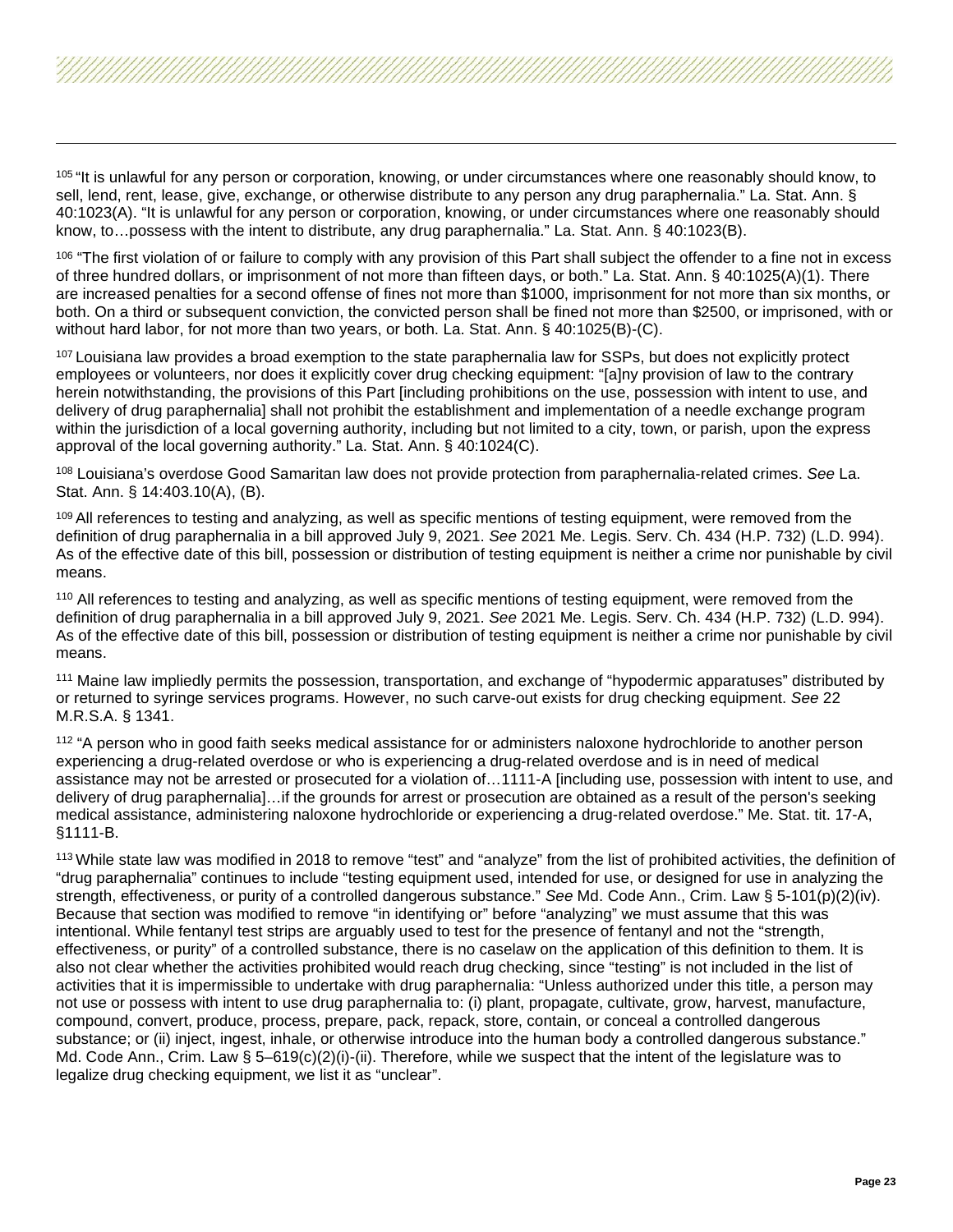<span id="page-22-7"></span><span id="page-22-6"></span><span id="page-22-5"></span><span id="page-22-4"></span><span id="page-22-3"></span><span id="page-22-2"></span><span id="page-22-1"></span><span id="page-22-0"></span><sup>105</sup> "It is unlawful for any person or corporation, knowing, or under circumstances where one reasonably should know, to sell, lend, rent, lease, give, exchange, or otherwise distribute to any person any drug paraphernalia." La. Stat. Ann. § 40:1023(A). "It is unlawful for any person or corporation, knowing, or under circumstances where one reasonably should know, to…possess with the intent to distribute, any drug paraphernalia." La. Stat. Ann. § 40:1023(B).

<sup>106</sup> "The first violation of or failure to comply with any provision of this Part shall subject the offender to a fine not in excess of three hundred dollars, or imprisonment of not more than fifteen days, or both." La. Stat. Ann. § 40:1025(A)(1). There are increased penalties for a second offense of fines not more than \$1000, imprisonment for not more than six months, or both. On a third or subsequent conviction, the convicted person shall be fined not more than \$2500, or imprisoned, with or without hard labor, for not more than two years, or both. La. Stat. Ann. § 40:1025(B)-(C).

<sup>107</sup> Louisiana law provides a broad exemption to the state paraphernalia law for SSPs, but does not explicitly protect employees or volunteers, nor does it explicitly cover drug checking equipment: "[a]ny provision of law to the contrary herein notwithstanding, the provisions of this Part [including prohibitions on the use, possession with intent to use, and delivery of drug paraphernalia] shall not prohibit the establishment and implementation of a needle exchange program within the jurisdiction of a local governing authority, including but not limited to a city, town, or parish, upon the express approval of the local governing authority." La. Stat. Ann. § 40:1024(C).

<sup>108</sup> Louisiana's overdose Good Samaritan law does not provide protection from paraphernalia-related crimes. *See* La. Stat. Ann. § 14:403.10(A), (B).

<sup>109</sup> All references to testing and analyzing, as well as specific mentions of testing equipment, were removed from the definition of drug paraphernalia in a bill approved July 9, 2021. *See* 2021 Me. Legis. Serv. Ch. 434 (H.P. 732) (L.D. 994). As of the effective date of this bill, possession or distribution of testing equipment is neither a crime nor punishable by civil means.

<sup>110</sup> All references to testing and analyzing, as well as specific mentions of testing equipment, were removed from the definition of drug paraphernalia in a bill approved July 9, 2021. *See* 2021 Me. Legis. Serv. Ch. 434 (H.P. 732) (L.D. 994). As of the effective date of this bill, possession or distribution of testing equipment is neither a crime nor punishable by civil means.

<sup>111</sup> Maine law impliedly permits the possession, transportation, and exchange of "hypodermic apparatuses" distributed by or returned to syringe services programs. However, no such carve-out exists for drug checking equipment. *See* 22 M.R.S.A. § 1341.

<sup>112</sup> "A person who in good faith seeks medical assistance for or administers naloxone hydrochloride to another person experiencing a drug-related overdose or who is experiencing a drug-related overdose and is in need of medical assistance may not be arrested or prosecuted for a violation of…1111-A [including use, possession with intent to use, and delivery of drug paraphernalia]…if the grounds for arrest or prosecution are obtained as a result of the person's seeking medical assistance, administering naloxone hydrochloride or experiencing a drug-related overdose." Me. Stat. tit. 17-A, §1111-B.

<sup>113</sup> While state law was modified in 2018 to remove "test" and "analyze" from the list of prohibited activities, the definition of "drug paraphernalia" continues to include "testing equipment used, intended for use, or designed for use in analyzing the strength, effectiveness, or purity of a controlled dangerous substance." *See* Md. Code Ann., Crim. Law § 5-101(p)(2)(iv). Because that section was modified to remove "in identifying or" before "analyzing" we must assume that this was intentional. While fentanyl test strips are arguably used to test for the presence of fentanyl and not the "strength, effectiveness, or purity" of a controlled substance, there is no caselaw on the application of this definition to them. It is also not clear whether the activities prohibited would reach drug checking, since "testing" is not included in the list of activities that it is impermissible to undertake with drug paraphernalia: "Unless authorized under this title, a person may not use or possess with intent to use drug paraphernalia to: (i) plant, propagate, cultivate, grow, harvest, manufacture, compound, convert, produce, process, prepare, pack, repack, store, contain, or conceal a controlled dangerous substance; or (ii) inject, ingest, inhale, or otherwise introduce into the human body a controlled dangerous substance." Md. Code Ann., Crim. Law § 5-619(c)(2)(i)-(ii). Therefore, while we suspect that the intent of the legislature was to legalize drug checking equipment, we list it as "unclear".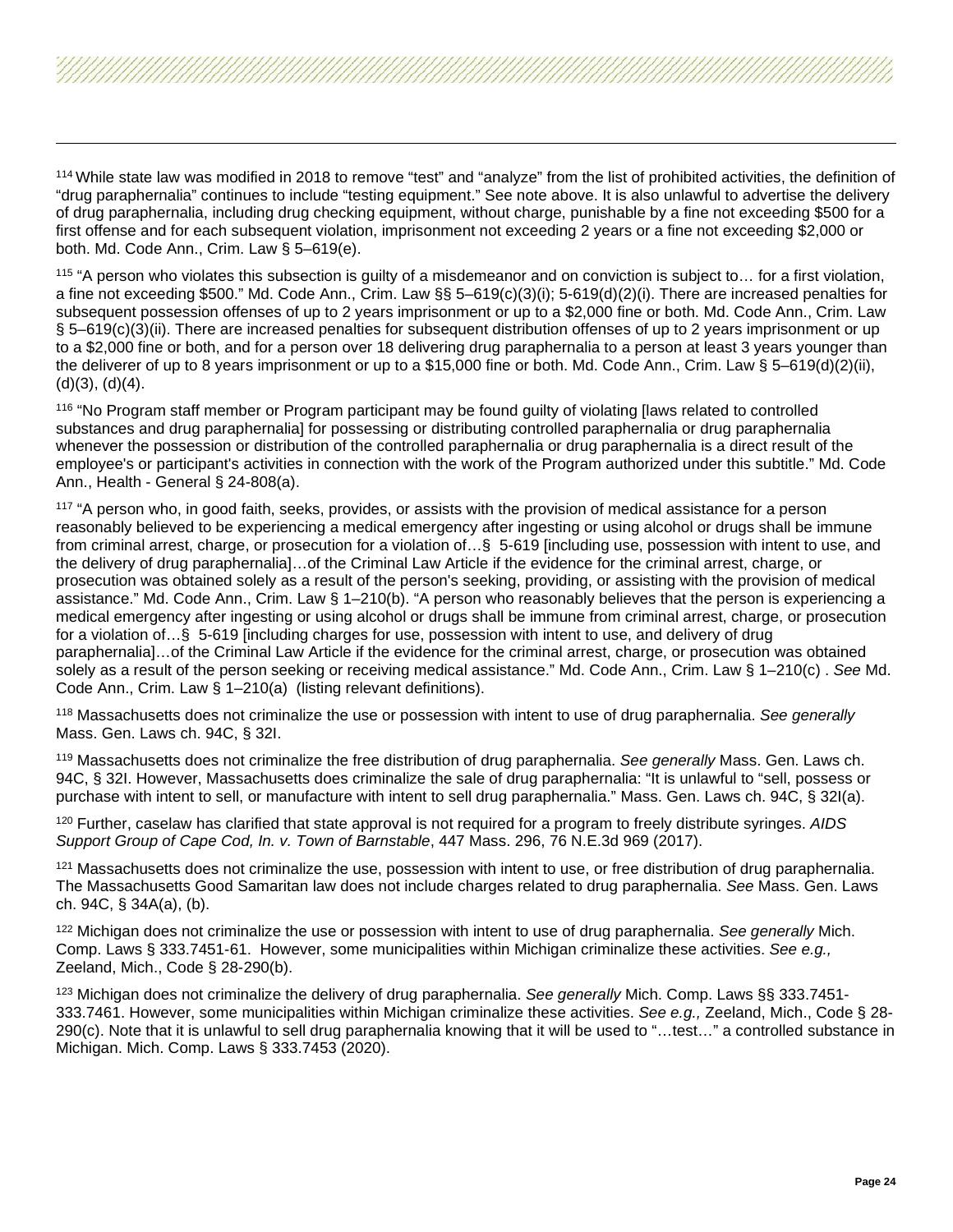<span id="page-23-8"></span><span id="page-23-7"></span><span id="page-23-6"></span><span id="page-23-5"></span><span id="page-23-4"></span><span id="page-23-3"></span><span id="page-23-2"></span><span id="page-23-1"></span><span id="page-23-0"></span><sup>114</sup> While state law was modified in 2018 to remove "test" and "analyze" from the list of prohibited activities, the definition of "drug paraphernalia" continues to include "testing equipment." See note above. It is also unlawful to advertise the delivery of drug paraphernalia, including drug checking equipment, without charge, punishable by a fine not exceeding \$500 for a first offense and for each subsequent violation, imprisonment not exceeding 2 years or a fine not exceeding \$2,000 or both. Md. Code Ann., Crim. Law § 5–619(e).

<sup>115</sup> "A person who violates this subsection is guilty of a misdemeanor and on conviction is subject to… for a first violation, a fine not exceeding \$500." Md. Code Ann., Crim. Law §§ 5–619(c)(3)(i); 5-619(d)(2)(i). There are increased penalties for subsequent possession offenses of up to 2 years imprisonment or up to a \$2,000 fine or both. Md. Code Ann., Crim. Law § 5–619(c)(3)(ii). There are increased penalties for subsequent distribution offenses of up to 2 years imprisonment or up to a \$2,000 fine or both, and for a person over 18 delivering drug paraphernalia to a person at least 3 years younger than the deliverer of up to 8 years imprisonment or up to a \$15,000 fine or both. Md. Code Ann., Crim. Law § 5–619(d)(2)(ii), (d)(3), (d)(4).

<sup>116</sup> "No Program staff member or Program participant may be found guilty of violating [laws related to controlled substances and drug paraphernalia] for possessing or distributing controlled paraphernalia or drug paraphernalia whenever the possession or distribution of the controlled paraphernalia or drug paraphernalia is a direct result of the employee's or participant's activities in connection with the work of the Program authorized under this subtitle." Md. Code Ann., Health - General § 24-808(a).

<sup>117</sup> "A person who, in good faith, seeks, provides, or assists with the provision of medical assistance for a person reasonably believed to be experiencing a medical emergency after ingesting or using alcohol or drugs shall be immune from criminal arrest, charge, or prosecution for a violation of…§ 5-619 [including use, possession with intent to use, and the delivery of drug paraphernalia]…of the Criminal Law Article if the evidence for the criminal arrest, charge, or prosecution was obtained solely as a result of the person's seeking, providing, or assisting with the provision of medical assistance." Md. Code Ann., Crim. Law § 1–210(b). "A person who reasonably believes that the person is experiencing a medical emergency after ingesting or using alcohol or drugs shall be immune from criminal arrest, charge, or prosecution for a violation of…§ 5-619 [including charges for use, possession with intent to use, and delivery of drug paraphernalia]…of the Criminal Law Article if the evidence for the criminal arrest, charge, or prosecution was obtained solely as a result of the person seeking or receiving medical assistance." Md. Code Ann., Crim. Law § 1–210(c) . *See* Md. Code Ann., Crim. Law § 1–210(a) (listing relevant definitions).

<sup>118</sup> Massachusetts does not criminalize the use or possession with intent to use of drug paraphernalia. *See generally*  Mass. Gen. Laws ch. 94C, § 32I.

<sup>119</sup> Massachusetts does not criminalize the free distribution of drug paraphernalia. *See generally* Mass. Gen. Laws ch. 94C, § 32I. However, Massachusetts does criminalize the sale of drug paraphernalia: "It is unlawful to "sell, possess or purchase with intent to sell, or manufacture with intent to sell drug paraphernalia." Mass. Gen. Laws ch. 94C, § 32I(a).

<sup>120</sup> Further, caselaw has clarified that state approval is not required for a program to freely distribute syringes. *AIDS Support Group of Cape Cod, In. v. Town of Barnstable*, 447 Mass. 296, 76 N.E.3d 969 (2017).

<sup>121</sup> Massachusetts does not criminalize the use, possession with intent to use, or free distribution of drug paraphernalia. The Massachusetts Good Samaritan law does not include charges related to drug paraphernalia. *See* Mass. Gen. Laws ch. 94C, § 34A(a), (b).

<sup>122</sup> Michigan does not criminalize the use or possession with intent to use of drug paraphernalia. *See generally* Mich. Comp. Laws § 333.7451-61. However, some municipalities within Michigan criminalize these activities. *See e.g.,*  Zeeland, Mich., Code § 28-290(b).

<sup>123</sup> Michigan does not criminalize the delivery of drug paraphernalia. *See generally* Mich. Comp. Laws §§ 333.7451- 333.7461. However, some municipalities within Michigan criminalize these activities. *See e.g.,* Zeeland, Mich., Code § 28- 290(c). Note that it is unlawful to sell drug paraphernalia knowing that it will be used to "…test…" a controlled substance in Michigan. Mich. Comp. Laws § 333.7453 (2020).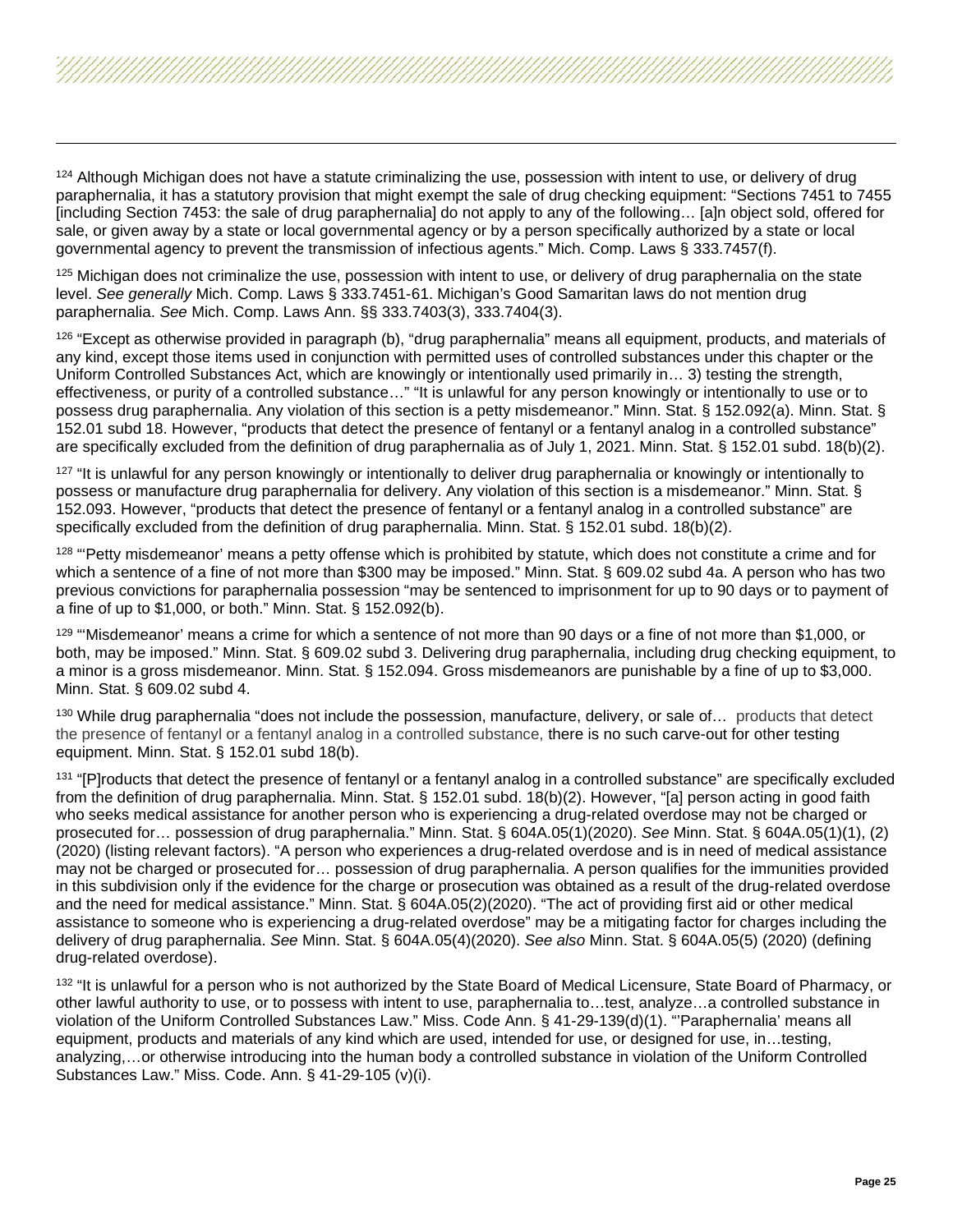<span id="page-24-9"></span><span id="page-24-8"></span><span id="page-24-7"></span><span id="page-24-6"></span><span id="page-24-5"></span><span id="page-24-4"></span><span id="page-24-3"></span><span id="page-24-2"></span><span id="page-24-1"></span><span id="page-24-0"></span><sup>124</sup> Although Michigan does not have a statute criminalizing the use, possession with intent to use, or delivery of drug paraphernalia, it has a statutory provision that might exempt the sale of drug checking equipment: "Sections 7451 to 7455 [including Section 7453: the sale of drug paraphernalia] do not apply to any of the following… [a]n object sold, offered for sale, or given away by a state or local governmental agency or by a person specifically authorized by a state or local governmental agency to prevent the transmission of infectious agents." Mich. Comp. Laws § 333.7457(f).

 $125$  Michigan does not criminalize the use, possession with intent to use, or delivery of drug paraphernalia on the state level. *See generally* Mich. Comp. Laws § 333.7451-61. Michigan's Good Samaritan laws do not mention drug paraphernalia. *See* Mich. Comp. Laws Ann. §§ 333.7403(3), 333.7404(3).

126 "Except as otherwise provided in paragraph (b), "drug paraphernalia" means all equipment, products, and materials of any kind, except those items used in conjunction with permitted uses of controlled substances under this chapter or the Uniform Controlled Substances Act, which are knowingly or intentionally used primarily in… 3) testing the strength, effectiveness, or purity of a controlled substance…" "It is unlawful for any person knowingly or intentionally to use or to possess drug paraphernalia. Any violation of this section is a petty misdemeanor." Minn. Stat. § 152.092(a). Minn. Stat. § .<br>152.01 subd 18. However, "products that detect the presence of fentanyl or a fentanyl analog in a controlled substance" are specifically excluded from the definition of drug paraphernalia as of July 1, 2021. Minn. Stat. § 152.01 subd. 18(b)(2).

 $127$  "It is unlawful for any person knowingly or intentionally to deliver drug paraphernalia or knowingly or intentionally to possess or manufacture drug paraphernalia for delivery. Any violation of this section is a misdemeanor." Minn. Stat. § 152.093. However, "products that detect the presence of fentanyl or a fentanyl analog in a controlled substance" are specifically excluded from the definition of drug paraphernalia. Minn. Stat. § 152.01 subd. 18(b)(2).

<sup>128</sup> "Petty misdemeanor' means a petty offense which is prohibited by statute, which does not constitute a crime and for which a sentence of a fine of not more than \$300 may be imposed." Minn. Stat. § 609.02 subd 4a. A person who has two previous convictions for paraphernalia possession "may be sentenced to imprisonment for up to 90 days or to payment of a fine of up to \$1,000, or both." Minn. Stat. § 152.092(b).

<sup>129</sup> "Misdemeanor' means a crime for which a sentence of not more than 90 days or a fine of not more than \$1,000, or both, may be imposed." Minn. Stat. § 609.02 subd 3. Delivering drug paraphernalia, including drug checking equipment, to a minor is a gross misdemeanor. Minn. Stat. § 152.094. Gross misdemeanors are punishable by a fine of up to \$3,000. Minn. Stat. § 609.02 subd 4.

<sup>130</sup> While drug paraphernalia "does not include the possession, manufacture, delivery, or sale of... products that detect the presence of fentanyl or a fentanyl analog in a controlled substance, there is no such carve-out for other testing equipment. Minn. Stat. § 152.01 subd 18(b).

131 "[P]roducts that detect the presence of fentanyl or a fentanyl analog in a controlled substance" are specifically excluded from the definition of drug paraphernalia. Minn. Stat. § 152.01 subd. 18(b)(2). However, "[a] person acting in good faith who seeks medical assistance for another person who is experiencing a drug-related overdose may not be charged or prosecuted for… possession of drug paraphernalia." Minn. Stat. § 604A.05(1)(2020). *See* Minn. Stat. § 604A.05(1)(1), (2) (2020) (listing relevant factors). "A person who experiences a drug-related overdose and is in need of medical assistance may not be charged or prosecuted for… possession of drug paraphernalia. A person qualifies for the immunities provided in this subdivision only if the evidence for the charge or prosecution was obtained as a result of the drug-related overdose and the need for medical assistance." Minn. Stat. § 604A.05(2)(2020). "The act of providing first aid or other medical assistance to someone who is experiencing a drug-related overdose" may be a mitigating factor for charges including the delivery of drug paraphernalia. *See* Minn. Stat. § 604A.05(4)(2020). *See also* Minn. Stat. § 604A.05(5) (2020) (defining drug-related overdose).

<sup>132</sup> "It is unlawful for a person who is not authorized by the State Board of Medical Licensure, State Board of Pharmacy, or other lawful authority to use, or to possess with intent to use, paraphernalia to…test, analyze…a controlled substance in violation of the Uniform Controlled Substances Law." Miss. Code Ann. § 41-29-139(d)(1). "'Paraphernalia' means all equipment, products and materials of any kind which are used, intended for use, or designed for use, in…testing, analyzing,…or otherwise introducing into the human body a controlled substance in violation of the Uniform Controlled Substances Law." Miss. Code. Ann. § 41-29-105 (v)(i).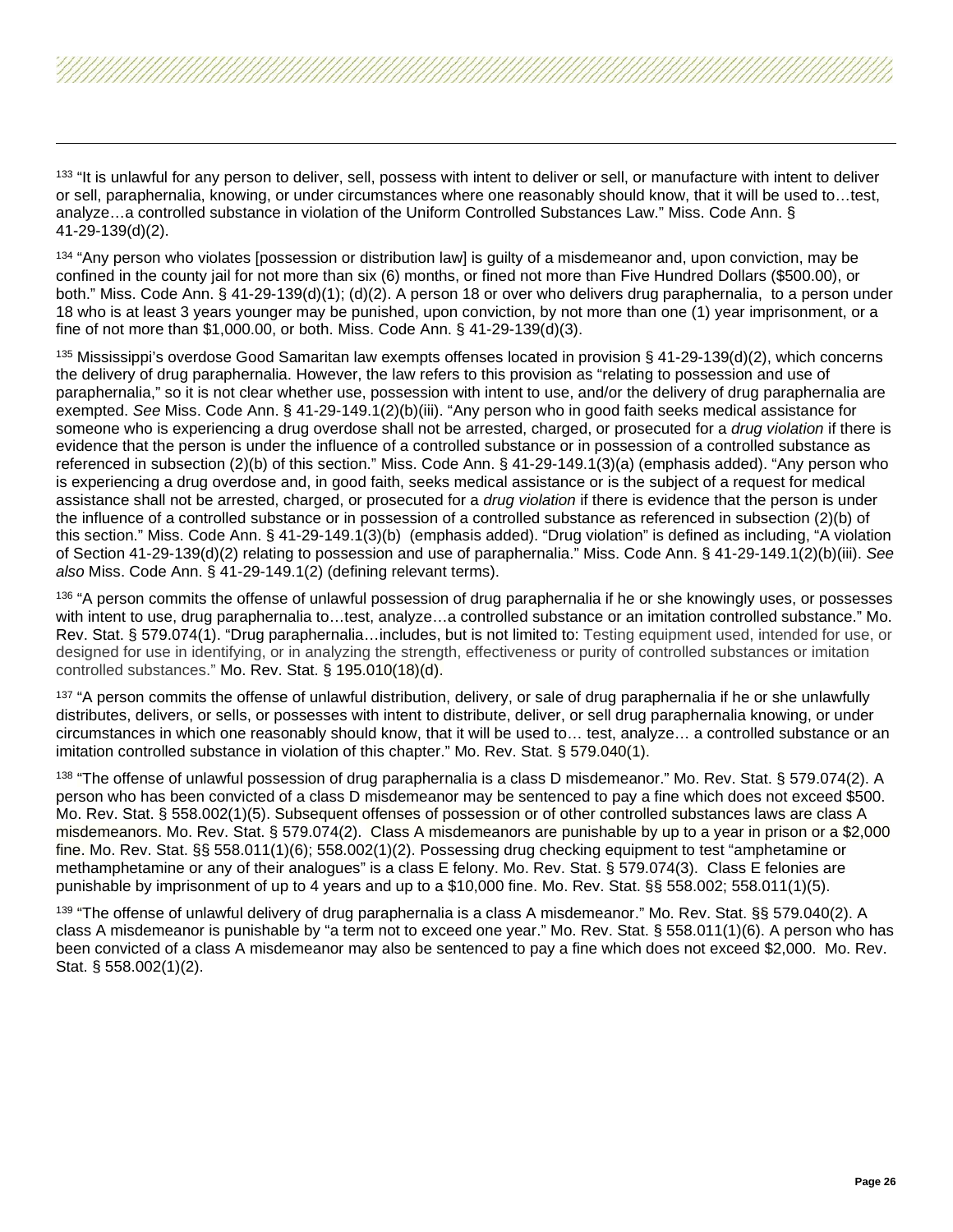<span id="page-25-8"></span><span id="page-25-7"></span><span id="page-25-6"></span><span id="page-25-5"></span><span id="page-25-4"></span><span id="page-25-3"></span><span id="page-25-2"></span><span id="page-25-1"></span><span id="page-25-0"></span><sup>133</sup> "It is unlawful for any person to deliver, sell, possess with intent to deliver or sell, or manufacture with intent to deliver or sell, paraphernalia, knowing, or under circumstances where one reasonably should know, that it will be used to…test, analyze…a controlled substance in violation of the Uniform Controlled Substances Law." Miss. Code Ann. § 41-29-139(d)(2).

134 "Any person who violates [possession or distribution law] is quilty of a misdemeanor and, upon conviction, may be confined in the county jail for not more than six (6) months, or fined not more than Five Hundred Dollars (\$500.00), or both." Miss. Code Ann. § 41-29-139(d)(1); (d)(2). A person 18 or over who delivers drug paraphernalia, to a person under 18 who is at least 3 years younger may be punished, upon conviction, by not more than one (1) year imprisonment, or a fine of not more than \$1,000.00, or both. Miss. Code Ann. § 41-29-139(d)(3).

<sup>135</sup> Mississippi's overdose Good Samaritan law exempts offenses located in provision § 41-29-139(d)(2), which concerns the delivery of drug paraphernalia. However, the law refers to this provision as "relating to possession and use of paraphernalia," so it is not clear whether use, possession with intent to use, and/or the delivery of drug paraphernalia are exempted. *See* Miss. Code Ann. § 41-29-149.1(2)(b)(iii). "Any person who in good faith seeks medical assistance for someone who is experiencing a drug overdose shall not be arrested, charged, or prosecuted for a *drug violation* if there is evidence that the person is under the influence of a controlled substance or in possession of a controlled substance as referenced in subsection (2)(b) of this section." Miss. Code Ann. § 41-29-149.1(3)(a) (emphasis added). "Any person who is experiencing a drug overdose and, in good faith, seeks medical assistance or is the subject of a request for medical assistance shall not be arrested, charged, or prosecuted for a *drug violation* if there is evidence that the person is under the influence of a controlled substance or in possession of a controlled substance as referenced in subsection (2)(b) of this section." Miss. Code Ann. § 41-29-149.1(3)(b) (emphasis added). "Drug violation" is defined as including, "A violation of Section 41-29-139(d)(2) relating to possession and use of paraphernalia." Miss. Code Ann. § 41-29-149.1(2)(b)(iii). *See also* Miss. Code Ann. § 41-29-149.1(2) (defining relevant terms).

<sup>136</sup> "A person commits the offense of unlawful possession of drug paraphernalia if he or she knowingly uses, or possesses with intent to use, drug paraphernalia to...test, analyze...a controlled substance or an imitation controlled substance." Mo. Rev. Stat. § 579.074(1). "Drug paraphernalia…includes, but is not limited to: Testing equipment used, intended for use, or designed for use in identifying, or in analyzing the strength, effectiveness or purity of controlled substances or imitation controlled substances." Mo. Rev. Stat. § 195.010(18)(d).

<sup>137</sup> "A person commits the offense of unlawful distribution, delivery, or sale of drug paraphernalia if he or she unlawfully distributes, delivers, or sells, or possesses with intent to distribute, deliver, or sell drug paraphernalia knowing, or under circumstances in which one reasonably should know, that it will be used to… test, analyze… a controlled substance or an imitation controlled substance in violation of this chapter." Mo. Rev. Stat. § 579.040(1).

138 "The offense of unlawful possession of drug paraphernalia is a class D misdemeanor." Mo. Rev. Stat. § 579.074(2). A person who has been convicted of a class D misdemeanor may be sentenced to pay a fine which does not exceed \$500. Mo. Rev. Stat. § 558.002(1)(5). Subsequent offenses of possession or of other controlled substances laws are class A misdemeanors. Mo. Rev. Stat. § 579.074(2). Class A misdemeanors are punishable by up to a year in prison or a \$2,000 fine. Mo. Rev. Stat. §§ 558.011(1)(6); 558.002(1)(2). Possessing drug checking equipment to test "amphetamine or methamphetamine or any of their analogues" is a class E felony. Mo. Rev. Stat. § 579.074(3). Class E felonies are punishable by imprisonment of up to 4 years and up to a \$10,000 fine. Mo. Rev. Stat. §§ 558.002; 558.011(1)(5).

139 "The offense of unlawful delivery of drug paraphernalia is a class A misdemeanor." Mo. Rev. Stat. §§ 579.040(2). A class A misdemeanor is punishable by "a term not to exceed one year." Mo. Rev. Stat. § 558.011(1)(6). A person who has been convicted of a class A misdemeanor may also be sentenced to pay a fine which does not exceed \$2,000. Mo. Rev. Stat. § 558.002(1)(2).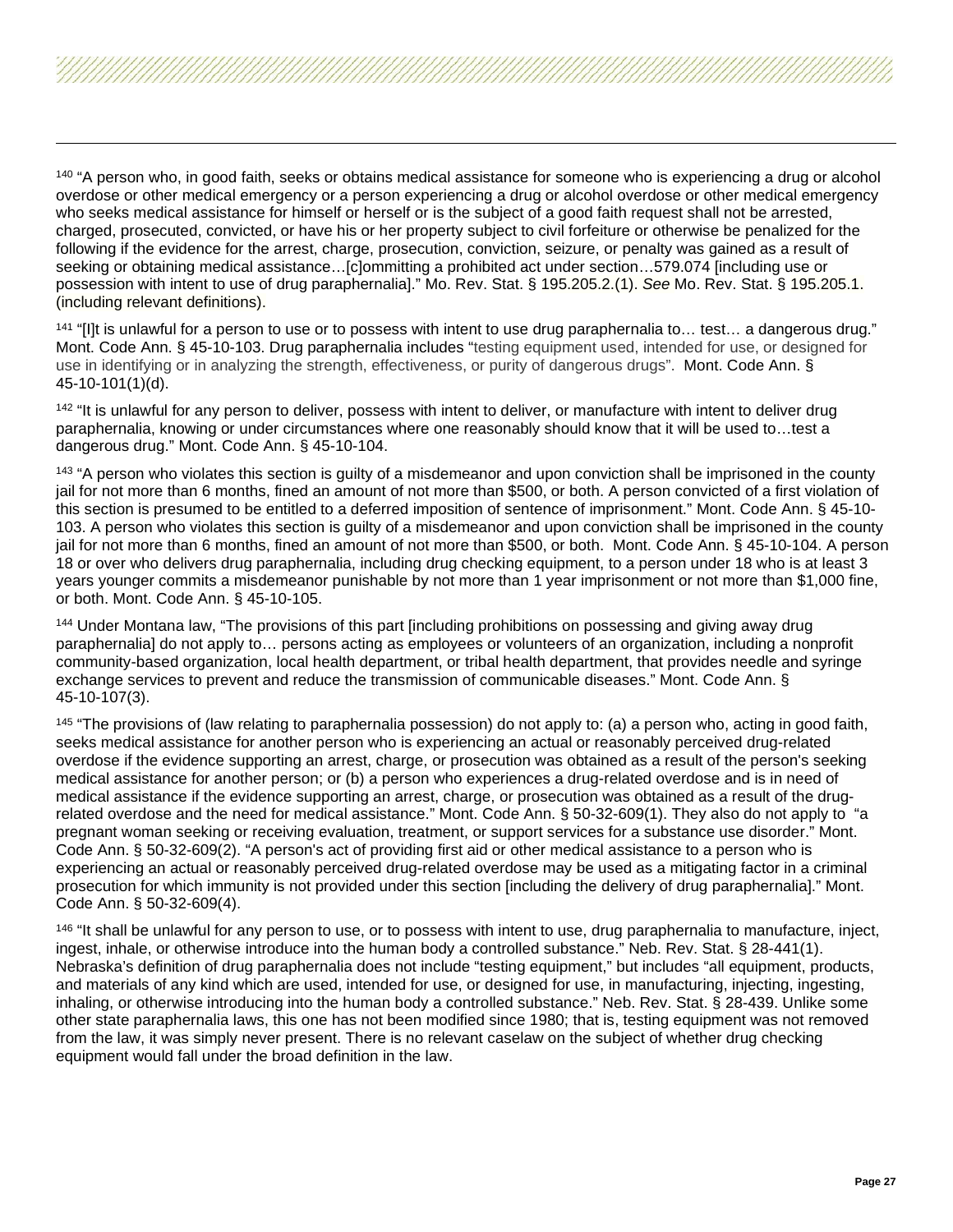<span id="page-26-6"></span><span id="page-26-5"></span><span id="page-26-4"></span><span id="page-26-3"></span><span id="page-26-2"></span><span id="page-26-1"></span><span id="page-26-0"></span><sup>140</sup> "A person who, in good faith, seeks or obtains medical assistance for someone who is experiencing a drug or alcohol overdose or other medical emergency or a person experiencing a drug or alcohol overdose or other medical emergency who seeks medical assistance for himself or herself or is the subject of a good faith request shall not be arrested, charged, prosecuted, convicted, or have his or her property subject to civil forfeiture or otherwise be penalized for the following if the evidence for the arrest, charge, prosecution, conviction, seizure, or penalty was gained as a result of seeking or obtaining medical assistance…[c]ommitting a prohibited act under section…579.074 [including use or possession with intent to use of drug paraphernalia]." Mo. Rev. Stat. § 195.205.2.(1). *See* Mo. Rev. Stat. § 195.205.1. (including relevant definitions).

 $141$  "[I]t is unlawful for a person to use or to possess with intent to use drug paraphernalia to... test... a dangerous drug." Mont. Code Ann. § 45-10-103. Drug paraphernalia includes "testing equipment used, intended for use, or designed for use in identifying or in analyzing the strength, effectiveness, or purity of dangerous drugs". Mont. Code Ann. § 45-10-101(1)(d).

<sup>142</sup> "It is unlawful for any person to deliver, possess with intent to deliver, or manufacture with intent to deliver drug paraphernalia, knowing or under circumstances where one reasonably should know that it will be used to…test a dangerous drug." Mont. Code Ann. § 45-10-104.

<sup>143</sup> "A person who violates this section is guilty of a misdemeanor and upon conviction shall be imprisoned in the county jail for not more than 6 months, fined an amount of not more than \$500, or both. A person convicted of a first violation of this section is presumed to be entitled to a deferred imposition of sentence of imprisonment." Mont. Code Ann. § 45-10- 103. A person who violates this section is guilty of a misdemeanor and upon conviction shall be imprisoned in the county jail for not more than 6 months, fined an amount of not more than \$500, or both. Mont. Code Ann. § 45-10-104. A person 18 or over who delivers drug paraphernalia, including drug checking equipment, to a person under 18 who is at least 3 years younger commits a misdemeanor punishable by not more than 1 year imprisonment or not more than \$1,000 fine, or both. Mont. Code Ann. § 45-10-105.

<sup>144</sup> Under Montana law, "The provisions of this part [including prohibitions on possessing and giving away drug paraphernalia] do not apply to… persons acting as employees or volunteers of an organization, including a nonprofit community-based organization, local health department, or tribal health department, that provides needle and syringe exchange services to prevent and reduce the transmission of communicable diseases." Mont. Code Ann. § 45-10-107(3).

<sup>145</sup> "The provisions of (law relating to paraphernalia possession) do not apply to: (a) a person who, acting in good faith, seeks medical assistance for another person who is experiencing an actual or reasonably perceived drug-related overdose if the evidence supporting an arrest, charge, or prosecution was obtained as a result of the person's seeking medical assistance for another person; or (b) a person who experiences a drug-related overdose and is in need of medical assistance if the evidence supporting an arrest, charge, or prosecution was obtained as a result of the drugrelated overdose and the need for medical assistance." Mont. Code Ann. § 50-32-609(1). They also do not apply to "a pregnant woman seeking or receiving evaluation, treatment, or support services for a substance use disorder." Mont. Code Ann. § 50-32-609(2). "A person's act of providing first aid or other medical assistance to a person who is experiencing an actual or reasonably perceived drug-related overdose may be used as a mitigating factor in a criminal prosecution for which immunity is not provided under this section [including the delivery of drug paraphernalia]." Mont. Code Ann. § 50-32-609(4).

146 "It shall be unlawful for any person to use, or to possess with intent to use, drug paraphernalia to manufacture, inject, ingest, inhale, or otherwise introduce into the human body a controlled substance." Neb. Rev. Stat. § 28-441(1). Nebraska's definition of drug paraphernalia does not include "testing equipment," but includes "all equipment, products, and materials of any kind which are used, intended for use, or designed for use, in manufacturing, injecting, ingesting, inhaling, or otherwise introducing into the human body a controlled substance." Neb. Rev. Stat. § 28-439. Unlike some other state paraphernalia laws, this one has not been modified since 1980; that is, testing equipment was not removed from the law, it was simply never present. There is no relevant caselaw on the subject of whether drug checking equipment would fall under the broad definition in the law.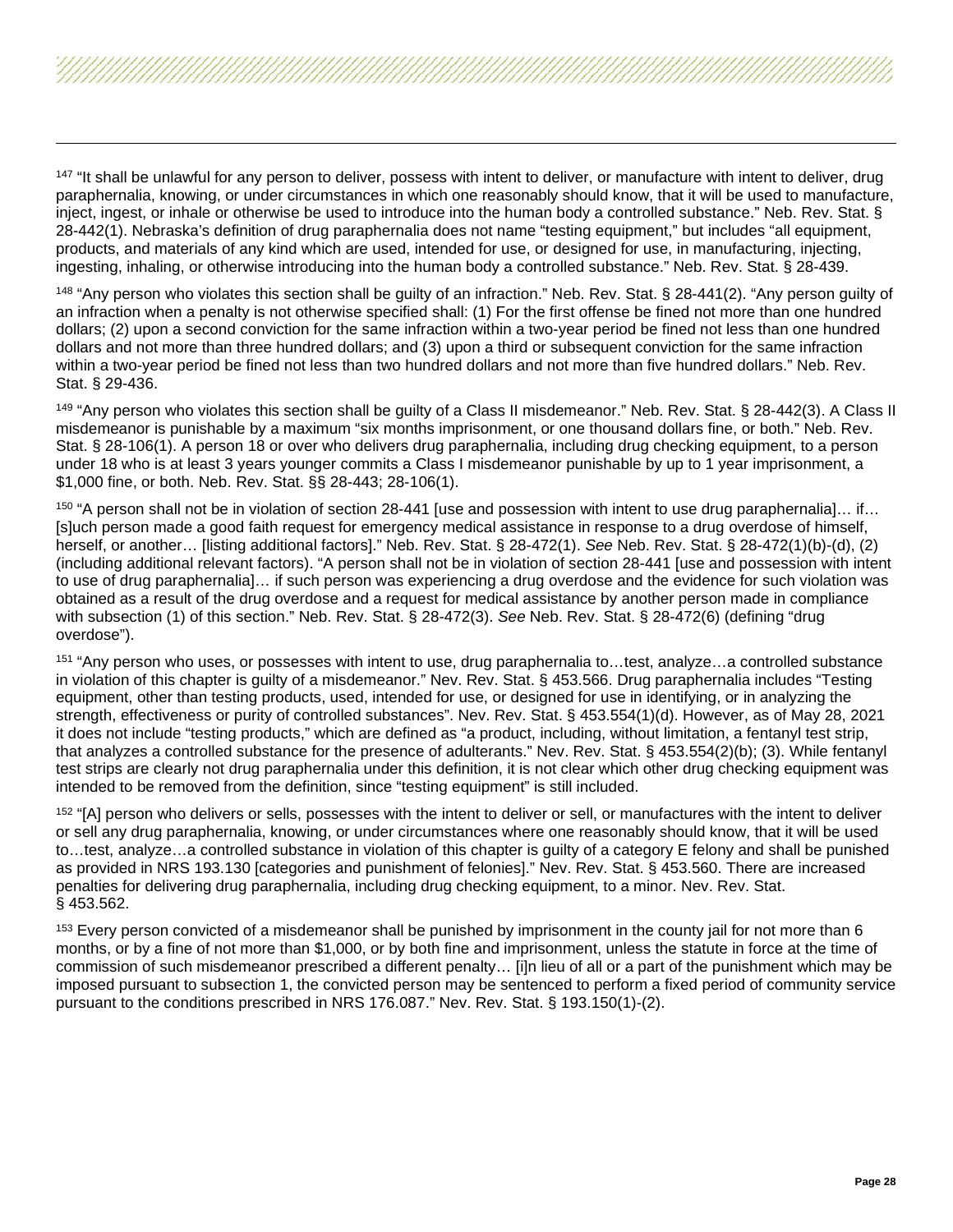<span id="page-27-6"></span><span id="page-27-5"></span><span id="page-27-4"></span><span id="page-27-3"></span><span id="page-27-2"></span><span id="page-27-1"></span><span id="page-27-0"></span><sup>147</sup> "It shall be unlawful for any person to deliver, possess with intent to deliver, or manufacture with intent to deliver, drug paraphernalia, knowing, or under circumstances in which one reasonably should know, that it will be used to manufacture, inject, ingest, or inhale or otherwise be used to introduce into the human body a controlled substance." Neb. Rev. Stat. § 28-442(1). Nebraska's definition of drug paraphernalia does not name "testing equipment," but includes "all equipment, products, and materials of any kind which are used, intended for use, or designed for use, in manufacturing, injecting, ingesting, inhaling, or otherwise introducing into the human body a controlled substance." Neb. Rev. Stat. § 28-439.

<sup>148</sup> "Any person who violates this section shall be guilty of an infraction." Neb. Rev. Stat. § 28-441(2). "Any person guilty of an infraction when a penalty is not otherwise specified shall: (1) For the first offense be fined not more than one hundred dollars; (2) upon a second conviction for the same infraction within a two-year period be fined not less than one hundred dollars and not more than three hundred dollars; and (3) upon a third or subsequent conviction for the same infraction within a two-year period be fined not less than two hundred dollars and not more than five hundred dollars." Neb. Rev. Stat. § 29-436.

149 "Any person who violates this section shall be guilty of a Class II misdemeanor." Neb. Rev. Stat. § 28-442(3). A Class II misdemeanor is punishable by a maximum "six months imprisonment, or one thousand dollars fine, or both." Neb. Rev. Stat. § 28-106(1). A person 18 or over who delivers drug paraphernalia, including drug checking equipment, to a person under 18 who is at least 3 years younger commits a Class I misdemeanor punishable by up to 1 year imprisonment, a \$1,000 fine, or both. Neb. Rev. Stat. §§ 28-443; 28-106(1).

 $150$  "A person shall not be in violation of section 28-441 [use and possession with intent to use drug paraphernalia]… if… [s]uch person made a good faith request for emergency medical assistance in response to a drug overdose of himself, herself, or another… [listing additional factors]." Neb. Rev. Stat. § 28-472(1). *See* Neb. Rev. Stat. § 28-472(1)(b)-(d), (2) (including additional relevant factors). "A person shall not be in violation of section 28-441 [use and possession with intent to use of drug paraphernalia]… if such person was experiencing a drug overdose and the evidence for such violation was obtained as a result of the drug overdose and a request for medical assistance by another person made in compliance with subsection (1) of this section." Neb. Rev. Stat. § 28-472(3). *See* Neb. Rev. Stat. § 28-472(6) (defining "drug overdose").

<sup>151</sup> "Any person who uses, or possesses with intent to use, drug paraphernalia to…test, analyze…a controlled substance in violation of this chapter is guilty of a misdemeanor." Nev. Rev. Stat. § 453.566. Drug paraphernalia includes "Testing equipment, other than testing products, used, intended for use, or designed for use in identifying, or in analyzing the strength, effectiveness or purity of controlled substances". Nev. Rev. Stat. § 453.554(1)(d). However, as of May 28, 2021 it does not include "testing products," which are defined as "a product, including, without limitation, a fentanyl test strip, that analyzes a controlled substance for the presence of adulterants." Nev. Rev. Stat. § 453.554(2)(b); (3). While fentanyl test strips are clearly not drug paraphernalia under this definition, it is not clear which other drug checking equipment was intended to be removed from the definition, since "testing equipment" is still included.

<sup>152</sup> "[A] person who delivers or sells, possesses with the intent to deliver or sell, or manufactures with the intent to deliver or sell any drug paraphernalia, knowing, or under circumstances where one reasonably should know, that it will be used to…test, analyze…a controlled substance in violation of this chapter is guilty of a category E felony and shall be punished as provided in NRS 193.130 [categories and punishment of felonies]." Nev. Rev. Stat. § 453.560. There are increased penalties for delivering drug paraphernalia, including drug checking equipment, to a minor. Nev. Rev. Stat. § 453.562.

<sup>153</sup> Every person convicted of a misdemeanor shall be punished by imprisonment in the county jail for not more than 6 months, or by a fine of not more than \$1,000, or by both fine and imprisonment, unless the statute in force at the time of commission of such misdemeanor prescribed a different penalty… [i]n lieu of all or a part of the punishment which may be imposed pursuant to subsection 1, the convicted person may be sentenced to perform a fixed period of community service pursuant to the conditions prescribed in NRS 176.087." Nev. Rev. Stat. § 193.150(1)-(2).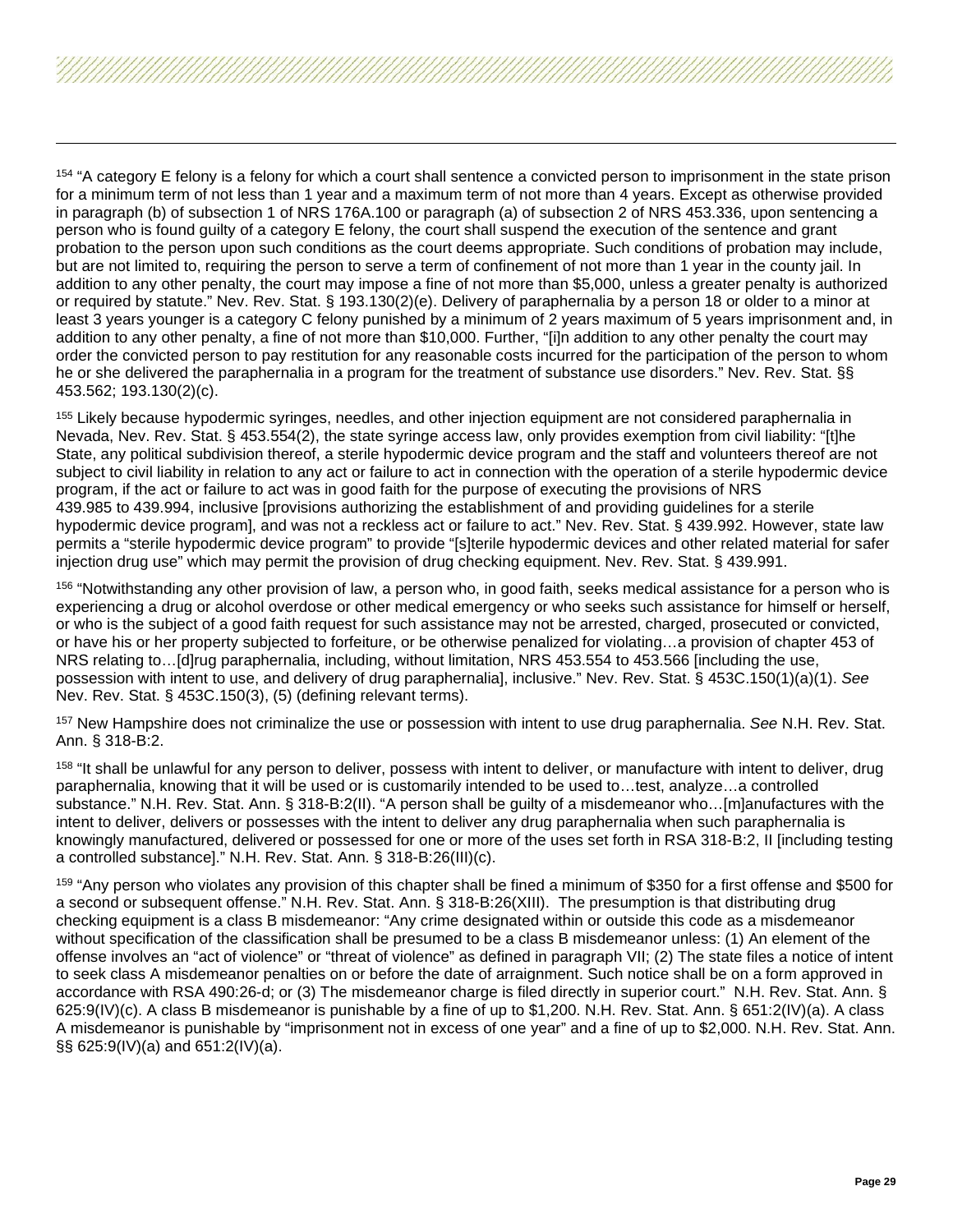<span id="page-28-7"></span><span id="page-28-6"></span><span id="page-28-5"></span><span id="page-28-4"></span><span id="page-28-3"></span><span id="page-28-2"></span><span id="page-28-1"></span><span id="page-28-0"></span><sup>154</sup> "A category E felony is a felony for which a court shall sentence a convicted person to imprisonment in the state prison for a minimum term of not less than 1 year and a maximum term of not more than 4 years. Except as otherwise provided in paragraph (b) of subsection 1 of NRS 176A.100 or paragraph (a) of subsection 2 of NRS 453.336, upon sentencing a person who is found guilty of a category E felony, the court shall suspend the execution of the sentence and grant probation to the person upon such conditions as the court deems appropriate. Such conditions of probation may include, but are not limited to, requiring the person to serve a term of confinement of not more than 1 year in the county jail. In addition to any other penalty, the court may impose a fine of not more than \$5,000, unless a greater penalty is authorized or required by statute." Nev. Rev. Stat. § 193.130(2)(e). Delivery of paraphernalia by a person 18 or older to a minor at least 3 years younger is a category C felony punished by a minimum of 2 years maximum of 5 years imprisonment and, in addition to any other penalty, a fine of not more than \$10,000. Further, "[i]n addition to any other penalty the court may order the convicted person to pay restitution for any reasonable costs incurred for the participation of the person to whom he or she delivered the paraphernalia in a program for the treatment of substance use disorders." Nev. Rev. Stat. §§ 453.562; 193.130(2)(c).

<sup>155</sup> Likely because hypodermic syringes, needles, and other injection equipment are not considered paraphernalia in Nevada, Nev. Rev. Stat. § 453.554(2), the state syringe access law, only provides exemption from civil liability: "[t]he State, any political subdivision thereof, a sterile hypodermic device program and the staff and volunteers thereof are not subject to civil liability in relation to any act or failure to act in connection with the operation of a sterile hypodermic device program, if the act or failure to act was in good faith for the purpose of executing the provisions of NRS 439.985 to 439.994, inclusive [provisions authorizing the establishment of and providing guidelines for a sterile hypodermic device program], and was not a reckless act or failure to act." Nev. Rev. Stat. § 439.992. However, state law permits a "sterile hypodermic device program" to provide "[s]terile hypodermic devices and other related material for safer injection drug use" which may permit the provision of drug checking equipment. Nev. Rev. Stat. § 439.991.

<sup>156</sup> "Notwithstanding any other provision of law, a person who, in good faith, seeks medical assistance for a person who is experiencing a drug or alcohol overdose or other medical emergency or who seeks such assistance for himself or herself, or who is the subject of a good faith request for such assistance may not be arrested, charged, prosecuted or convicted, or have his or her property subjected to forfeiture, or be otherwise penalized for violating…a provision of chapter 453 of NRS relating to…[d]rug paraphernalia, including, without limitation, NRS 453.554 to 453.566 [including the use, possession with intent to use, and delivery of drug paraphernalia], inclusive." Nev. Rev. Stat. § 453C.150(1)(a)(1). *See*  Nev. Rev. Stat. § 453C.150(3), (5) (defining relevant terms).

<sup>157</sup> New Hampshire does not criminalize the use or possession with intent to use drug paraphernalia. *See* N.H. Rev. Stat. Ann. § 318-B:2.

<sup>158</sup> "It shall be unlawful for any person to deliver, possess with intent to deliver, or manufacture with intent to deliver, drug paraphernalia, knowing that it will be used or is customarily intended to be used to…test, analyze…a controlled substance." N.H. Rev. Stat. Ann. § 318-B:2(II). "A person shall be guilty of a misdemeanor who…[m]anufactures with the intent to deliver, delivers or possesses with the intent to deliver any drug paraphernalia when such paraphernalia is knowingly manufactured, delivered or possessed for one or more of the uses set forth in RSA 318-B:2, II [including testing a controlled substance]." N.H. Rev. Stat. Ann. § 318-B:26(III)(c).

<sup>159</sup> "Any person who violates any provision of this chapter shall be fined a minimum of \$350 for a first offense and \$500 for a second or subsequent offense." N.H. Rev. Stat. Ann. § 318-B:26(XIII). The presumption is that distributing drug checking equipment is a class B misdemeanor: "Any crime designated within or outside this code as a misdemeanor without specification of the classification shall be presumed to be a class B misdemeanor unless: (1) An element of the offense involves an "act of violence" or "threat of violence" as defined in paragraph VII; (2) The state files a notice of intent to seek class A misdemeanor penalties on or before the date of arraignment. Such notice shall be on a form approved in accordance with RSA 490:26-d; or (3) The misdemeanor charge is filed directly in superior court." N.H. Rev. Stat. Ann. § 625:9(IV)(c). A class B misdemeanor is punishable by a fine of up to \$1,200. N.H. Rev. Stat. Ann. § 651:2(IV)(a). A class A misdemeanor is punishable by "imprisonment not in excess of one year" and a fine of up to \$2,000. N.H. Rev. Stat. Ann. §§ 625:9(IV)(a) and 651:2(IV)(a).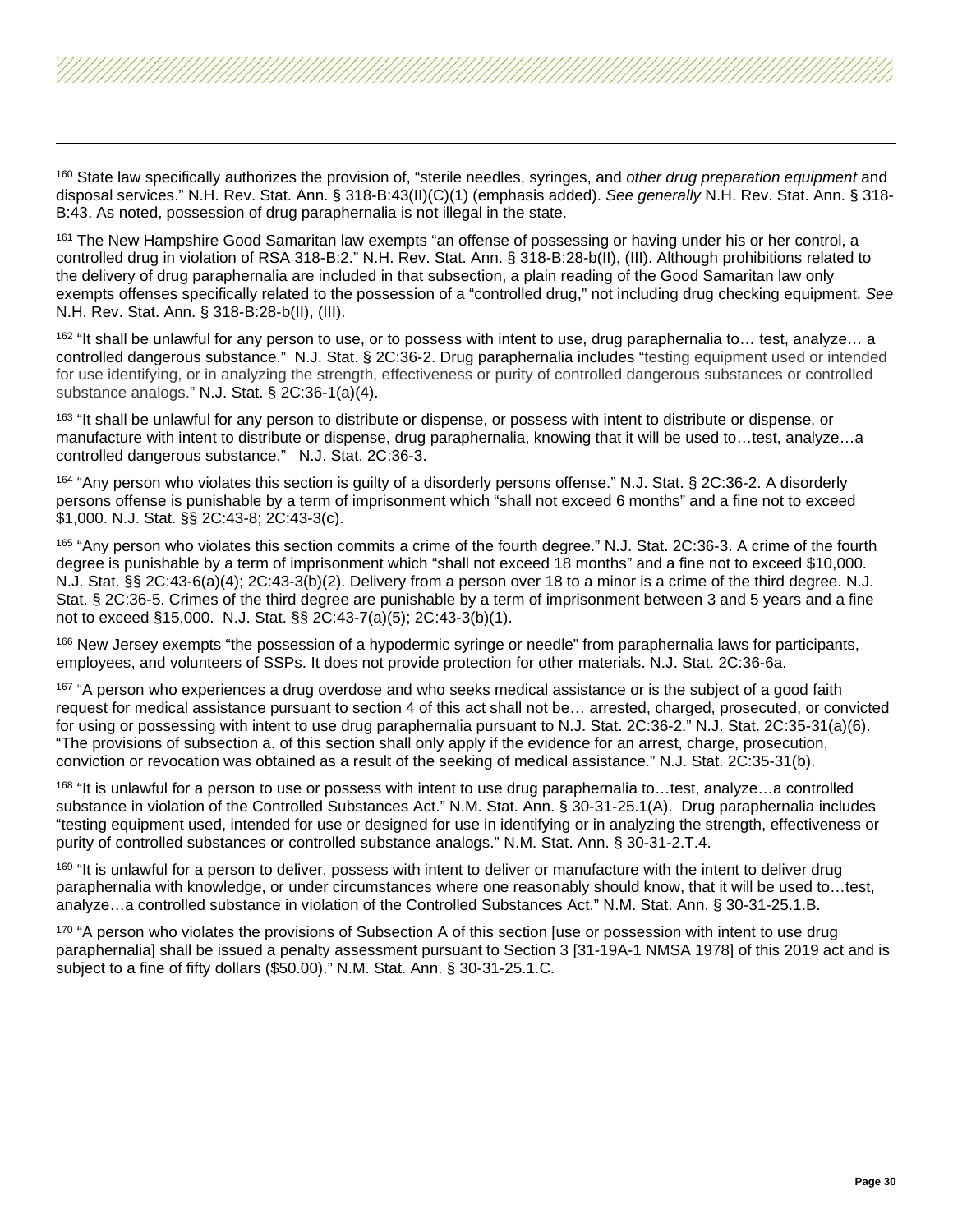<span id="page-29-4"></span><span id="page-29-3"></span><span id="page-29-2"></span><span id="page-29-1"></span><span id="page-29-0"></span><sup>160</sup> State law specifically authorizes the provision of, "sterile needles, syringes, and *other drug preparation equipment* and disposal services." N.H. Rev. Stat. Ann. § 318-B:43(II)(C)(1) (emphasis added). *See generally* N.H. Rev. Stat. Ann. § 318- B:43. As noted, possession of drug paraphernalia is not illegal in the state.

<sup>161</sup> The New Hampshire Good Samaritan law exempts "an offense of possessing or having under his or her control, a controlled drug in violation of RSA 318-B:2." N.H. Rev. Stat. Ann. § 318-B:28-b(II), (III). Although prohibitions related to the delivery of drug paraphernalia are included in that subsection, a plain reading of the Good Samaritan law only exempts offenses specifically related to the possession of a "controlled drug," not including drug checking equipment. *See*  N.H. Rev. Stat. Ann. § 318-B:28-b(II), (III).

162 "It shall be unlawful for any person to use, or to possess with intent to use, drug paraphernalia to... test, analyze... a controlled dangerous substance." N.J. Stat. § 2C:36-2. Drug paraphernalia includes "testing equipment used or intended for use identifying, or in analyzing the strength, effectiveness or purity of controlled dangerous substances or controlled substance analogs." N.J. Stat. § 2C:36-1(a)(4).

<sup>163</sup> "It shall be unlawful for any person to distribute or dispense, or possess with intent to distribute or dispense, or manufacture with intent to distribute or dispense, drug paraphernalia, knowing that it will be used to…test, analyze…a controlled dangerous substance." N.J. Stat. 2C:36-3.

<sup>164</sup> "Any person who violates this section is guilty of a disorderly persons offense." N.J. Stat. § 2C:36-2. A disorderly persons offense is punishable by a term of imprisonment which "shall not exceed 6 months" and a fine not to exceed \$1,000. N.J. Stat. §§ 2C:43-8; 2C:43-3(c).

<sup>165</sup> "Any person who violates this section commits a crime of the fourth degree." N.J. Stat. 2C:36-3. A crime of the fourth degree is punishable by a term of imprisonment which "shall not exceed 18 months" and a fine not to exceed \$10,000. N.J. Stat. §§ 2C:43-6(a)(4); 2C:43-3(b)(2). Delivery from a person over 18 to a minor is a crime of the third degree. N.J. Stat. § 2C:36-5. Crimes of the third degree are punishable by a term of imprisonment between 3 and 5 years and a fine not to exceed §15,000. N.J. Stat. §§ 2C:43-7(a)(5); 2C:43-3(b)(1).

<sup>166</sup> New Jersey exempts "the possession of a hypodermic syringe or needle" from paraphernalia laws for participants, employees, and volunteers of SSPs. It does not provide protection for other materials. N.J. Stat. 2C:36-6a.

<sup>167</sup> "A person who experiences a drug overdose and who seeks medical assistance or is the subject of a good faith request for medical assistance pursuant to section 4 of this act shall not be… arrested, charged, prosecuted, or convicted for using or possessing with intent to use drug paraphernalia pursuant to N.J. Stat. 2C:36-2." N.J. Stat. 2C:35-31(a)(6). "The provisions of subsection a. of this section shall only apply if the evidence for an arrest, charge, prosecution, conviction or revocation was obtained as a result of the seeking of medical assistance." N.J. Stat. 2C:35-31(b).

 $168$  "It is unlawful for a person to use or possess with intent to use drug paraphernalia to...test, analyze...a controlled substance in violation of the Controlled Substances Act." N.M. Stat. Ann. § 30-31-25.1(A). Drug paraphernalia includes "testing equipment used, intended for use or designed for use in identifying or in analyzing the strength, effectiveness or purity of controlled substances or controlled substance analogs." N.M. Stat. Ann. § 30-31-2.T.4.

<sup>169</sup> "It is unlawful for a person to deliver, possess with intent to deliver or manufacture with the intent to deliver drug paraphernalia with knowledge, or under circumstances where one reasonably should know, that it will be used to…test, analyze…a controlled substance in violation of the Controlled Substances Act." N.M. Stat. Ann. § 30-31-25.1.B.

170 "A person who violates the provisions of Subsection A of this section [use or possession with intent to use drug paraphernalia] shall be issued a penalty assessment pursuant to Section 3 [31-19A-1 NMSA 1978] of this 2019 act and is subject to a fine of fifty dollars (\$50.00)." N.M. Stat. Ann. § 30-31-25.1.C.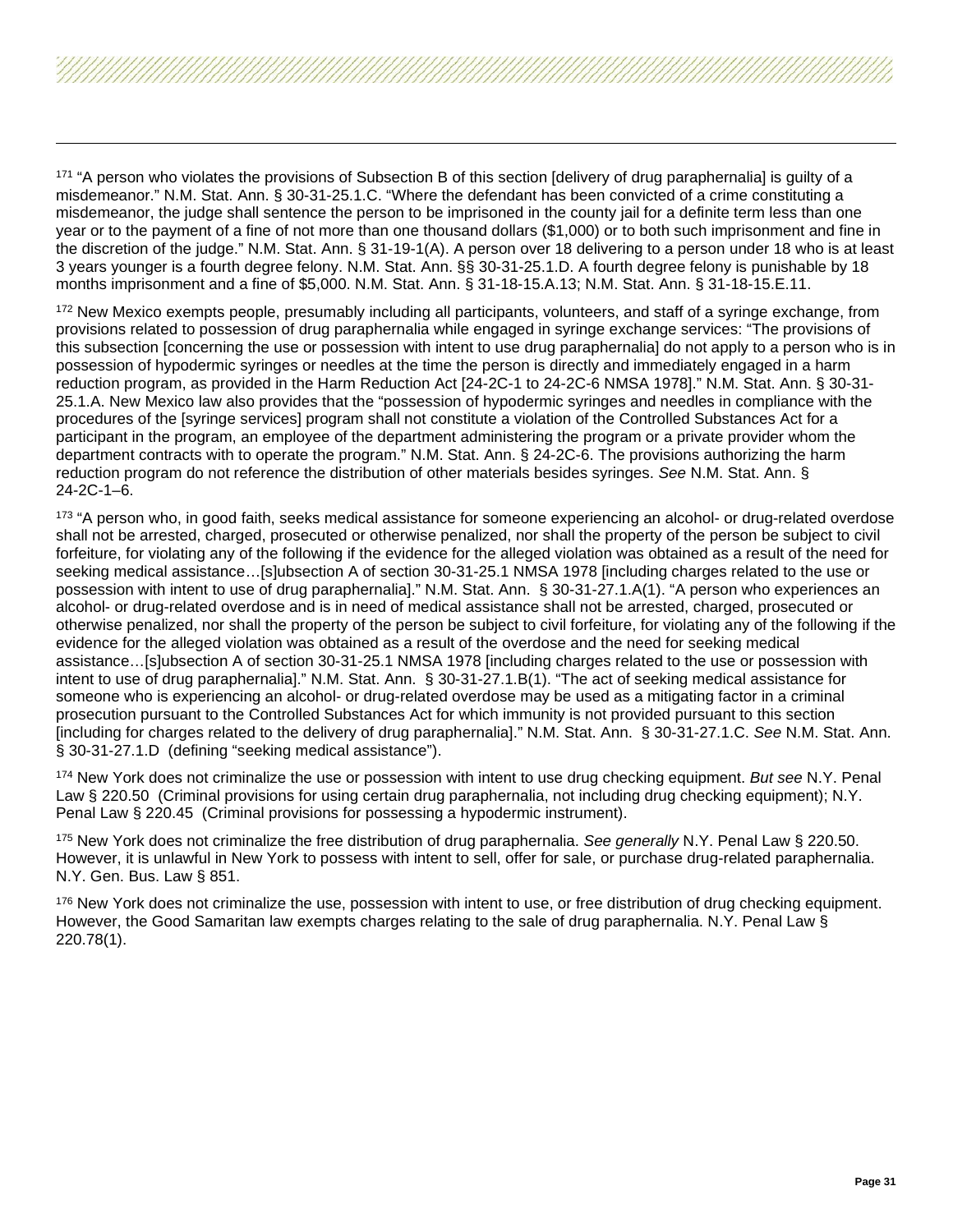<span id="page-30-10"></span><span id="page-30-9"></span><span id="page-30-8"></span><span id="page-30-7"></span><span id="page-30-6"></span><span id="page-30-5"></span><span id="page-30-4"></span><span id="page-30-3"></span><span id="page-30-2"></span><span id="page-30-1"></span><span id="page-30-0"></span><sup>171</sup> "A person who violates the provisions of Subsection B of this section [delivery of drug paraphernalia] is guilty of a misdemeanor." N.M. Stat. Ann. § 30-31-25.1.C. "Where the defendant has been convicted of a crime constituting a misdemeanor, the judge shall sentence the person to be imprisoned in the county jail for a definite term less than one year or to the payment of a fine of not more than one thousand dollars (\$1,000) or to both such imprisonment and fine in the discretion of the judge." N.M. Stat. Ann. § 31-19-1(A). A person over 18 delivering to a person under 18 who is at least 3 years younger is a fourth degree felony. N.M. Stat. Ann. §§ 30-31-25.1.D. A fourth degree felony is punishable by 18 months imprisonment and a fine of \$5,000. N.M. Stat. Ann. § 31-18-15.A.13; N.M. Stat. Ann. § 31-18-15.E.11.

<sup>172</sup> New Mexico exempts people, presumably including all participants, volunteers, and staff of a syringe exchange, from provisions related to possession of drug paraphernalia while engaged in syringe exchange services: "The provisions of this subsection [concerning the use or possession with intent to use drug paraphernalia] do not apply to a person who is in possession of hypodermic syringes or needles at the time the person is directly and immediately engaged in a harm reduction program, as provided in the Harm Reduction Act [24-2C-1 to 24-2C-6 NMSA 1978]." N.M. Stat. Ann. § 30-31- 25.1.A. New Mexico law also provides that the "possession of hypodermic syringes and needles in compliance with the procedures of the [syringe services] program shall not constitute a violation of the Controlled Substances Act for a participant in the program, an employee of the department administering the program or a private provider whom the department contracts with to operate the program." N.M. Stat. Ann. § 24-2C-6. The provisions authorizing the harm reduction program do not reference the distribution of other materials besides syringes. *See* N.M. Stat. Ann. § 24-2C-1–6.

173 "A person who, in good faith, seeks medical assistance for someone experiencing an alcohol- or drug-related overdose shall not be arrested, charged, prosecuted or otherwise penalized, nor shall the property of the person be subject to civil forfeiture, for violating any of the following if the evidence for the alleged violation was obtained as a result of the need for seeking medical assistance…[s]ubsection A of section 30-31-25.1 NMSA 1978 [including charges related to the use or possession with intent to use of drug paraphernalia]." N.M. Stat. Ann. § 30-31-27.1.A(1). "A person who experiences an alcohol- or drug-related overdose and is in need of medical assistance shall not be arrested, charged, prosecuted or otherwise penalized, nor shall the property of the person be subject to civil forfeiture, for violating any of the following if the evidence for the alleged violation was obtained as a result of the overdose and the need for seeking medical assistance…[s]ubsection A of section 30-31-25.1 NMSA 1978 [including charges related to the use or possession with intent to use of drug paraphernalia]." N.M. Stat. Ann. § 30-31-27.1.B(1). "The act of seeking medical assistance for someone who is experiencing an alcohol- or drug-related overdose may be used as a mitigating factor in a criminal prosecution pursuant to the Controlled Substances Act for which immunity is not provided pursuant to this section [including for charges related to the delivery of drug paraphernalia]." N.M. Stat. Ann. § 30-31-27.1.C. *See* N.M. Stat. Ann. § 30-31-27.1.D (defining "seeking medical assistance").

<sup>174</sup> New York does not criminalize the use or possession with intent to use drug checking equipment. *But see* N.Y. Penal Law § 220.50 (Criminal provisions for using certain drug paraphernalia, not including drug checking equipment); N.Y. Penal Law § 220.45 (Criminal provisions for possessing a hypodermic instrument).

<sup>175</sup> New York does not criminalize the free distribution of drug paraphernalia. *See generally* N.Y. Penal Law § 220.50. However, it is unlawful in New York to possess with intent to sell, offer for sale, or purchase drug-related paraphernalia. N.Y. Gen. Bus. Law § 851.

<sup>176</sup> New York does not criminalize the use, possession with intent to use, or free distribution of drug checking equipment. However, the Good Samaritan law exempts charges relating to the sale of drug paraphernalia. N.Y. Penal Law § 220.78(1).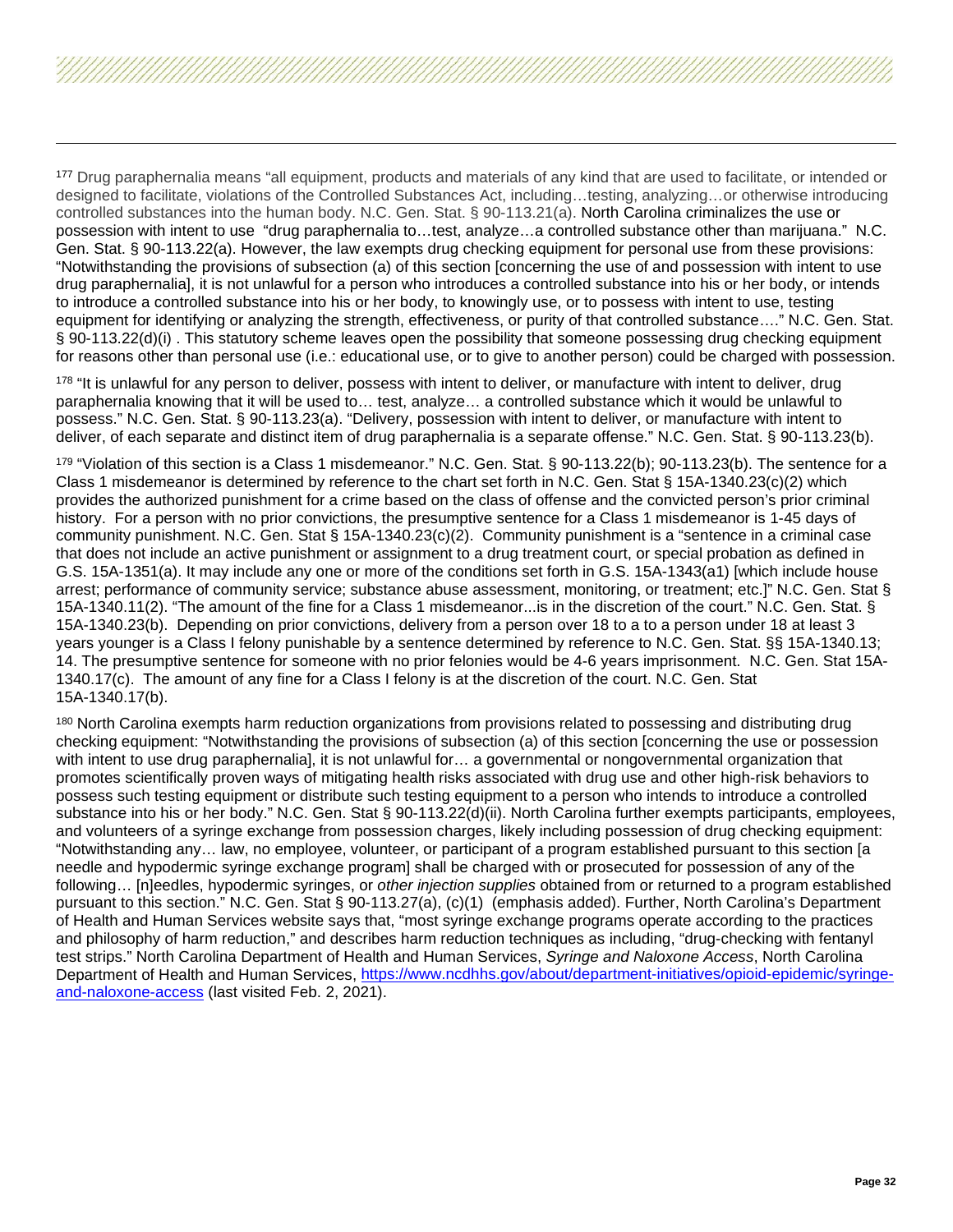<span id="page-31-5"></span><span id="page-31-4"></span><span id="page-31-3"></span><span id="page-31-2"></span><span id="page-31-1"></span><span id="page-31-0"></span><sup>177</sup> Drug paraphernalia means "all equipment, products and materials of any kind that are used to facilitate, or intended or designed to facilitate, violations of the Controlled Substances Act, including…testing, analyzing…or otherwise introducing controlled substances into the human body. N.C. Gen. Stat. § 90-113.21(a). North Carolina criminalizes the use or possession with intent to use "drug paraphernalia to…test, analyze…a controlled substance other than marijuana." N.C. Gen. Stat. § 90-113.22(a). However, the law exempts drug checking equipment for personal use from these provisions: "Notwithstanding the provisions of subsection (a) of this section [concerning the use of and possession with intent to use drug paraphernalia], it is not unlawful for a person who introduces a controlled substance into his or her body, or intends to introduce a controlled substance into his or her body, to knowingly use, or to possess with intent to use, testing equipment for identifying or analyzing the strength, effectiveness, or purity of that controlled substance…." N.C. Gen. Stat. § 90-113.22(d)(i) . This statutory scheme leaves open the possibility that someone possessing drug checking equipment for reasons other than personal use (i.e.: educational use, or to give to another person) could be charged with possession.

<sup>178</sup> "It is unlawful for any person to deliver, possess with intent to deliver, or manufacture with intent to deliver, drug paraphernalia knowing that it will be used to… test, analyze… a controlled substance which it would be unlawful to possess." N.C. Gen. Stat. § 90-113.23(a). "Delivery, possession with intent to deliver, or manufacture with intent to deliver, of each separate and distinct item of drug paraphernalia is a separate offense." N.C. Gen. Stat. § 90-113.23(b).

179 "Violation of this section is a Class 1 misdemeanor." N.C. Gen. Stat. § 90-113.22(b); 90-113.23(b). The sentence for a Class 1 misdemeanor is determined by reference to the chart set forth in N.C. Gen. Stat § 15A-1340.23(c)(2) which provides the authorized punishment for a crime based on the class of offense and the convicted person's prior criminal history. For a person with no prior convictions, the presumptive sentence for a Class 1 misdemeanor is 1-45 days of community punishment. N.C. Gen. Stat § 15A-1340.23(c)(2). Community punishment is a "sentence in a criminal case that does not include an active punishment or assignment to a drug treatment court, or special probation as defined in G.S. 15A-1351(a). It may include any one or more of the conditions set forth in G.S. 15A-1343(a1) [which include house arrest; performance of community service; substance abuse assessment, monitoring, or treatment; etc.]" N.C. Gen. Stat § 15A-1340.11(2). "The amount of the fine for a Class 1 misdemeanor...is in the discretion of the court." N.C. Gen. Stat. § 15A-1340.23(b). Depending on prior convictions, delivery from a person over 18 to a to a person under 18 at least 3 years younger is a Class I felony punishable by a sentence determined by reference to N.C. Gen. Stat. §§ 15A-1340.13; 14. The presumptive sentence for someone with no prior felonies would be 4-6 years imprisonment. N.C. Gen. Stat 15A-1340.17(c). The amount of any fine for a Class I felony is at the discretion of the court. N.C. Gen. Stat 15A-1340.17(b).

<sup>180</sup> North Carolina exempts harm reduction organizations from provisions related to possessing and distributing drug checking equipment: "Notwithstanding the provisions of subsection (a) of this section [concerning the use or possession with intent to use drug paraphernalia], it is not unlawful for... a governmental or nongovernmental organization that promotes scientifically proven ways of mitigating health risks associated with drug use and other high-risk behaviors to possess such testing equipment or distribute such testing equipment to a person who intends to introduce a controlled substance into his or her body." N.C. Gen. Stat § 90-113.22(d)(ii). North Carolina further exempts participants, employees, and volunteers of a syringe exchange from possession charges, likely including possession of drug checking equipment: "Notwithstanding any… law, no employee, volunteer, or participant of a program established pursuant to this section [a needle and hypodermic syringe exchange program] shall be charged with or prosecuted for possession of any of the following… [n]eedles, hypodermic syringes, or *other injection supplies* obtained from or returned to a program established pursuant to this section." N.C. Gen. Stat § 90-113.27(a), (c)(1) (emphasis added). Further, North Carolina's Department of Health and Human Services website says that, "most syringe exchange programs operate according to the practices and philosophy of harm reduction," and describes harm reduction techniques as including, "drug-checking with fentanyl test strips." North Carolina Department of Health and Human Services, *Syringe and Naloxone Access*, North Carolina Department of Health and Human Services, [https://www.ncdhhs.gov/about/department-initiatives/opioid-epidemic/syringe](https://www.ncdhhs.gov/about/department-initiatives/opioid-epidemic/syringe-and-naloxone-access)[and-naloxone-access](https://www.ncdhhs.gov/about/department-initiatives/opioid-epidemic/syringe-and-naloxone-access) (last visited Feb. 2, 2021).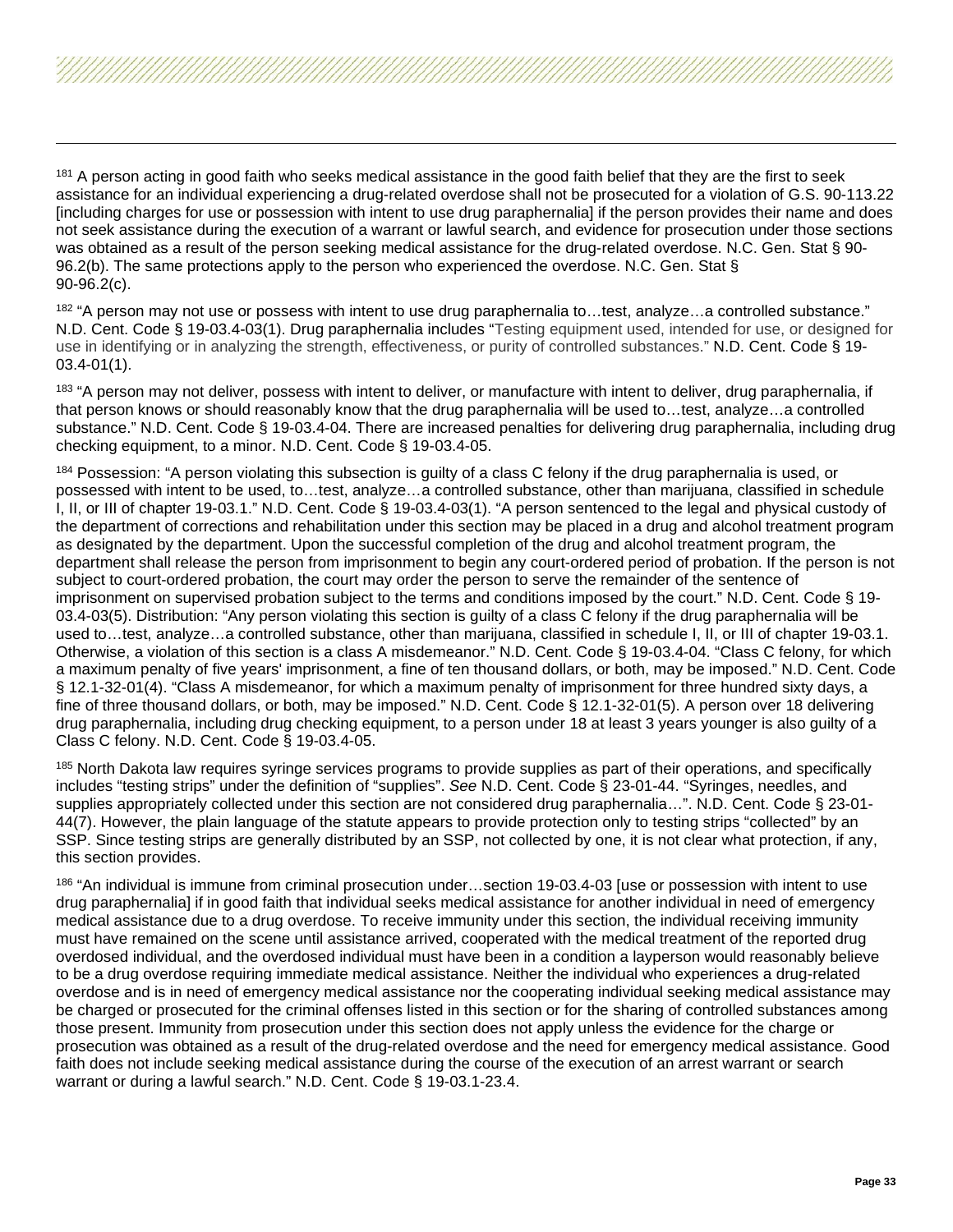<span id="page-32-3"></span><span id="page-32-2"></span><span id="page-32-1"></span><span id="page-32-0"></span>

<sup>182</sup> "A person may not use or possess with intent to use drug paraphernalia to...test, analyze...a controlled substance." N.D. Cent. Code § 19-03.4-03(1). Drug paraphernalia includes "Testing equipment used, intended for use, or designed for use in identifying or in analyzing the strength, effectiveness, or purity of controlled substances." N.D. Cent. Code § 19- 03.4-01(1).

<sup>183</sup> "A person may not deliver, possess with intent to deliver, or manufacture with intent to deliver, drug paraphernalia, if that person knows or should reasonably know that the drug paraphernalia will be used to…test, analyze…a controlled substance." N.D. Cent. Code § 19-03.4-04. There are increased penalties for delivering drug paraphernalia, including drug checking equipment, to a minor. N.D. Cent. Code § 19-03.4-05.

<sup>184</sup> Possession: "A person violating this subsection is quilty of a class C felony if the drug paraphernalia is used, or possessed with intent to be used, to…test, analyze…a controlled substance, other than marijuana, classified in schedule I, II, or III of chapter 19-03.1." N.D. Cent. Code § 19-03.4-03(1). "A person sentenced to the legal and physical custody of the department of corrections and rehabilitation under this section may be placed in a drug and alcohol treatment program as designated by the department. Upon the successful completion of the drug and alcohol treatment program, the department shall release the person from imprisonment to begin any court-ordered period of probation. If the person is not subject to court-ordered probation, the court may order the person to serve the remainder of the sentence of imprisonment on supervised probation subject to the terms and conditions imposed by the court." N.D. Cent. Code § 19- 03.4-03(5). Distribution: "Any person violating this section is guilty of a class C felony if the drug paraphernalia will be used to…test, analyze…a controlled substance, other than marijuana, classified in schedule I, II, or III of chapter 19-03.1. Otherwise, a violation of this section is a class A misdemeanor." N.D. Cent. Code § 19-03.4-04. "Class C felony, for which a maximum penalty of five years' imprisonment, a fine of ten thousand dollars, or both, may be imposed." N.D. Cent. Code § 12.1-32-01(4). "Class A misdemeanor, for which a maximum penalty of imprisonment for three hundred sixty days, a fine of three thousand dollars, or both, may be imposed." N.D. Cent. Code § 12.1-32-01(5). A person over 18 delivering drug paraphernalia, including drug checking equipment, to a person under 18 at least 3 years younger is also guilty of a Class C felony. N.D. Cent. Code § 19-03.4-05.

<sup>185</sup> North Dakota law requires syringe services programs to provide supplies as part of their operations, and specifically includes "testing strips" under the definition of "supplies". *See* N.D. Cent. Code § 23-01-44. "Syringes, needles, and supplies appropriately collected under this section are not considered drug paraphernalia…". N.D. Cent. Code § 23-01- 44(7). However, the plain language of the statute appears to provide protection only to testing strips "collected" by an SSP. Since testing strips are generally distributed by an SSP, not collected by one, it is not clear what protection, if any, this section provides.

<sup>186</sup> "An individual is immune from criminal prosecution under…section 19-03.4-03 [use or possession with intent to use drug paraphernalia] if in good faith that individual seeks medical assistance for another individual in need of emergency medical assistance due to a drug overdose. To receive immunity under this section, the individual receiving immunity must have remained on the scene until assistance arrived, cooperated with the medical treatment of the reported drug overdosed individual, and the overdosed individual must have been in a condition a layperson would reasonably believe to be a drug overdose requiring immediate medical assistance. Neither the individual who experiences a drug-related overdose and is in need of emergency medical assistance nor the cooperating individual seeking medical assistance may be charged or prosecuted for the criminal offenses listed in this section or for the sharing of controlled substances among those present. Immunity from prosecution under this section does not apply unless the evidence for the charge or prosecution was obtained as a result of the drug-related overdose and the need for emergency medical assistance. Good faith does not include seeking medical assistance during the course of the execution of an arrest warrant or search warrant or during a lawful search." N.D. Cent. Code § 19-03.1-23.4.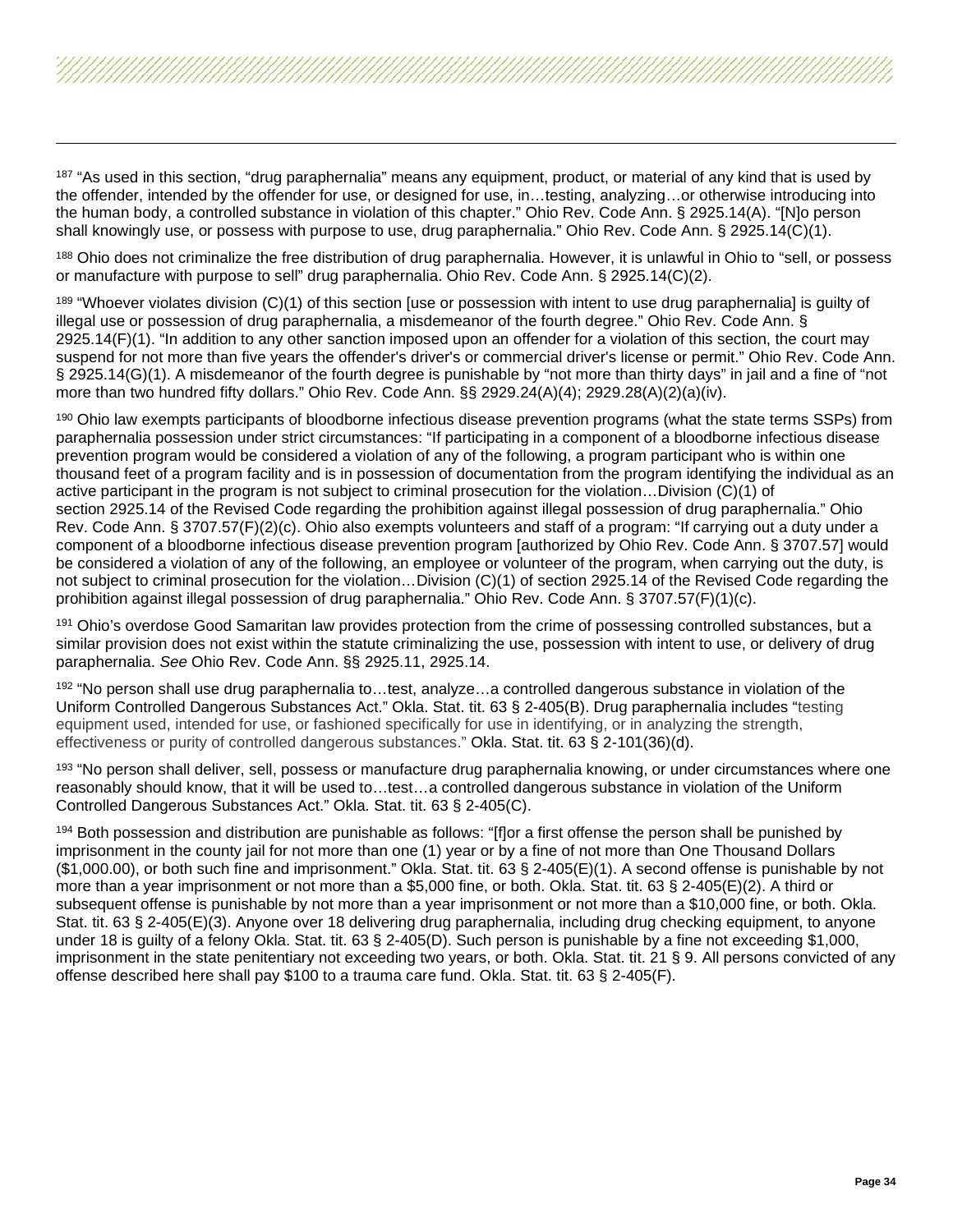<span id="page-33-5"></span><span id="page-33-4"></span><span id="page-33-3"></span><span id="page-33-2"></span><span id="page-33-1"></span><span id="page-33-0"></span><sup>187</sup> "As used in this section, "drug paraphernalia" means any equipment, product, or material of any kind that is used by the offender, intended by the offender for use, or designed for use, in…testing, analyzing…or otherwise introducing into the human body, a controlled substance in violation of this chapter." Ohio Rev. Code Ann. § 2925.14(A). "[N]o person shall knowingly use, or possess with purpose to use, drug paraphernalia." Ohio Rev. Code Ann. § 2925.14(C)(1).

<sup>188</sup> Ohio does not criminalize the free distribution of drug paraphernalia. However, it is unlawful in Ohio to "sell, or possess or manufacture with purpose to sell" drug paraphernalia. Ohio Rev. Code Ann. § 2925.14(C)(2).

<sup>189</sup> "Whoever violates division (C)(1) of this section [use or possession with intent to use drug paraphernalia] is quilty of illegal use or possession of drug paraphernalia, a misdemeanor of the fourth degree." Ohio Rev. Code Ann. § 2925.14(F)(1). "In addition to any other sanction imposed upon an offender for a violation of this section, the court may suspend for not more than five years the offender's driver's or commercial driver's license or permit." Ohio Rev. Code Ann. § 2925.14(G)(1). A misdemeanor of the fourth degree is punishable by "not more than thirty days" in jail and a fine of "not more than two hundred fifty dollars." Ohio Rev. Code Ann. §§ 2929.24(A)(4); 2929.28(A)(2)(a)(iv).

<sup>190</sup> Ohio law exempts participants of bloodborne infectious disease prevention programs (what the state terms SSPs) from paraphernalia possession under strict circumstances: "If participating in a component of a bloodborne infectious disease prevention program would be considered a violation of any of the following, a program participant who is within one thousand feet of a program facility and is in possession of documentation from the program identifying the individual as an active participant in the program is not subject to criminal prosecution for the violation…Division (C)(1) of section 2925.14 of the Revised Code regarding the prohibition against illegal possession of drug paraphernalia." Ohio Rev. Code Ann. § 3707.57(F)(2)(c). Ohio also exempts volunteers and staff of a program: "If carrying out a duty under a component of a bloodborne infectious disease prevention program [authorized by Ohio Rev. Code Ann. § 3707.57] would be considered a violation of any of the following, an employee or volunteer of the program, when carrying out the duty, is not subject to criminal prosecution for the violation…Division (C)(1) of section 2925.14 of the Revised Code regarding the prohibition against illegal possession of drug paraphernalia." Ohio Rev. Code Ann. § 3707.57(F)(1)(c).

<sup>191</sup> Ohio's overdose Good Samaritan law provides protection from the crime of possessing controlled substances, but a similar provision does not exist within the statute criminalizing the use, possession with intent to use, or delivery of drug paraphernalia. *See* Ohio Rev. Code Ann. §§ 2925.11, 2925.14.

<sup>192</sup> "No person shall use drug paraphernalia to…test, analyze…a controlled dangerous substance in violation of the Uniform Controlled Dangerous Substances Act." Okla. Stat. tit. 63 § 2-405(B). Drug paraphernalia includes "testing equipment used, intended for use, or fashioned specifically for use in identifying, or in analyzing the strength, effectiveness or purity of controlled dangerous substances." Okla. Stat. tit. 63 § 2-101(36)(d).

<sup>193</sup> "No person shall deliver, sell, possess or manufacture drug paraphernalia knowing, or under circumstances where one reasonably should know, that it will be used to…test…a controlled dangerous substance in violation of the Uniform Controlled Dangerous Substances Act." Okla. Stat. tit. 63 § 2-405(C).

194 Both possession and distribution are punishable as follows: "[f]or a first offense the person shall be punished by imprisonment in the county jail for not more than one (1) year or by a fine of not more than One Thousand Dollars (\$1,000.00), or both such fine and imprisonment." Okla. Stat. tit. 63 § 2-405(E)(1). A second offense is punishable by not more than a year imprisonment or not more than a \$5,000 fine, or both. Okla. Stat. tit. 63 § 2-405(E)(2). A third or subsequent offense is punishable by not more than a year imprisonment or not more than a \$10,000 fine, or both. Okla. Stat. tit. 63 § 2-405(E)(3). Anyone over 18 delivering drug paraphernalia, including drug checking equipment, to anyone under 18 is guilty of a felony Okla. Stat. tit. 63 § 2-405(D). Such person is punishable by a fine not exceeding \$1,000, imprisonment in the state penitentiary not exceeding two years, or both. Okla. Stat. tit. 21 § 9. All persons convicted of any offense described here shall pay \$100 to a trauma care fund. Okla. Stat. tit. 63 § 2-405(F).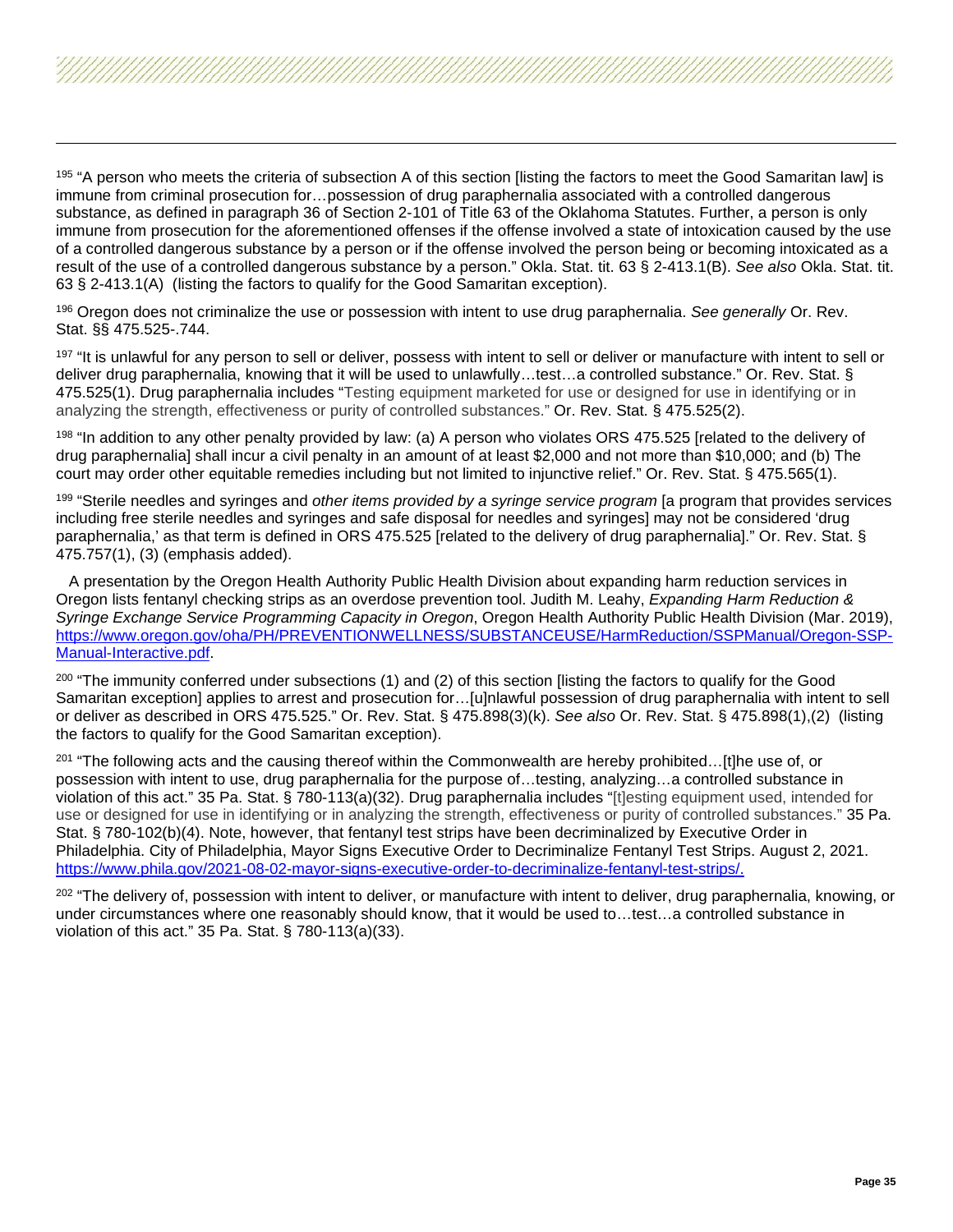<span id="page-34-7"></span><span id="page-34-6"></span><span id="page-34-5"></span><span id="page-34-4"></span><span id="page-34-3"></span><span id="page-34-2"></span><span id="page-34-1"></span><span id="page-34-0"></span><sup>195</sup> "A person who meets the criteria of subsection A of this section [listing the factors to meet the Good Samaritan law] is immune from criminal prosecution for…possession of drug paraphernalia associated with a controlled dangerous substance, as defined in paragraph 36 of Section 2-101 of Title 63 of the Oklahoma Statutes. Further, a person is only immune from prosecution for the aforementioned offenses if the offense involved a state of intoxication caused by the use of a controlled dangerous substance by a person or if the offense involved the person being or becoming intoxicated as a result of the use of a controlled dangerous substance by a person." Okla. Stat. tit. 63 § 2-413.1(B). *See also* Okla. Stat. tit. 63 § 2-413.1(A) (listing the factors to qualify for the Good Samaritan exception).

<sup>196</sup> Oregon does not criminalize the use or possession with intent to use drug paraphernalia. *See generally* Or. Rev. Stat. §§ 475.525-.744.

<sup>197</sup> "It is unlawful for any person to sell or deliver, possess with intent to sell or deliver or manufacture with intent to sell or deliver drug paraphernalia, knowing that it will be used to unlawfully…test…a controlled substance." Or. Rev. Stat. § 475.525(1). Drug paraphernalia includes "Testing equipment marketed for use or designed for use in identifying or in analyzing the strength, effectiveness or purity of controlled substances." Or. Rev. Stat. § 475.525(2).

<sup>198</sup> "In addition to any other penalty provided by law: (a) A person who violates ORS 475.525 [related to the delivery of drug paraphernalia] shall incur a civil penalty in an amount of at least \$2,000 and not more than \$10,000; and (b) The court may order other equitable remedies including but not limited to injunctive relief." Or. Rev. Stat. § 475.565(1).

<sup>199</sup> "Sterile needles and syringes and *other items provided by a syringe service program* [a program that provides services including free sterile needles and syringes and safe disposal for needles and syringes] may not be considered 'drug paraphernalia,' as that term is defined in ORS 475.525 [related to the delivery of drug paraphernalia]." Or. Rev. Stat. § 475.757(1), (3) (emphasis added).

 A presentation by the Oregon Health Authority Public Health Division about expanding harm reduction services in Oregon lists fentanyl checking strips as an overdose prevention tool. Judith M. Leahy, *Expanding Harm Reduction & Syringe Exchange Service Programming Capacity in Oregon*, Oregon Health Authority Public Health Division (Mar. 2019), [https://www.oregon.gov/oha/PH/PREVENTIONWELLNESS/SUBSTANCEUSE/HarmReduction/SSPManual/Oregon-SSP-](https://www.oregon.gov/oha/PH/PREVENTIONWELLNESS/SUBSTANCEUSE/HarmReduction/SSPManual/Oregon-SSP-Manual-Interactive.pdf)[Manual-Interactive.pdf.](https://www.oregon.gov/oha/PH/PREVENTIONWELLNESS/SUBSTANCEUSE/HarmReduction/SSPManual/Oregon-SSP-Manual-Interactive.pdf)

<sup>200</sup> "The immunity conferred under subsections (1) and (2) of this section [listing the factors to qualify for the Good Samaritan exception] applies to arrest and prosecution for…[u]nlawful possession of drug paraphernalia with intent to sell or deliver as described in ORS 475.525." Or. Rev. Stat. § 475.898(3)(k). *See also* Or. Rev. Stat. § 475.898(1),(2) (listing the factors to qualify for the Good Samaritan exception).

<sup>201</sup> "The following acts and the causing thereof within the Commonwealth are hereby prohibited...[t]he use of, or possession with intent to use, drug paraphernalia for the purpose of…testing, analyzing…a controlled substance in violation of this act." 35 Pa. Stat. § 780-113(a)(32). Drug paraphernalia includes "[t]esting equipment used, intended for use or designed for use in identifying or in analyzing the strength, effectiveness or purity of controlled substances." 35 Pa. Stat. § 780-102(b)(4). Note, however, that fentanyl test strips have been decriminalized by Executive Order in Philadelphia. City of Philadelphia, Mayor Signs Executive Order to Decriminalize Fentanyl Test Strips. August 2, 2021. [https://www.phila.gov/2021-08-02-mayor-signs-executive-order-to-decriminalize-fentanyl-test-strips/.](https://www.phila.gov/2021-08-02-mayor-signs-executive-order-to-decriminalize-fentanyl-test-strips/)

<sup>202</sup> "The delivery of, possession with intent to deliver, or manufacture with intent to deliver, drug paraphernalia, knowing, or under circumstances where one reasonably should know, that it would be used to…test…a controlled substance in violation of this act." 35 Pa. Stat. § 780-113(a)(33).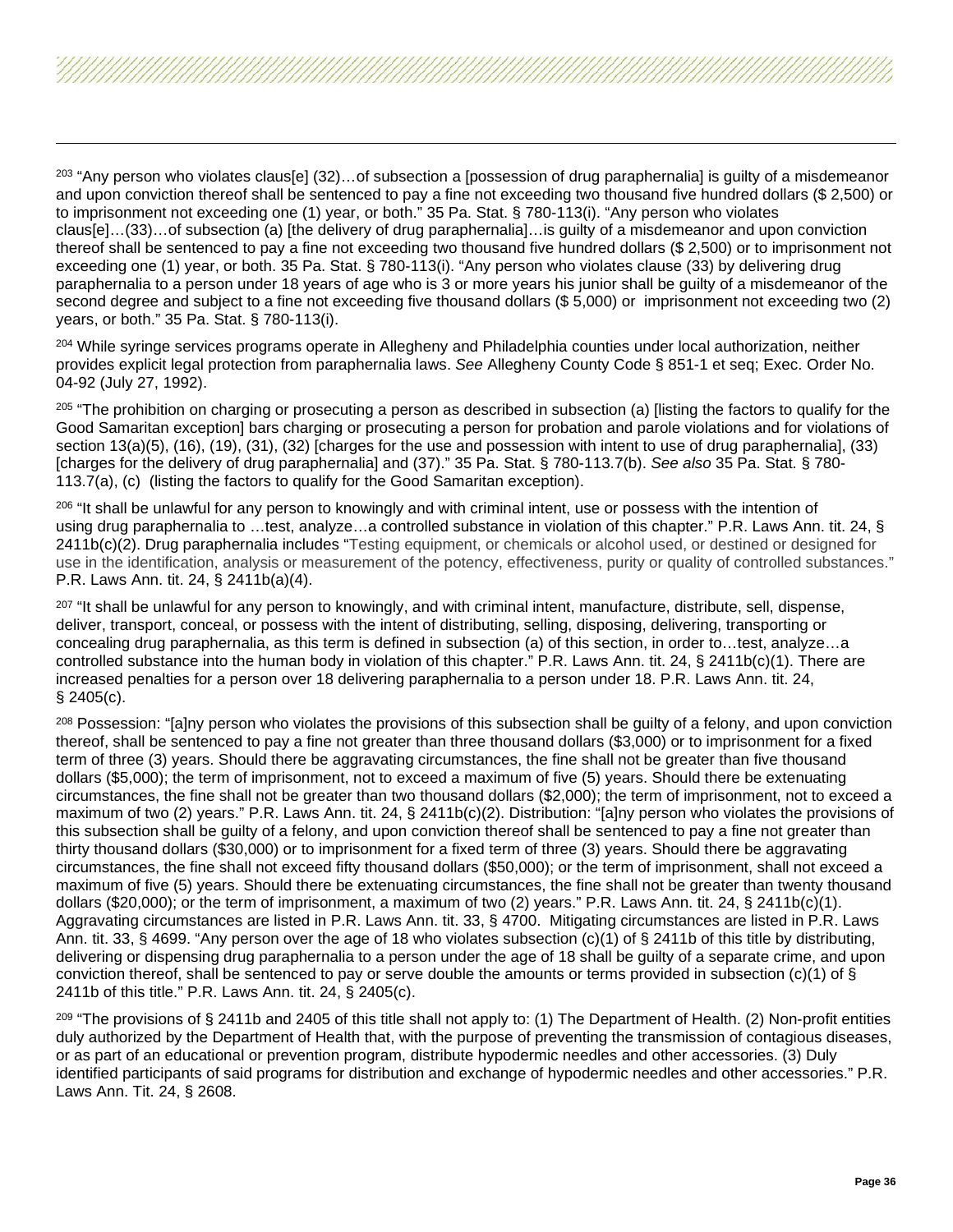<span id="page-35-8"></span><span id="page-35-7"></span><span id="page-35-6"></span><span id="page-35-5"></span><span id="page-35-4"></span><span id="page-35-3"></span><span id="page-35-2"></span><span id="page-35-1"></span><span id="page-35-0"></span> $^{203}$  "Any person who violates claus[e] (32)... of subsection a [possession of drug paraphernalia] is guilty of a misdemeanor and upon conviction thereof shall be sentenced to pay a fine not exceeding two thousand five hundred dollars (\$ 2,500) or to imprisonment not exceeding one (1) year, or both." 35 Pa. Stat. § 780-113(i). "Any person who violates claus[e]…(33)…of subsection (a) [the delivery of drug paraphernalia]…is guilty of a misdemeanor and upon conviction thereof shall be sentenced to pay a fine not exceeding two thousand five hundred dollars (\$ 2,500) or to imprisonment not exceeding one (1) year, or both. 35 Pa. Stat. § 780-113(i). "Any person who violates clause (33) by delivering drug paraphernalia to a person under 18 years of age who is 3 or more years his junior shall be guilty of a misdemeanor of the second degree and subject to a fine not exceeding five thousand dollars (\$ 5,000) or imprisonment not exceeding two (2) years, or both." 35 Pa. Stat. § 780-113(i).

<sup>204</sup> While syringe services programs operate in Allegheny and Philadelphia counties under local authorization, neither provides explicit legal protection from paraphernalia laws. *See* Allegheny County Code § 851-1 et seq; Exec. Order No. 04-92 (July 27, 1992).

<sup>205</sup> "The prohibition on charging or prosecuting a person as described in subsection (a) [listing the factors to qualify for the Good Samaritan exception] bars charging or prosecuting a person for probation and parole violations and for violations of section 13(a)(5), (16), (19), (31), (32) [charges for the use and possession with intent to use of drug paraphernalia], (33) [charges for the delivery of drug paraphernalia] and (37)." 35 Pa. Stat. § 780-113.7(b). *See also* 35 Pa. Stat. § 780- 113.7(a), (c) (listing the factors to qualify for the Good Samaritan exception).

 $206$  "It shall be unlawful for any person to knowingly and with criminal intent, use or possess with the intention of using drug paraphernalia to …test, analyze…a controlled substance in violation of this chapter." P.R. Laws Ann. tit. 24, § 2411b(c)(2). Drug paraphernalia includes "Testing equipment, or chemicals or alcohol used, or destined or designed for use in the identification, analysis or measurement of the potency, effectiveness, purity or quality of controlled substances." P.R. Laws Ann. tit. 24, § 2411b(a)(4).

<sup>207</sup> "It shall be unlawful for any person to knowingly, and with criminal intent, manufacture, distribute, sell, dispense, deliver, transport, conceal, or possess with the intent of distributing, selling, disposing, delivering, transporting or concealing drug paraphernalia, as this term is defined in subsection (a) of this section, in order to…test, analyze…a controlled substance into the human body in violation of this chapter." P.R. Laws Ann. tit. 24, § 2411b(c)(1). There are increased penalties for a person over 18 delivering paraphernalia to a person under 18. P.R. Laws Ann. tit. 24, § 2405(c).

<sup>208</sup> Possession: "[a]ny person who violates the provisions of this subsection shall be quilty of a felony, and upon conviction thereof, shall be sentenced to pay a fine not greater than three thousand dollars (\$3,000) or to imprisonment for a fixed term of three (3) years. Should there be aggravating circumstances, the fine shall not be greater than five thousand dollars (\$5,000); the term of imprisonment, not to exceed a maximum of five (5) years. Should there be extenuating circumstances, the fine shall not be greater than two thousand dollars (\$2,000); the term of imprisonment, not to exceed a maximum of two (2) years." P.R. Laws Ann. tit. 24,  $\S$  2411b(c)(2). Distribution: "[a]ny person who violates the provisions of this subsection shall be guilty of a felony, and upon conviction thereof shall be sentenced to pay a fine not greater than thirty thousand dollars (\$30,000) or to imprisonment for a fixed term of three (3) years. Should there be aggravating circumstances, the fine shall not exceed fifty thousand dollars (\$50,000); or the term of imprisonment, shall not exceed a maximum of five (5) years. Should there be extenuating circumstances, the fine shall not be greater than twenty thousand dollars (\$20,000); or the term of imprisonment, a maximum of two (2) years." P.R. Laws Ann. tit. 24, § 2411b(c)(1). Aggravating circumstances are listed in P.R. Laws Ann. tit. 33, § 4700. Mitigating circumstances are listed in P.R. Laws Ann. tit. 33, § 4699. "Any person over the age of 18 who violates subsection (c)(1) of § 2411b of this title by distributing, delivering or dispensing drug paraphernalia to a person under the age of 18 shall be guilty of a separate crime, and upon conviction thereof, shall be sentenced to pay or serve double the amounts or terms provided in subsection (c)(1) of § 2411b of this title." P.R. Laws Ann. tit. 24, § 2405(c).

 $^{209}$  "The provisions of § 2411b and 2405 of this title shall not apply to: (1) The Department of Health. (2) Non-profit entities duly authorized by the Department of Health that, with the purpose of preventing the transmission of contagious diseases, or as part of an educational or prevention program, distribute hypodermic needles and other accessories. (3) Duly identified participants of said programs for distribution and exchange of hypodermic needles and other accessories." P.R. Laws Ann. Tit. 24, § 2608.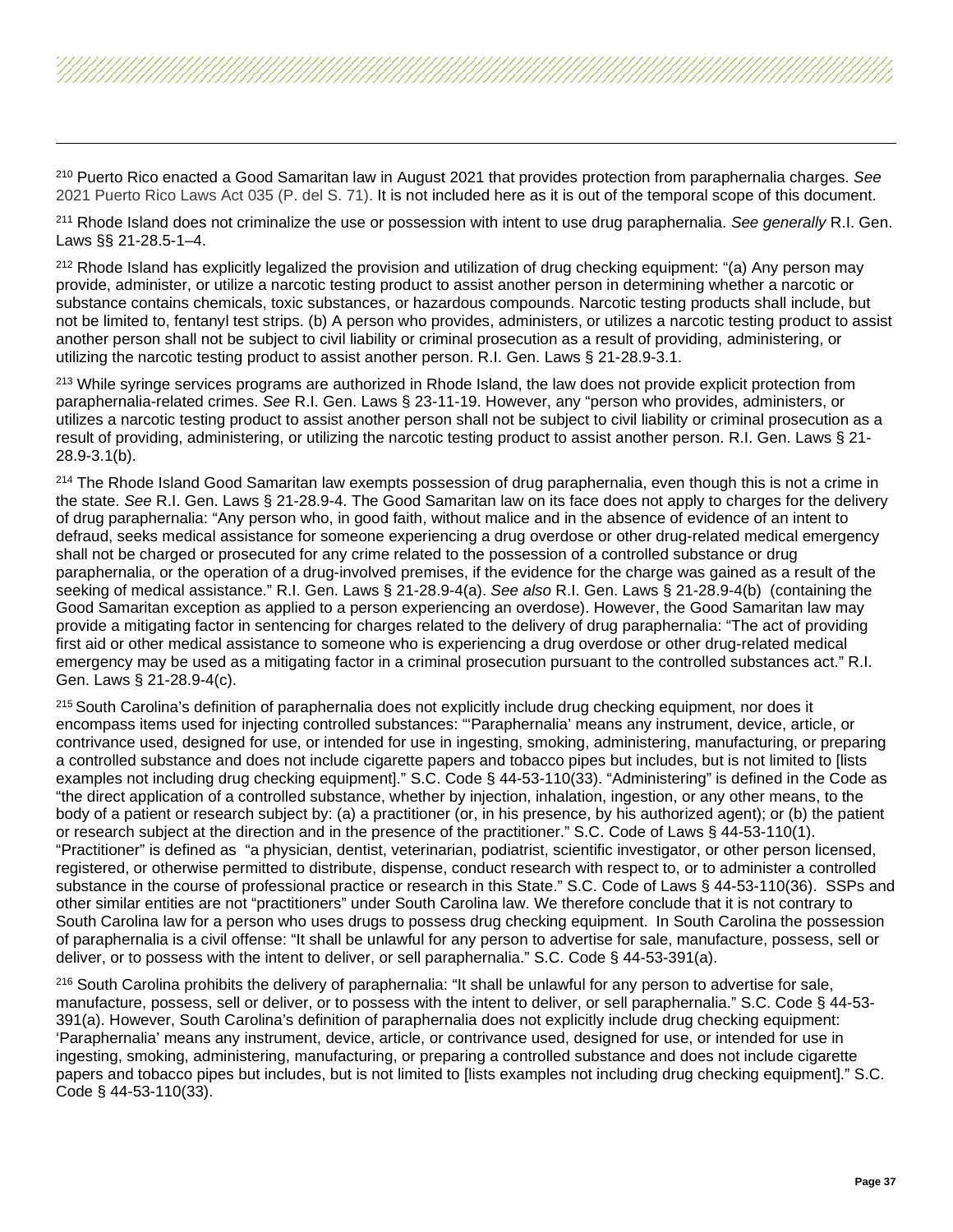<span id="page-36-5"></span><span id="page-36-4"></span><span id="page-36-3"></span><span id="page-36-2"></span><span id="page-36-1"></span><span id="page-36-0"></span><sup>210</sup> Puerto Rico enacted a Good Samaritan law in August 2021 that provides protection from paraphernalia charges. *See*  2021 Puerto Rico Laws Act 035 (P. del S. 71). It is not included here as it is out of the temporal scope of this document.

<sup>211</sup> Rhode Island does not criminalize the use or possession with intent to use drug paraphernalia. *See generally* R.I. Gen. Laws §§ 21-28.5-1–4.

<sup>212</sup> Rhode Island has explicitly legalized the provision and utilization of drug checking equipment: "(a) Any person may provide, administer, or utilize a narcotic testing product to assist another person in determining whether a narcotic or substance contains chemicals, toxic substances, or hazardous compounds. Narcotic testing products shall include, but not be limited to, fentanyl test strips. (b) A person who provides, administers, or utilizes a narcotic testing product to assist another person shall not be subject to civil liability or criminal prosecution as a result of providing, administering, or utilizing the narcotic testing product to assist another person. R.I. Gen. Laws § 21-28.9-3.1.

<sup>213</sup> While syringe services programs are authorized in Rhode Island, the law does not provide explicit protection from paraphernalia-related crimes. *See* R.I. Gen. Laws § 23-11-19. However, any "person who provides, administers, or utilizes a narcotic testing product to assist another person shall not be subject to civil liability or criminal prosecution as a result of providing, administering, or utilizing the narcotic testing product to assist another person. R.I. Gen. Laws § 21- 28.9-3.1(b).

<sup>214</sup> The Rhode Island Good Samaritan law exempts possession of drug paraphernalia, even though this is not a crime in the state. *See* R.I. Gen. Laws § 21-28.9-4. The Good Samaritan law on its face does not apply to charges for the delivery of drug paraphernalia: "Any person who, in good faith, without malice and in the absence of evidence of an intent to defraud, seeks medical assistance for someone experiencing a drug overdose or other drug-related medical emergency shall not be charged or prosecuted for any crime related to the possession of a controlled substance or drug paraphernalia, or the operation of a drug-involved premises, if the evidence for the charge was gained as a result of the seeking of medical assistance." R.I. Gen. Laws § 21-28.9-4(a). *See also* R.I. Gen. Laws § 21-28.9-4(b) (containing the Good Samaritan exception as applied to a person experiencing an overdose). However, the Good Samaritan law may provide a mitigating factor in sentencing for charges related to the delivery of drug paraphernalia: "The act of providing first aid or other medical assistance to someone who is experiencing a drug overdose or other drug-related medical emergency may be used as a mitigating factor in a criminal prosecution pursuant to the controlled substances act." R.I. Gen. Laws § 21-28.9-4(c).

<sup>215</sup> South Carolina's definition of paraphernalia does not explicitly include drug checking equipment, nor does it encompass items used for injecting controlled substances: "'Paraphernalia' means any instrument, device, article, or contrivance used, designed for use, or intended for use in ingesting, smoking, administering, manufacturing, or preparing a controlled substance and does not include cigarette papers and tobacco pipes but includes, but is not limited to [lists examples not including drug checking equipment]." S.C. Code § 44-53-110(33). "Administering" is defined in the Code as "the direct application of a controlled substance, whether by injection, inhalation, ingestion, or any other means, to the body of a patient or research subject by: (a) a practitioner (or, in his presence, by his authorized agent); or (b) the patient or research subject at the direction and in the presence of the practitioner." S.C. Code of Laws § 44-53-110(1). "Practitioner" is defined as "a physician, dentist, veterinarian, podiatrist, scientific investigator, or other person licensed, registered, or otherwise permitted to distribute, dispense, conduct research with respect to, or to administer a controlled substance in the course of professional practice or research in this State." S.C. Code of Laws § 44-53-110(36). SSPs and other similar entities are not "practitioners" under South Carolina law. We therefore conclude that it is not contrary to South Carolina law for a person who uses drugs to possess drug checking equipment. In South Carolina the possession of paraphernalia is a civil offense: "It shall be unlawful for any person to advertise for sale, manufacture, possess, sell or deliver, or to possess with the intent to deliver, or sell paraphernalia." S.C. Code § 44-53-391(a).

<sup>216</sup> South Carolina prohibits the delivery of paraphernalia: "It shall be unlawful for any person to advertise for sale, manufacture, possess, sell or deliver, or to possess with the intent to deliver, or sell paraphernalia." S.C. Code § 44-53- 391(a). However, South Carolina's definition of paraphernalia does not explicitly include drug checking equipment: 'Paraphernalia' means any instrument, device, article, or contrivance used, designed for use, or intended for use in ingesting, smoking, administering, manufacturing, or preparing a controlled substance and does not include cigarette papers and tobacco pipes but includes, but is not limited to [lists examples not including drug checking equipment]." S.C. Code § 44-53-110(33).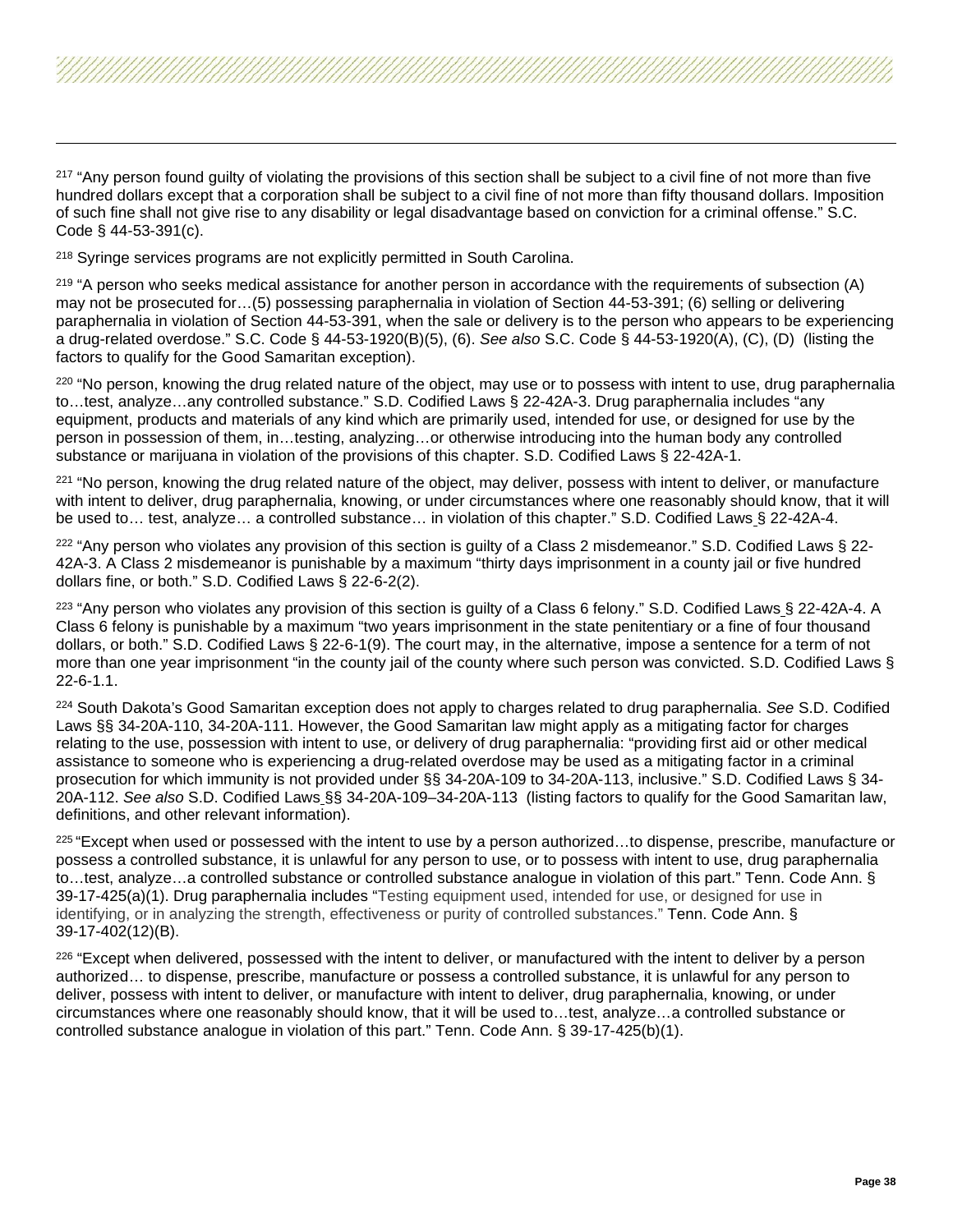<span id="page-37-6"></span><span id="page-37-5"></span><span id="page-37-4"></span><span id="page-37-3"></span><span id="page-37-2"></span><span id="page-37-1"></span><span id="page-37-0"></span><sup>217</sup> "Any person found quilty of violating the provisions of this section shall be subject to a civil fine of not more than five hundred dollars except that a corporation shall be subject to a civil fine of not more than fifty thousand dollars. Imposition of such fine shall not give rise to any disability or legal disadvantage based on conviction for a criminal offense." S.C. Code § 44-53-391(c).

<sup>218</sup> Syringe services programs are not explicitly permitted in South Carolina.

 $219$  "A person who seeks medical assistance for another person in accordance with the requirements of subsection (A) may not be prosecuted for…(5) possessing paraphernalia in violation of Section 44-53-391; (6) selling or delivering paraphernalia in violation of Section 44-53-391, when the sale or delivery is to the person who appears to be experiencing a drug-related overdose." S.C. Code § 44-53-1920(B)(5), (6). *See also* S.C. Code § 44-53-1920(A), (C), (D) (listing the factors to qualify for the Good Samaritan exception).

<sup>220</sup> "No person, knowing the drug related nature of the object, may use or to possess with intent to use, drug paraphernalia to…test, analyze…any controlled substance." S.D. Codified Laws § 22-42A-3. Drug paraphernalia includes "any equipment, products and materials of any kind which are primarily used, intended for use, or designed for use by the person in possession of them, in…testing, analyzing…or otherwise introducing into the human body any controlled substance or marijuana in violation of the provisions of this chapter. S.D. Codified Laws § 22-42A-1.

<sup>221</sup> "No person, knowing the drug related nature of the object, may deliver, possess with intent to deliver, or manufacture with intent to deliver, drug paraphernalia, knowing, or under circumstances where one reasonably should know, that it will be used to… test, analyze… a controlled substance… in violation of this chapter." S.D. Codified Laws § 22-42A-4.

 $222$  "Any person who violates any provision of this section is quilty of a Class 2 misdemeanor." S.D. Codified Laws § 22-42A-3. A Class 2 misdemeanor is punishable by a maximum "thirty days imprisonment in a county jail or five hundred dollars fine, or both." S.D. Codified Laws § 22-6-2(2).

<sup>223</sup> "Any person who violates any provision of this section is guilty of a Class 6 felony." S.D. Codified Laws § 22-42A-4. A Class 6 felony is punishable by a maximum "two years imprisonment in the state penitentiary or a fine of four thousand dollars, or both." S.D. Codified Laws § 22-6-1(9). The court may, in the alternative, impose a sentence for a term of not more than one year imprisonment "in the county jail of the county where such person was convicted. S.D. Codified Laws § 22-6-1.1.

<sup>224</sup> South Dakota's Good Samaritan exception does not apply to charges related to drug paraphernalia. *See* S.D. Codified Laws §§ 34-20A-110, 34-20A-111. However, the Good Samaritan law might apply as a mitigating factor for charges relating to the use, possession with intent to use, or delivery of drug paraphernalia: "providing first aid or other medical assistance to someone who is experiencing a drug-related overdose may be used as a mitigating factor in a criminal prosecution for which immunity is not provided under §§ 34-20A-109 to 34-20A-113, inclusive." S.D. Codified Laws § 34- 20A-112. *See also* S.D. Codified Laws §§ 34-20A-109–34-20A-113 (listing factors to qualify for the Good Samaritan law, definitions, and other relevant information).

 $225$  "Except when used or possessed with the intent to use by a person authorized...to dispense, prescribe, manufacture or possess a controlled substance, it is unlawful for any person to use, or to possess with intent to use, drug paraphernalia to…test, analyze…a controlled substance or controlled substance analogue in violation of this part." Tenn. Code Ann. § 39-17-425(a)(1). Drug paraphernalia includes "Testing equipment used, intended for use, or designed for use in identifying, or in analyzing the strength, effectiveness or purity of controlled substances." Tenn. Code Ann. § 39-17-402(12)(B).

<sup>226</sup> "Except when delivered, possessed with the intent to deliver, or manufactured with the intent to deliver by a person authorized… to dispense, prescribe, manufacture or possess a controlled substance, it is unlawful for any person to deliver, possess with intent to deliver, or manufacture with intent to deliver, drug paraphernalia, knowing, or under circumstances where one reasonably should know, that it will be used to…test, analyze…a controlled substance or controlled substance analogue in violation of this part." Tenn. Code Ann. § 39-17-425(b)(1).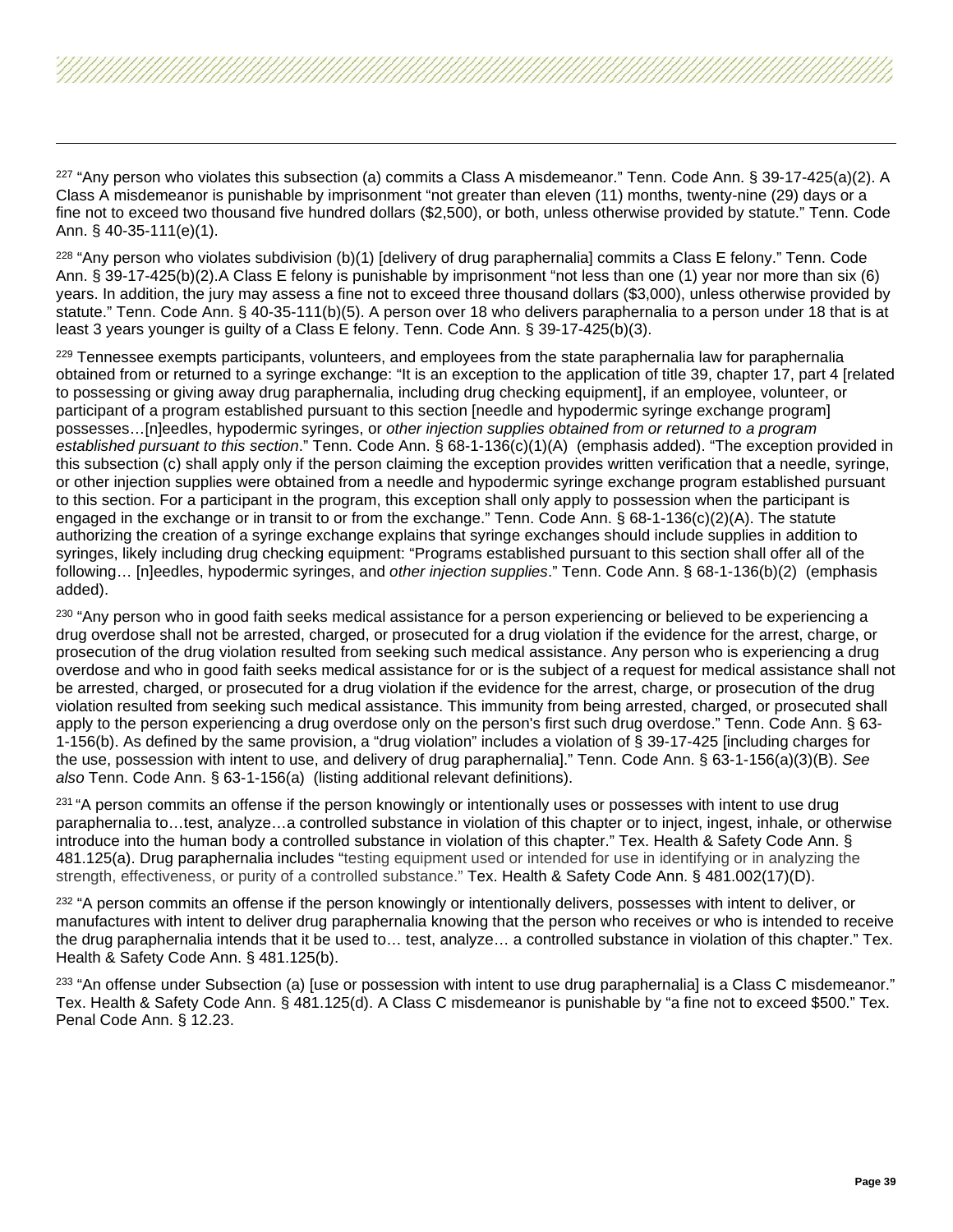<span id="page-38-9"></span><span id="page-38-8"></span><span id="page-38-7"></span><span id="page-38-6"></span><span id="page-38-5"></span><span id="page-38-4"></span><span id="page-38-3"></span><span id="page-38-2"></span><span id="page-38-1"></span><span id="page-38-0"></span> $227$  "Any person who violates this subsection (a) commits a Class A misdemeanor." Tenn. Code Ann. § 39-17-425(a)(2). A Class A misdemeanor is punishable by imprisonment "not greater than eleven (11) months, twenty-nine (29) days or a fine not to exceed two thousand five hundred dollars (\$2,500), or both, unless otherwise provided by statute." Tenn. Code Ann. § 40-35-111(e)(1).

 $228$  "Any person who violates subdivision (b)(1) [delivery of drug paraphernalia] commits a Class E felony." Tenn. Code Ann. § 39-17-425(b)(2).A Class E felony is punishable by imprisonment "not less than one (1) year nor more than six (6) years. In addition, the jury may assess a fine not to exceed three thousand dollars (\$3,000), unless otherwise provided by statute." Tenn. Code Ann. § 40-35-111(b)(5). A person over 18 who delivers paraphernalia to a person under 18 that is at least 3 years younger is guilty of a Class E felony. Tenn. Code Ann. § 39-17-425(b)(3).

<sup>229</sup> Tennessee exempts participants, volunteers, and employees from the state paraphernalia law for paraphernalia obtained from or returned to a syringe exchange: "It is an exception to the application of title 39, chapter 17, part 4 [related to possessing or giving away drug paraphernalia, including drug checking equipment], if an employee, volunteer, or participant of a program established pursuant to this section [needle and hypodermic syringe exchange program] possesses…[n]eedles, hypodermic syringes, or *other injection supplies obtained from or returned to a program established pursuant to this section*." Tenn. Code Ann. § 68-1-136(c)(1)(A) (emphasis added). "The exception provided in this subsection (c) shall apply only if the person claiming the exception provides written verification that a needle, syringe, or other injection supplies were obtained from a needle and hypodermic syringe exchange program established pursuant to this section. For a participant in the program, this exception shall only apply to possession when the participant is engaged in the exchange or in transit to or from the exchange." Tenn. Code Ann. § 68-1-136(c)(2)(A). The statute authorizing the creation of a syringe exchange explains that syringe exchanges should include supplies in addition to syringes, likely including drug checking equipment: "Programs established pursuant to this section shall offer all of the following… [n]eedles, hypodermic syringes, and *other injection supplies*." Tenn. Code Ann. § 68-1-136(b)(2) (emphasis added).

<sup>230</sup> "Any person who in good faith seeks medical assistance for a person experiencing or believed to be experiencing a drug overdose shall not be arrested, charged, or prosecuted for a drug violation if the evidence for the arrest, charge, or prosecution of the drug violation resulted from seeking such medical assistance. Any person who is experiencing a drug overdose and who in good faith seeks medical assistance for or is the subject of a request for medical assistance shall not be arrested, charged, or prosecuted for a drug violation if the evidence for the arrest, charge, or prosecution of the drug violation resulted from seeking such medical assistance. This immunity from being arrested, charged, or prosecuted shall apply to the person experiencing a drug overdose only on the person's first such drug overdose." Tenn. Code Ann. § 63- 1-156(b). As defined by the same provision, a "drug violation" includes a violation of § 39-17-425 [including charges for the use, possession with intent to use, and delivery of drug paraphernalia]." Tenn. Code Ann. § 63-1-156(a)(3)(B). *See also* Tenn. Code Ann. § 63-1-156(a) (listing additional relevant definitions).

<sup>231</sup> "A person commits an offense if the person knowingly or intentionally uses or possesses with intent to use drug paraphernalia to…test, analyze…a controlled substance in violation of this chapter or to inject, ingest, inhale, or otherwise introduce into the human body a controlled substance in violation of this chapter." Tex. Health & Safety Code Ann. § 481.125(a). Drug paraphernalia includes "testing equipment used or intended for use in identifying or in analyzing the strength, effectiveness, or purity of a controlled substance." Tex. Health & Safety Code Ann. § 481.002(17)(D).

<sup>232</sup> "A person commits an offense if the person knowingly or intentionally delivers, possesses with intent to deliver, or manufactures with intent to deliver drug paraphernalia knowing that the person who receives or who is intended to receive the drug paraphernalia intends that it be used to… test, analyze… a controlled substance in violation of this chapter." Tex. Health & Safety Code Ann. § 481.125(b).

<sup>233</sup> "An offense under Subsection (a) [use or possession with intent to use drug paraphernalia] is a Class C misdemeanor." Tex. Health & Safety Code Ann. § 481.125(d). A Class C misdemeanor is punishable by "a fine not to exceed \$500." Tex. Penal Code Ann. § 12.23.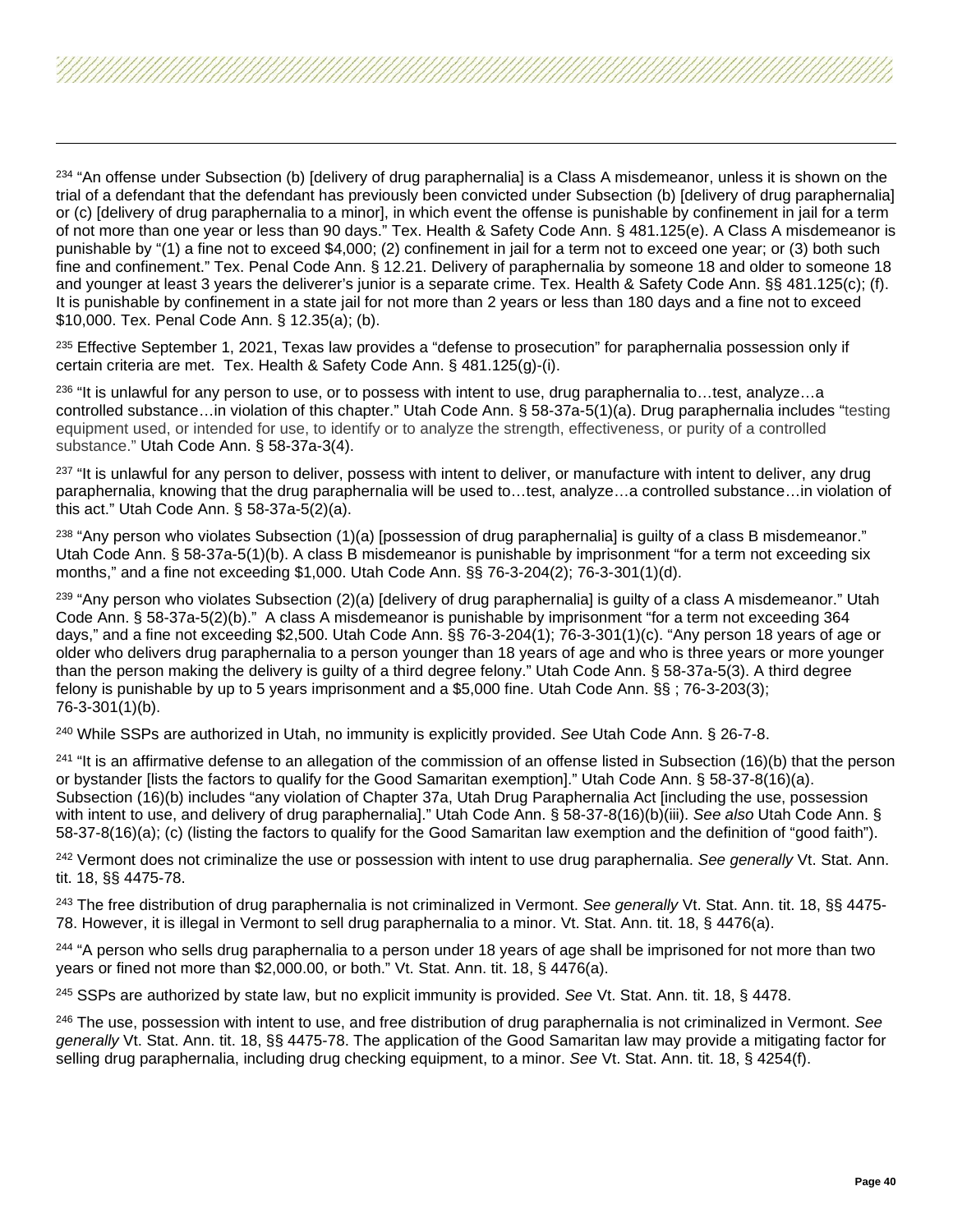<span id="page-39-6"></span><span id="page-39-5"></span><span id="page-39-4"></span><span id="page-39-3"></span><span id="page-39-2"></span><span id="page-39-1"></span><span id="page-39-0"></span><sup>234</sup> "An offense under Subsection (b) [delivery of drug paraphernalia] is a Class A misdemeanor, unless it is shown on the trial of a defendant that the defendant has previously been convicted under Subsection (b) [delivery of drug paraphernalia] or (c) [delivery of drug paraphernalia to a minor], in which event the offense is punishable by confinement in jail for a term of not more than one year or less than 90 days." Tex. Health & Safety Code Ann. § 481.125(e). A Class A misdemeanor is punishable by "(1) a fine not to exceed \$4,000; (2) confinement in jail for a term not to exceed one year; or (3) both such fine and confinement." Tex. Penal Code Ann. § 12.21. Delivery of paraphernalia by someone 18 and older to someone 18 and younger at least 3 years the deliverer's junior is a separate crime. Tex. Health & Safety Code Ann. §§ 481.125(c); (f). It is punishable by confinement in a state jail for not more than 2 years or less than 180 days and a fine not to exceed \$10,000. Tex. Penal Code Ann. § 12.35(a); (b).

<sup>235</sup> Effective September 1, 2021, Texas law provides a "defense to prosecution" for paraphernalia possession only if certain criteria are met. Tex. Health & Safety Code Ann. § 481.125(g)-(i).

<sup>236</sup> "It is unlawful for any person to use, or to possess with intent to use, drug paraphernalia to...test, analyze...a controlled substance…in violation of this chapter." Utah Code Ann. § 58-37a-5(1)(a). Drug paraphernalia includes "testing equipment used, or intended for use, to identify or to analyze the strength, effectiveness, or purity of a controlled substance." Utah Code Ann. § 58-37a-3(4).

<sup>237</sup> "It is unlawful for any person to deliver, possess with intent to deliver, or manufacture with intent to deliver, any drug paraphernalia, knowing that the drug paraphernalia will be used to…test, analyze…a controlled substance…in violation of this act." Utah Code Ann. § 58-37a-5(2)(a).

 $238$  "Any person who violates Subsection (1)(a) [possession of drug paraphernalia] is guilty of a class B misdemeanor." Utah Code Ann. § 58-37a-5(1)(b). A class B misdemeanor is punishable by imprisonment "for a term not exceeding six months," and a fine not exceeding \$1,000. Utah Code Ann. §§ 76-3-204(2); 76-3-301(1)(d).

 $239$  "Any person who violates Subsection (2)(a) [delivery of drug paraphernalia] is guilty of a class A misdemeanor." Utah Code Ann. § 58-37a-5(2)(b)." A class A misdemeanor is punishable by imprisonment "for a term not exceeding 364 days," and a fine not exceeding \$2,500. Utah Code Ann. §§ 76-3-204(1); 76-3-301(1)(c). "Any person 18 years of age or older who delivers drug paraphernalia to a person younger than 18 years of age and who is three years or more younger than the person making the delivery is guilty of a third degree felony." Utah Code Ann. § 58-37a-5(3). A third degree felony is punishable by up to 5 years imprisonment and a \$5,000 fine. Utah Code Ann. §§ ; 76-3-203(3); 76-3-301(1)(b).

<sup>240</sup> While SSPs are authorized in Utah, no immunity is explicitly provided. *See* Utah Code Ann. § 26-7-8.

<sup>241</sup> "It is an affirmative defense to an allegation of the commission of an offense listed in Subsection (16)(b) that the person or bystander [lists the factors to qualify for the Good Samaritan exemption]." Utah Code Ann. § 58-37-8(16)(a). Subsection (16)(b) includes "any violation of Chapter 37a, Utah Drug Paraphernalia Act [including the use, possession with intent to use, and delivery of drug paraphernalia]." Utah Code Ann. § 58-37-8(16)(b)(iii). *See also* Utah Code Ann. § 58-37-8(16)(a); (c) (listing the factors to qualify for the Good Samaritan law exemption and the definition of "good faith").

<sup>242</sup> Vermont does not criminalize the use or possession with intent to use drug paraphernalia. *See generally* Vt. Stat. Ann. tit. 18, §§ 4475-78.

<sup>243</sup> The free distribution of drug paraphernalia is not criminalized in Vermont. *See generally* Vt. Stat. Ann. tit. 18, §§ 4475- 78. However, it is illegal in Vermont to sell drug paraphernalia to a minor. Vt. Stat. Ann. tit. 18, § 4476(a).

<sup>244</sup> "A person who sells drug paraphernalia to a person under 18 years of age shall be imprisoned for not more than two years or fined not more than \$2,000.00, or both." Vt. Stat. Ann. tit. 18, § 4476(a).

<sup>245</sup> SSPs are authorized by state law, but no explicit immunity is provided. *See* Vt. Stat. Ann. tit. 18, § 4478.

<sup>246</sup> The use, possession with intent to use, and free distribution of drug paraphernalia is not criminalized in Vermont. *See generally* Vt. Stat. Ann. tit. 18, §§ 4475-78. The application of the Good Samaritan law may provide a mitigating factor for selling drug paraphernalia, including drug checking equipment, to a minor. *See* Vt. Stat. Ann. tit. 18, § 4254(f).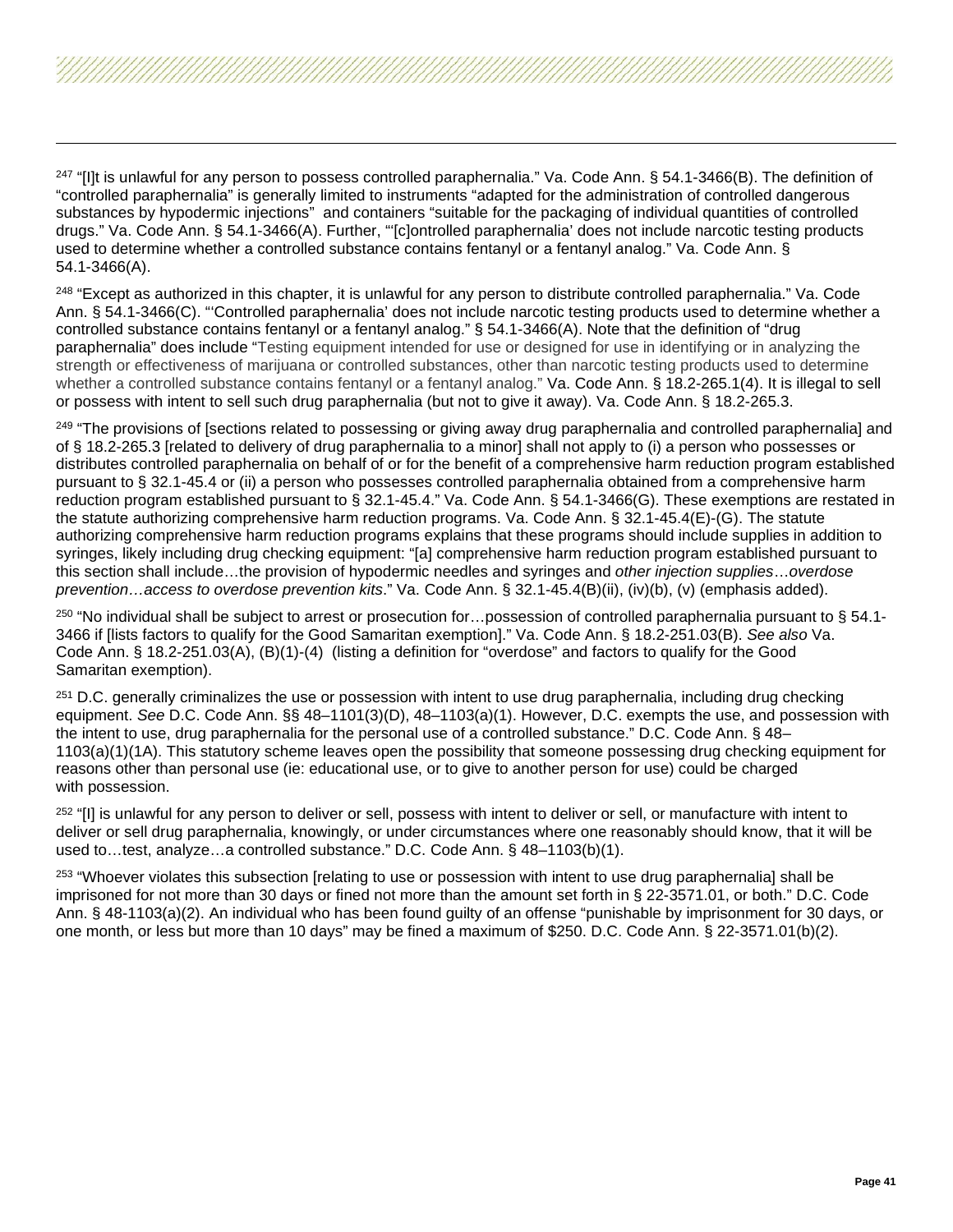<span id="page-40-12"></span><span id="page-40-11"></span><span id="page-40-10"></span><span id="page-40-9"></span><span id="page-40-8"></span><span id="page-40-7"></span><span id="page-40-6"></span><span id="page-40-5"></span><span id="page-40-4"></span><span id="page-40-3"></span><span id="page-40-2"></span><span id="page-40-1"></span><span id="page-40-0"></span><sup>247</sup> "Illt is unlawful for any person to possess controlled paraphernalia." Va. Code Ann. § 54.1-3466(B). The definition of "controlled paraphernalia" is generally limited to instruments "adapted for the administration of controlled dangerous substances by hypodermic injections" and containers "suitable for the packaging of individual quantities of controlled drugs." Va. Code Ann. § 54.1-3466(A). Further, "'[c]ontrolled paraphernalia' does not include narcotic testing products used to determine whether a controlled substance contains fentanyl or a fentanyl analog." Va. Code Ann. § 54.1-3466(A).

<sup>248</sup> "Except as authorized in this chapter, it is unlawful for any person to distribute controlled paraphernalia." Va. Code Ann. § 54.1-3466(C). "'Controlled paraphernalia' does not include narcotic testing products used to determine whether a controlled substance contains fentanyl or a fentanyl analog." § 54.1-3466(A). Note that the definition of "drug paraphernalia" does include "Testing equipment intended for use or designed for use in identifying or in analyzing the strength or effectiveness of marijuana or controlled substances, other than narcotic testing products used to determine whether a controlled substance contains fentanyl or a fentanyl analog." Va. Code Ann. § 18.2-265.1(4). It is illegal to sell or possess with intent to sell such drug paraphernalia (but not to give it away). Va. Code Ann. § 18.2-265.3.

<sup>249</sup> "The provisions of [sections related to possessing or giving away drug paraphernalia and controlled paraphernalia] and of § 18.2-265.3 [related to delivery of drug paraphernalia to a minor] shall not apply to (i) a person who possesses or distributes controlled paraphernalia on behalf of or for the benefit of a comprehensive harm reduction program established pursuant to § 32.1-45.4 or (ii) a person who possesses controlled paraphernalia obtained from a comprehensive harm reduction program established pursuant to § 32.1-45.4." Va. Code Ann. § 54.1-3466(G). These exemptions are restated in the statute authorizing comprehensive harm reduction programs. Va. Code Ann. § 32.1-45.4(E)-(G). The statute authorizing comprehensive harm reduction programs explains that these programs should include supplies in addition to syringes, likely including drug checking equipment: "[a] comprehensive harm reduction program established pursuant to this section shall include…the provision of hypodermic needles and syringes and *other injection supplies*…*overdose prevention…access to overdose prevention kits*." Va. Code Ann. § 32.1-45.4(B)(ii), (iv)(b), (v) (emphasis added).

<sup>250</sup> "No individual shall be subject to arrest or prosecution for...possession of controlled paraphernalia pursuant to § 54.1-3466 if [lists factors to qualify for the Good Samaritan exemption]." Va. Code Ann. § 18.2-251.03(B). *See also* Va. Code Ann. § 18.2-251.03(A), (B)(1)-(4) (listing a definition for "overdose" and factors to qualify for the Good Samaritan exemption).

<sup>251</sup> D.C. generally criminalizes the use or possession with intent to use drug paraphernalia, including drug checking equipment. *See* D.C. Code Ann. §§ 48–1101(3)(D), 48–1103(a)(1). However, D.C. exempts the use, and possession with the intent to use, drug paraphernalia for the personal use of a controlled substance." D.C. Code Ann. § 48– 1103(a)(1)(1A). This statutory scheme leaves open the possibility that someone possessing drug checking equipment for reasons other than personal use (ie: educational use, or to give to another person for use) could be charged with possession.

<sup>252</sup> "[I] is unlawful for any person to deliver or sell, possess with intent to deliver or sell, or manufacture with intent to deliver or sell drug paraphernalia, knowingly, or under circumstances where one reasonably should know, that it will be used to…test, analyze…a controlled substance." D.C. Code Ann. § 48–1103(b)(1).

<sup>253</sup> "Whoever violates this subsection [relating to use or possession with intent to use drug paraphernalia] shall be imprisoned for not more than 30 days or fined not more than the amount set forth in § 22-3571.01, or both." D.C. Code Ann. § 48-1103(a)(2). An individual who has been found guilty of an offense "punishable by imprisonment for 30 days, or one month, or less but more than 10 days" may be fined a maximum of \$250. D.C. Code Ann. § 22-3571.01(b)(2).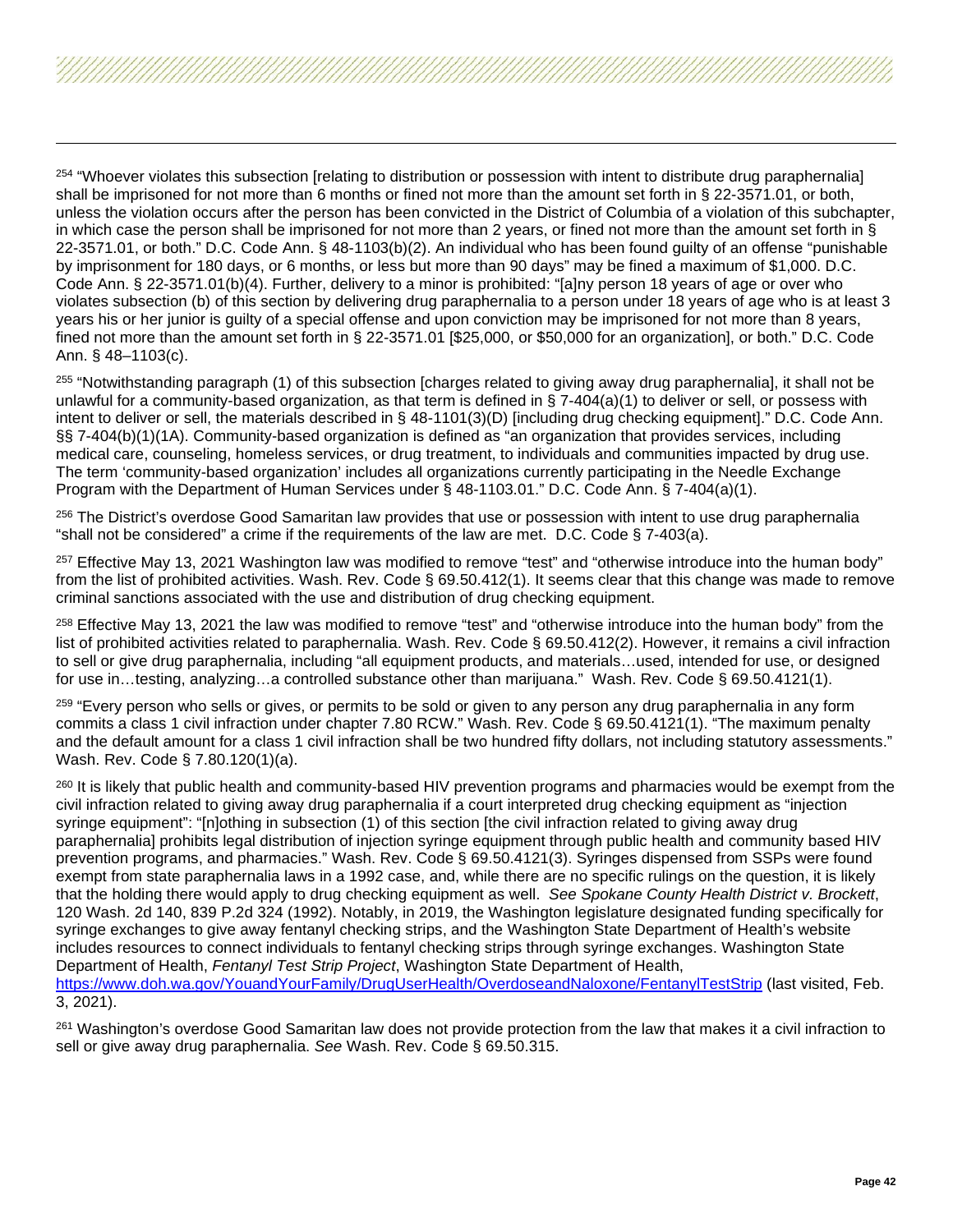<span id="page-41-7"></span><span id="page-41-6"></span><span id="page-41-5"></span><span id="page-41-4"></span><span id="page-41-3"></span><span id="page-41-2"></span><span id="page-41-1"></span><span id="page-41-0"></span><sup>254</sup> "Whoever violates this subsection [relating to distribution or possession with intent to distribute drug paraphernalia] shall be imprisoned for not more than 6 months or fined not more than the amount set forth in § 22-3571.01, or both, unless the violation occurs after the person has been convicted in the District of Columbia of a violation of this subchapter, in which case the person shall be imprisoned for not more than 2 years, or fined not more than the amount set forth in § 22-3571.01, or both." D.C. Code Ann. § 48-1103(b)(2). An individual who has been found guilty of an offense "punishable by imprisonment for 180 days, or 6 months, or less but more than 90 days" may be fined a maximum of \$1,000. D.C. Code Ann. § 22-3571.01(b)(4). Further, delivery to a minor is prohibited: "[a]ny person 18 years of age or over who violates subsection (b) of this section by delivering drug paraphernalia to a person under 18 years of age who is at least 3 years his or her junior is guilty of a special offense and upon conviction may be imprisoned for not more than 8 years, fined not more than the amount set forth in § 22-3571.01 [\$25,000, or \$50,000 for an organization], or both." D.C. Code Ann. § 48–1103(c).

<sup>255</sup> "Notwithstanding paragraph (1) of this subsection [charges related to giving away drug paraphernalia], it shall not be unlawful for a community-based organization, as that term is defined in  $\S$  7-404(a)(1) to deliver or sell, or possess with intent to deliver or sell, the materials described in § 48-1101(3)(D) [including drug checking equipment]." D.C. Code Ann. §§ 7-404(b)(1)(1A). Community-based organization is defined as "an organization that provides services, including medical care, counseling, homeless services, or drug treatment, to individuals and communities impacted by drug use. The term 'community-based organization' includes all organizations currently participating in the Needle Exchange Program with the Department of Human Services under § 48-1103.01." D.C. Code Ann. § 7-404(a)(1).

<sup>256</sup> The District's overdose Good Samaritan law provides that use or possession with intent to use drug paraphernalia "shall not be considered" a crime if the requirements of the law are met. D.C. Code § 7-403(a).

<sup>257</sup> Effective May 13, 2021 Washington law was modified to remove "test" and "otherwise introduce into the human body" from the list of prohibited activities. Wash. Rev. Code § 69.50.412(1). It seems clear that this change was made to remove criminal sanctions associated with the use and distribution of drug checking equipment.

<sup>258</sup> Effective May 13, 2021 the law was modified to remove "test" and "otherwise introduce into the human body" from the list of prohibited activities related to paraphernalia. Wash. Rev. Code § 69.50.412(2). However, it remains a civil infraction to sell or give drug paraphernalia, including "all equipment products, and materials…used, intended for use, or designed for use in…testing, analyzing…a controlled substance other than marijuana." Wash. Rev. Code § [69.50.4121\(](http://app.leg.wa.gov/RCW/default.aspx?cite=69.50.4121)1).

<sup>259</sup> "Every person who sells or gives, or permits to be sold or given to any person any drug paraphernalia in any form commits a class 1 civil infraction under chapter 7.80 RCW." Wash. Rev. Code § 69.50.4121(1). "The maximum penalty and the default amount for a class 1 civil infraction shall be two hundred fifty dollars, not including statutory assessments." Wash. Rev. Code § 7.80.120(1)(a).

<sup>260</sup> It is likely that public health and community-based HIV prevention programs and pharmacies would be exempt from the civil infraction related to giving away drug paraphernalia if a court interpreted drug checking equipment as "injection syringe equipment": "[n]othing in subsection (1) of this section [the civil infraction related to giving away drug paraphernalia] prohibits legal distribution of injection syringe equipment through public health and community based HIV prevention programs, and pharmacies." Wash. Rev. Code § 69.50.4121(3). Syringes dispensed from SSPs were found exempt from state paraphernalia laws in a 1992 case, and, while there are no specific rulings on the question, it is likely that the holding there would apply to drug checking equipment as well. *See Spokane County Health District v. Brockett*, 120 Wash. 2d 140, 839 P.2d 324 (1992). Notably, in 2019, the Washington legislature designated funding specifically for syringe exchanges to give away fentanyl checking strips, and the Washington State Department of Health's website includes resources to connect individuals to fentanyl checking strips through syringe exchanges. Washington State Department of Health, *Fentanyl Test Strip Project*, Washington State Department of Health, <https://www.doh.wa.gov/YouandYourFamily/DrugUserHealth/OverdoseandNaloxone/FentanylTestStrip> (last visited, Feb.

3, 2021).

<sup>261</sup> Washington's overdose Good Samaritan law does not provide protection from the law that makes it a civil infraction to sell or give away drug paraphernalia. *See* Wash. Rev. Code § 69.50.315.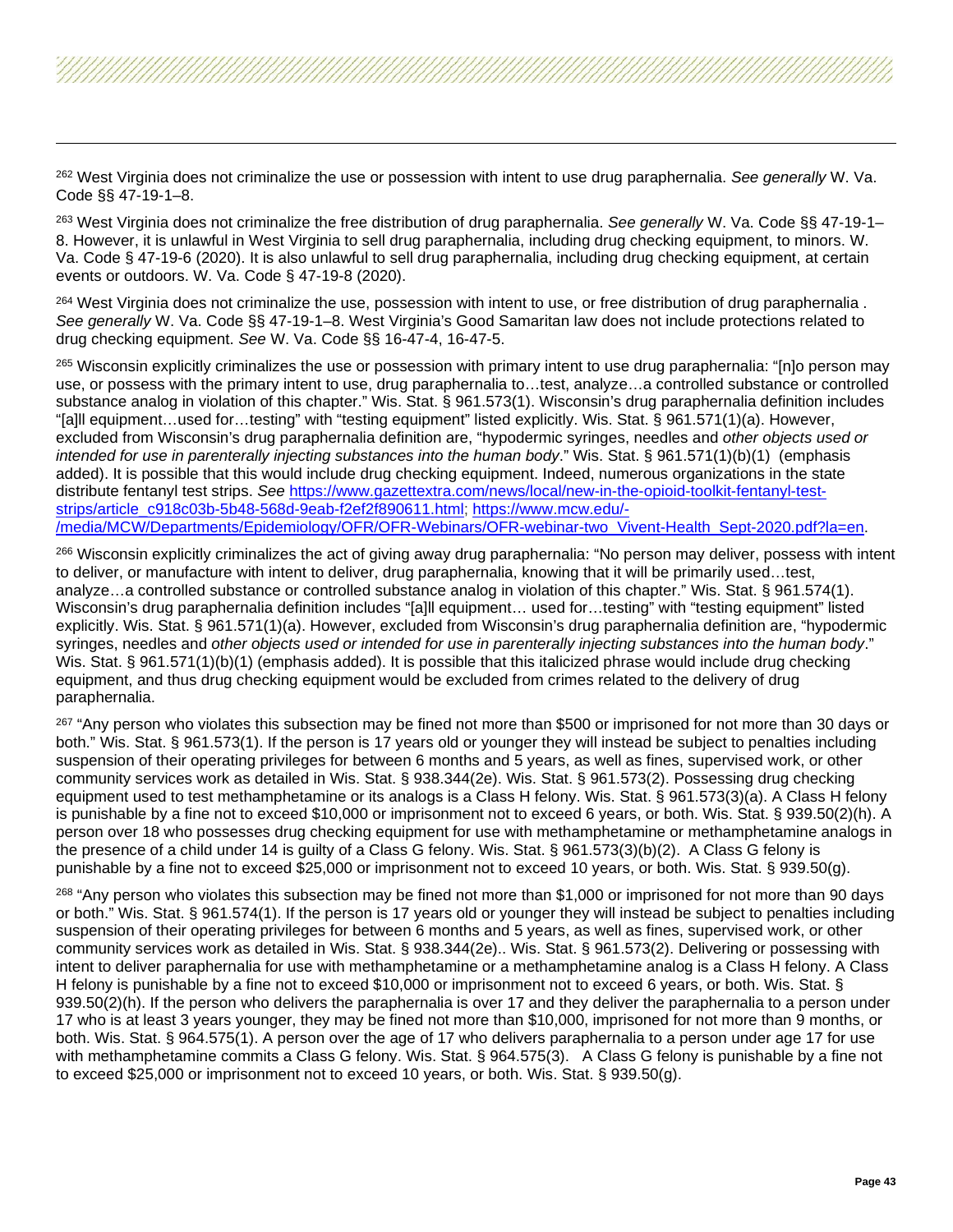<span id="page-42-6"></span><span id="page-42-5"></span><span id="page-42-4"></span><span id="page-42-3"></span><span id="page-42-2"></span><span id="page-42-1"></span><span id="page-42-0"></span><sup>262</sup> West Virginia does not criminalize the use or possession with intent to use drug paraphernalia. *See generally* W. Va. Code §§ 47-19-1–8.

<sup>263</sup> West Virginia does not criminalize the free distribution of drug paraphernalia. *See generally* W. Va. Code §§ 47-19-1– 8. However, it is unlawful in West Virginia to sell drug paraphernalia, including drug checking equipment, to minors. W. Va. Code § 47-19-6 (2020). It is also unlawful to sell drug paraphernalia, including drug checking equipment, at certain events or outdoors. W. Va. Code § 47-19-8 (2020).

<sup>264</sup> West Virginia does not criminalize the use, possession with intent to use, or free distribution of drug paraphernalia. *See generally* W. Va. Code §§ 47-19-1–8. West Virginia's Good Samaritan law does not include protections related to drug checking equipment. *See* W. Va. Code §§ 16-47-4, 16-47-5.

265 Wisconsin explicitly criminalizes the use or possession with primary intent to use drug paraphernalia: "[n]o person may use, or possess with the primary intent to use, drug paraphernalia to…test, analyze…a controlled substance or controlled substance analog in violation of this chapter." Wis. Stat. § 961.573(1). Wisconsin's drug paraphernalia definition includes "[a]ll equipment…used for…testing" with "testing equipment" listed explicitly. Wis. Stat. § 961.571(1)(a). However, excluded from Wisconsin's drug paraphernalia definition are, "hypodermic syringes, needles and *other objects used or intended for use in parenterally injecting substances into the human body*." Wis. Stat. § 961.571(1)(b)(1) (emphasis added). It is possible that this would include drug checking equipment. Indeed, numerous organizations in the state distribute fentanyl test strips. *See* [https://www.gazettextra.com/news/local/new-in-the-opioid-toolkit-fentanyl-test](https://www.gazettextra.com/news/local/new-in-the-opioid-toolkit-fentanyl-test-strips/article_c918c03b-5b48-568d-9eab-f2ef2f890611.html)[strips/article\\_c918c03b-5b48-568d-9eab-f2ef2f890611.html;](https://www.gazettextra.com/news/local/new-in-the-opioid-toolkit-fentanyl-test-strips/article_c918c03b-5b48-568d-9eab-f2ef2f890611.html) [https://www.mcw.edu/-](https://www.mcw.edu/-/media/MCW/Departments/Epidemiology/OFR/OFR-Webinars/OFR-webinar-two_Vivent-Health_Sept-2020.pdf?la=en) [/media/MCW/Departments/Epidemiology/OFR/OFR-Webinars/OFR-webinar-two\\_Vivent-Health\\_Sept-2020.pdf?la=en.](https://www.mcw.edu/-/media/MCW/Departments/Epidemiology/OFR/OFR-Webinars/OFR-webinar-two_Vivent-Health_Sept-2020.pdf?la=en)

<sup>266</sup> Wisconsin explicitly criminalizes the act of giving away drug paraphernalia: "No person may deliver, possess with intent to deliver, or manufacture with intent to deliver, drug paraphernalia, knowing that it will be primarily used…test, analyze…a controlled substance or controlled substance analog in violation of this chapter." Wis. Stat. § 961.574(1). Wisconsin's drug paraphernalia definition includes "[a]ll equipment… used for…testing" with "testing equipment" listed explicitly. Wis. Stat. § 961.571(1)(a). However, excluded from Wisconsin's drug paraphernalia definition are, "hypodermic syringes, needles and *other objects used or intended for use in parenterally injecting substances into the human body*." Wis. Stat. § 961.571(1)(b)(1) (emphasis added). It is possible that this italicized phrase would include drug checking equipment, and thus drug checking equipment would be excluded from crimes related to the delivery of drug paraphernalia.

<sup>267</sup> "Any person who violates this subsection may be fined not more than \$500 or imprisoned for not more than 30 days or both." Wis. Stat. § 961.573(1). If the person is 17 years old or younger they will instead be subject to penalties including suspension of their operating privileges for between 6 months and 5 years, as well as fines, supervised work, or other community services work as detailed in Wis. Stat. § 938.344(2e). Wis. Stat. § 961.573(2). Possessing drug checking equipment used to test methamphetamine or its analogs is a Class H felony. Wis. Stat. § 961.573(3)(a). A Class H felony is punishable by a fine not to exceed \$10,000 or imprisonment not to exceed 6 years, or both. Wis. Stat. § 939.50(2)(h). A person over 18 who possesses drug checking equipment for use with methamphetamine or methamphetamine analogs in the presence of a child under 14 is guilty of a Class G felony. Wis. Stat. § 961.573(3)(b)(2). A Class G felony is punishable by a fine not to exceed \$25,000 or imprisonment not to exceed 10 years, or both. Wis. Stat. § 939.50(g).

268 "Any person who violates this subsection may be fined not more than \$1,000 or imprisoned for not more than 90 days or both." Wis. Stat. § 961.574(1). If the person is 17 years old or younger they will instead be subject to penalties including suspension of their operating privileges for between 6 months and 5 years, as well as fines, supervised work, or other community services work as detailed in Wis. Stat. § 938.344(2e).. Wis. Stat. § 961.573(2). Delivering or possessing with intent to deliver paraphernalia for use with methamphetamine or a methamphetamine analog is a Class H felony. A Class H felony is punishable by a fine not to exceed \$10,000 or imprisonment not to exceed 6 years, or both. Wis. Stat. § 939.50(2)(h). If the person who delivers the paraphernalia is over 17 and they deliver the paraphernalia to a person under 17 who is at least 3 years younger, they may be fined not more than \$10,000, imprisoned for not more than 9 months, or both. Wis. Stat. § 964.575(1). A person over the age of 17 who delivers paraphernalia to a person under age 17 for use with methamphetamine commits a Class G felony. Wis. Stat. § 964.575(3). A Class G felony is punishable by a fine not to exceed \$25,000 or imprisonment not to exceed 10 years, or both. Wis. Stat. § 939.50(g).